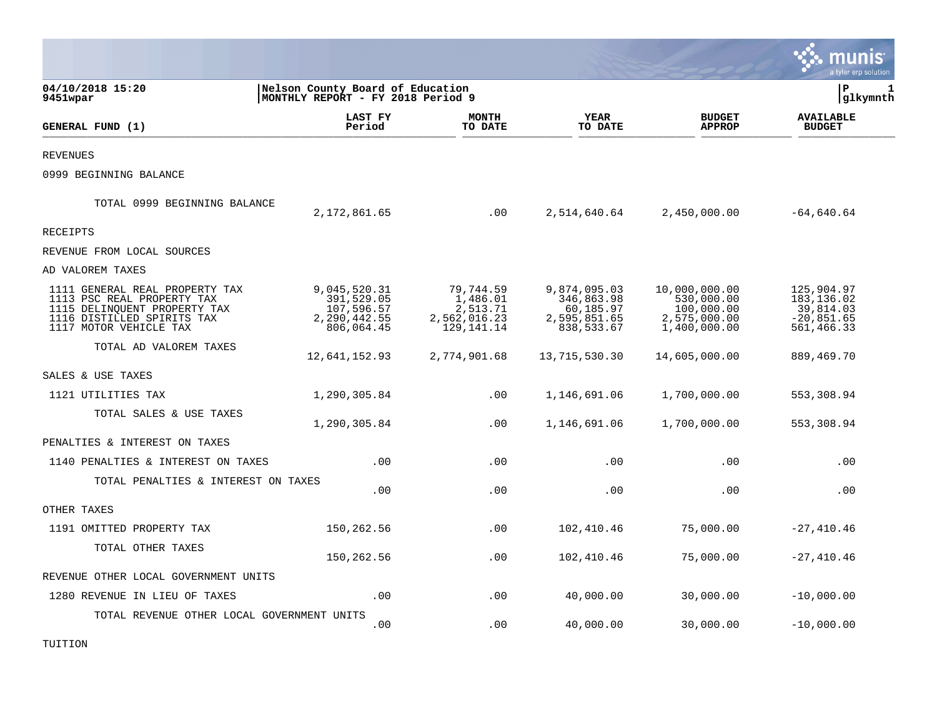|                                                                                                                                                      |                                                                        |                                                                   |                                                                       |                                                                           | munis<br>a tyler erp solution                                        |
|------------------------------------------------------------------------------------------------------------------------------------------------------|------------------------------------------------------------------------|-------------------------------------------------------------------|-----------------------------------------------------------------------|---------------------------------------------------------------------------|----------------------------------------------------------------------|
| 04/10/2018 15:20<br>9451wpar                                                                                                                         | Nelson County Board of Education<br> MONTHLY REPORT - FY 2018 Period 9 | lР<br>1<br> glkymnth                                              |                                                                       |                                                                           |                                                                      |
| GENERAL FUND (1)                                                                                                                                     | LAST FY<br>Period                                                      | <b>MONTH</b><br>TO DATE                                           | YEAR<br>TO DATE                                                       | <b>BUDGET</b><br><b>APPROP</b>                                            | <b>AVAILABLE</b><br><b>BUDGET</b>                                    |
| <b>REVENUES</b>                                                                                                                                      |                                                                        |                                                                   |                                                                       |                                                                           |                                                                      |
| 0999 BEGINNING BALANCE                                                                                                                               |                                                                        |                                                                   |                                                                       |                                                                           |                                                                      |
| TOTAL 0999 BEGINNING BALANCE                                                                                                                         | 2,172,861.65                                                           | .00                                                               | 2,514,640.64                                                          | 2,450,000.00                                                              | $-64,640.64$                                                         |
| RECEIPTS                                                                                                                                             |                                                                        |                                                                   |                                                                       |                                                                           |                                                                      |
| REVENUE FROM LOCAL SOURCES                                                                                                                           |                                                                        |                                                                   |                                                                       |                                                                           |                                                                      |
| AD VALOREM TAXES                                                                                                                                     |                                                                        |                                                                   |                                                                       |                                                                           |                                                                      |
| 1111 GENERAL REAL PROPERTY TAX<br>1113 PSC REAL PROPERTY TAX<br>1115 DELINQUENT PROPERTY TAX<br>1116 DISTILLED SPIRITS TAX<br>1117 MOTOR VEHICLE TAX | 9,045,520.31<br>391,529.05<br>107,596.57<br>2,290,442.55<br>806,064.45 | 79,744.59<br>1,486.01<br>2,513.71<br>2,562,016.23<br>129, 141. 14 | 9,874,095.03<br>346,863.98<br>60,185.97<br>2,595,851.65<br>838,533.67 | 10,000,000.00<br>530,000.00<br>100,000.00<br>2,575,000.00<br>1,400,000.00 | 125,904.97<br>183, 136.02<br>39,814.03<br>$-20,851.65$<br>561,466.33 |
| TOTAL AD VALOREM TAXES                                                                                                                               | 12,641,152.93                                                          | 2,774,901.68                                                      | 13,715,530.30                                                         | 14,605,000.00                                                             | 889,469.70                                                           |
| SALES & USE TAXES                                                                                                                                    |                                                                        |                                                                   |                                                                       |                                                                           |                                                                      |
| 1121 UTILITIES TAX                                                                                                                                   | 1,290,305.84                                                           | .00                                                               | 1,146,691.06                                                          | 1,700,000.00                                                              | 553,308.94                                                           |
| TOTAL SALES & USE TAXES                                                                                                                              | 1,290,305.84                                                           | .00                                                               | 1,146,691.06                                                          | 1,700,000.00                                                              | 553,308.94                                                           |
| PENALTIES & INTEREST ON TAXES                                                                                                                        |                                                                        |                                                                   |                                                                       |                                                                           |                                                                      |
| 1140 PENALTIES & INTEREST ON TAXES                                                                                                                   | .00                                                                    | .00                                                               | .00                                                                   | .00                                                                       | .00                                                                  |
| TOTAL PENALTIES & INTEREST ON TAXES                                                                                                                  | .00                                                                    | .00                                                               | .00                                                                   | .00                                                                       | .00                                                                  |
| OTHER TAXES                                                                                                                                          |                                                                        |                                                                   |                                                                       |                                                                           |                                                                      |
| 1191 OMITTED PROPERTY TAX                                                                                                                            | 150,262.56                                                             | .00                                                               | 102,410.46                                                            | 75,000.00                                                                 | $-27,410.46$                                                         |
| TOTAL OTHER TAXES                                                                                                                                    | 150,262.56                                                             | .00                                                               | 102,410.46                                                            | 75,000.00                                                                 | $-27,410.46$                                                         |
| REVENUE OTHER LOCAL GOVERNMENT UNITS                                                                                                                 |                                                                        |                                                                   |                                                                       |                                                                           |                                                                      |
| 1280 REVENUE IN LIEU OF TAXES                                                                                                                        | .00                                                                    | .00                                                               | 40,000.00                                                             | 30,000.00                                                                 | $-10,000.00$                                                         |
| TOTAL REVENUE OTHER LOCAL GOVERNMENT UNITS                                                                                                           | .00                                                                    | .00                                                               | 40,000.00                                                             | 30,000.00                                                                 | $-10,000.00$                                                         |

TUITION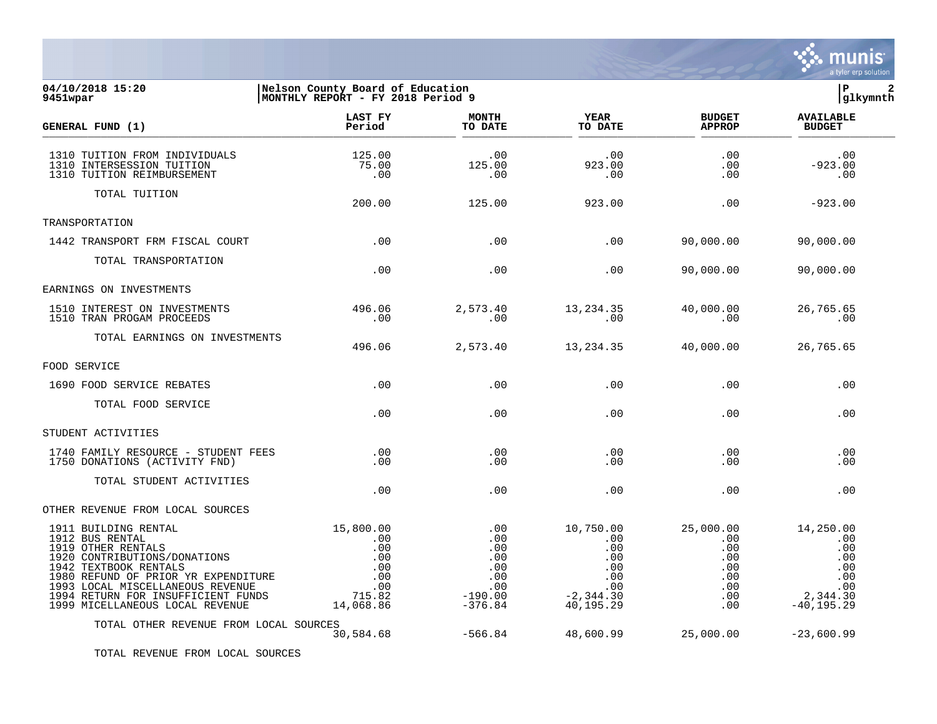

# **04/10/2018 15:20 |Nelson County Board of Education |P 2 9451wpar |MONTHLY REPORT - FY 2018 Period 9 |glkymnth**

| GENERAL FUND (1)                                                                                                                                                                                                                                                           | LAST FY<br>Period                                                          | <b>MONTH</b><br>TO DATE                                                 | <b>YEAR</b><br>TO DATE                                                           | <b>BUDGET</b><br><b>APPROP</b>                                         | <b>AVAILABLE</b><br><b>BUDGET</b>                                         |
|----------------------------------------------------------------------------------------------------------------------------------------------------------------------------------------------------------------------------------------------------------------------------|----------------------------------------------------------------------------|-------------------------------------------------------------------------|----------------------------------------------------------------------------------|------------------------------------------------------------------------|---------------------------------------------------------------------------|
| 1310 TUITION FROM INDIVIDUALS<br>1310 INTERSESSION TUITION<br>1310 TUITION REIMBURSEMENT                                                                                                                                                                                   | 125.00<br>75.00<br>.00                                                     | .00<br>125.00<br>$\,.\,00$                                              | .00<br>923.00<br>.00                                                             | .00<br>.00<br>.00                                                      | .00<br>$-923.00$<br>$\overline{\phantom{0}}$ .00                          |
| TOTAL TUITION                                                                                                                                                                                                                                                              | 200.00                                                                     | 125.00                                                                  | 923.00                                                                           | .00                                                                    | $-923.00$                                                                 |
| TRANSPORTATION                                                                                                                                                                                                                                                             |                                                                            |                                                                         |                                                                                  |                                                                        |                                                                           |
| 1442 TRANSPORT FRM FISCAL COURT                                                                                                                                                                                                                                            | $\overline{00}$                                                            | .00                                                                     | .00                                                                              | 90,000.00                                                              | 90,000.00                                                                 |
| TOTAL TRANSPORTATION                                                                                                                                                                                                                                                       | .00                                                                        | .00                                                                     | .00                                                                              | 90,000.00                                                              | 90,000.00                                                                 |
| EARNINGS ON INVESTMENTS                                                                                                                                                                                                                                                    |                                                                            |                                                                         |                                                                                  |                                                                        |                                                                           |
| 1510 INTEREST ON INVESTMENTS<br>1510 TRAN PROGAM PROCEEDS                                                                                                                                                                                                                  | 496.06<br>$\sim 00$                                                        | 2,573.40<br>.00                                                         | 13,234.35<br>$\sim$ 00                                                           | 40,000.00<br>$\sim$ 00                                                 | 26,765.65<br>$\sim$ 00                                                    |
| TOTAL EARNINGS ON INVESTMENTS                                                                                                                                                                                                                                              | 496.06                                                                     | 2,573.40                                                                | 13,234.35                                                                        | 40,000.00                                                              | 26,765.65                                                                 |
| FOOD SERVICE                                                                                                                                                                                                                                                               |                                                                            |                                                                         |                                                                                  |                                                                        |                                                                           |
| 1690 FOOD SERVICE REBATES                                                                                                                                                                                                                                                  | $\overline{00}$                                                            | .00                                                                     | .00                                                                              | .00                                                                    | .00                                                                       |
| TOTAL FOOD SERVICE                                                                                                                                                                                                                                                         | .00                                                                        | .00                                                                     | .00                                                                              | .00                                                                    | .00                                                                       |
| STUDENT ACTIVITIES                                                                                                                                                                                                                                                         |                                                                            |                                                                         |                                                                                  |                                                                        |                                                                           |
| 1740 FAMILY RESOURCE - STUDENT FEES<br>1750 DONATIONS (ACTIVITY FND)                                                                                                                                                                                                       | .00<br>.00                                                                 | .00<br>.00                                                              | .00<br>.00                                                                       | .00<br>$.00 \,$                                                        | .00<br>.00                                                                |
| TOTAL STUDENT ACTIVITIES                                                                                                                                                                                                                                                   | .00                                                                        | .00                                                                     | .00                                                                              | .00                                                                    | .00                                                                       |
| OTHER REVENUE FROM LOCAL SOURCES                                                                                                                                                                                                                                           |                                                                            |                                                                         |                                                                                  |                                                                        |                                                                           |
| 1911 BUILDING RENTAL<br>1912 BUS RENTAL<br>1919 OTHER RENTALS<br>1920 CONTRIBUTIONS/DONATIONS<br>1942 TEXTBOOK RENTALS<br>1980 REFUND OF PRIOR YR EXPENDITURE<br>1993 LOCAL MISCELLANEOUS REVENUE<br>1994 RETURN FOR INSUFFICIENT FUNDS<br>1999 MICELLANEOUS LOCAL REVENUE | 15,800.00<br>.00<br>.00<br>.00<br>.00<br>.00<br>.00<br>715.82<br>14,068.86 | .00<br>.00<br>.00<br>.00<br>.00<br>.00<br>.00<br>$-190.00$<br>$-376.84$ | 10,750.00<br>.00<br>.00<br>.00<br>.00<br>.00<br>.00<br>$-2, 344.30$<br>40,195.29 | 25,000.00<br>.00<br>.00<br>.00<br>$.00 \,$<br>.00<br>.00<br>.00<br>.00 | 14,250.00<br>.00<br>.00<br>.00<br>.00<br>.00<br>2,344.30<br>$-40, 195.29$ |
| TOTAL OTHER REVENUE FROM LOCAL SOURCES                                                                                                                                                                                                                                     | 30,584.68                                                                  | $-566.84$                                                               | 48,600.99                                                                        | 25,000.00                                                              | $-23,600.99$                                                              |

TOTAL REVENUE FROM LOCAL SOURCES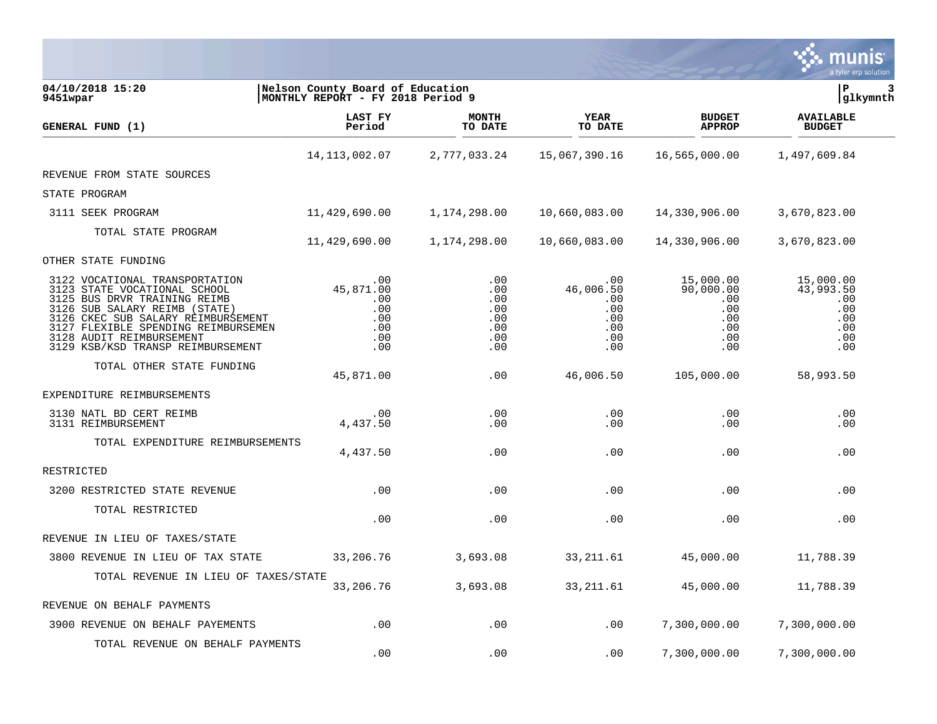|                                                                                                                                                                                                                                                                                     |                                                                       |                                                      |                                                            |                                                                                           | a tyler erp solution                                             |
|-------------------------------------------------------------------------------------------------------------------------------------------------------------------------------------------------------------------------------------------------------------------------------------|-----------------------------------------------------------------------|------------------------------------------------------|------------------------------------------------------------|-------------------------------------------------------------------------------------------|------------------------------------------------------------------|
| 04/10/2018 15:20<br>9451wpar                                                                                                                                                                                                                                                        | Nelson County Board of Education<br>MONTHLY REPORT - FY 2018 Period 9 |                                                      |                                                            |                                                                                           | lР<br>3<br> glkymnth                                             |
| <b>GENERAL FUND (1)</b>                                                                                                                                                                                                                                                             | LAST FY<br>Period                                                     | <b>MONTH</b><br>TO DATE                              | YEAR<br>TO DATE                                            | <b>BUDGET</b><br><b>APPROP</b>                                                            | <b>AVAILABLE</b><br><b>BUDGET</b>                                |
|                                                                                                                                                                                                                                                                                     | 14, 113, 002.07                                                       | 2,777,033.24                                         | 15,067,390.16                                              | 16,565,000.00                                                                             | 1,497,609.84                                                     |
| REVENUE FROM STATE SOURCES                                                                                                                                                                                                                                                          |                                                                       |                                                      |                                                            |                                                                                           |                                                                  |
| STATE PROGRAM                                                                                                                                                                                                                                                                       |                                                                       |                                                      |                                                            |                                                                                           |                                                                  |
| 3111 SEEK PROGRAM                                                                                                                                                                                                                                                                   | 11,429,690.00                                                         | 1,174,298.00                                         | 10,660,083.00                                              | 14,330,906.00                                                                             | 3,670,823.00                                                     |
| TOTAL STATE PROGRAM                                                                                                                                                                                                                                                                 | 11,429,690.00                                                         | 1,174,298.00                                         | 10,660,083.00                                              | 14,330,906.00                                                                             | 3,670,823.00                                                     |
| OTHER STATE FUNDING                                                                                                                                                                                                                                                                 |                                                                       |                                                      |                                                            |                                                                                           |                                                                  |
| 3122 VOCATIONAL TRANSPORTATION<br>3123 STATE VOCATIONAL SCHOOL<br>3125 BUS DRVR TRAINING REIMB<br>3126<br>SUB SALARY REIMB (STATE)<br>3126<br>CKEC SUB SALARY REIMBURSEMENT<br>3127 FLEXIBLE SPENDING REIMBURSEMEN<br>3128 AUDIT REIMBURSEMENT<br>3129 KSB/KSD TRANSP REIMBURSEMENT | .00<br>45,871.00<br>.00<br>.00<br>.00<br>.00<br>.00<br>.00            | .00<br>.00<br>.00<br>.00<br>.00<br>.00<br>.00<br>.00 | .00<br>46,006.50<br>.00<br>.00<br>.00<br>.00<br>.00<br>.00 | 15,000.00<br>90,000.00<br>$.00 \,$<br>$.00 \,$<br>$.00 \,$<br>$.00 \,$<br>$.00 \,$<br>.00 | 15,000.00<br>43,993.50<br>.00<br>.00<br>.00<br>.00<br>.00<br>.00 |
| TOTAL OTHER STATE FUNDING                                                                                                                                                                                                                                                           | 45,871.00                                                             | .00                                                  | 46,006.50                                                  | 105,000.00                                                                                | 58,993.50                                                        |
| EXPENDITURE REIMBURSEMENTS                                                                                                                                                                                                                                                          |                                                                       |                                                      |                                                            |                                                                                           |                                                                  |
| 3130 NATL BD CERT REIMB<br>3131 REIMBURSEMENT                                                                                                                                                                                                                                       | .00<br>4,437.50                                                       | .00<br>.00                                           | .00<br>.00                                                 | .00<br>.00                                                                                | .00<br>.00                                                       |
| TOTAL EXPENDITURE REIMBURSEMENTS                                                                                                                                                                                                                                                    | 4,437.50                                                              | .00                                                  | .00                                                        | .00                                                                                       | .00                                                              |
| RESTRICTED                                                                                                                                                                                                                                                                          |                                                                       |                                                      |                                                            |                                                                                           |                                                                  |
| 3200 RESTRICTED STATE REVENUE                                                                                                                                                                                                                                                       | .00                                                                   | .00                                                  | .00                                                        | .00                                                                                       | .00                                                              |
| TOTAL RESTRICTED                                                                                                                                                                                                                                                                    | .00                                                                   | .00                                                  | .00                                                        | .00                                                                                       | .00                                                              |
| REVENUE IN LIEU OF TAXES/STATE                                                                                                                                                                                                                                                      |                                                                       |                                                      |                                                            |                                                                                           |                                                                  |
| 3800 REVENUE IN LIEU OF TAX STATE                                                                                                                                                                                                                                                   | 33,206.76                                                             | 3,693.08                                             | 33, 211.61                                                 | 45,000.00                                                                                 | 11,788.39                                                        |
| TOTAL REVENUE IN LIEU OF TAXES/STATE                                                                                                                                                                                                                                                | 33,206.76                                                             | 3,693.08                                             | 33, 211.61                                                 | 45,000.00                                                                                 | 11,788.39                                                        |
| REVENUE ON BEHALF PAYMENTS                                                                                                                                                                                                                                                          |                                                                       |                                                      |                                                            |                                                                                           |                                                                  |
| 3900 REVENUE ON BEHALF PAYEMENTS                                                                                                                                                                                                                                                    | .00                                                                   | .00                                                  | .00                                                        | 7,300,000.00                                                                              | 7,300,000.00                                                     |
| TOTAL REVENUE ON BEHALF PAYMENTS                                                                                                                                                                                                                                                    | .00                                                                   | .00                                                  | .00                                                        | 7,300,000.00                                                                              | 7,300,000.00                                                     |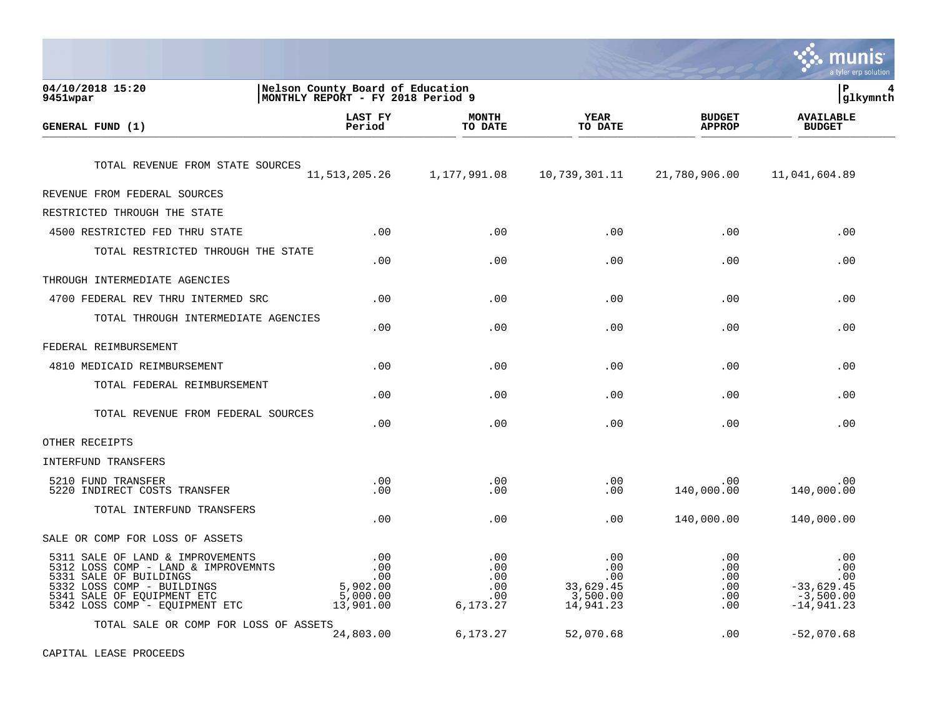|                                                                                                                                                                                                 |                                                                       |                                             |                                                         |                                        | nıs<br>a tyler erp solution                                      |
|-------------------------------------------------------------------------------------------------------------------------------------------------------------------------------------------------|-----------------------------------------------------------------------|---------------------------------------------|---------------------------------------------------------|----------------------------------------|------------------------------------------------------------------|
| 04/10/2018 15:20<br>9451wpar                                                                                                                                                                    | Nelson County Board of Education<br>MONTHLY REPORT - FY 2018 Period 9 |                                             |                                                         |                                        | lР<br> glkymnth                                                  |
| GENERAL FUND (1)                                                                                                                                                                                | LAST FY<br>Period                                                     | <b>MONTH</b><br>TO DATE                     | <b>YEAR</b><br>TO DATE                                  | <b>BUDGET</b><br><b>APPROP</b>         | <b>AVAILABLE</b><br><b>BUDGET</b>                                |
| TOTAL REVENUE FROM STATE SOURCES                                                                                                                                                                | 11,513,205.26                                                         | 1,177,991.08                                | 10,739,301.11                                           | 21,780,906.00                          | 11,041,604.89                                                    |
| REVENUE FROM FEDERAL SOURCES                                                                                                                                                                    |                                                                       |                                             |                                                         |                                        |                                                                  |
| RESTRICTED THROUGH THE STATE                                                                                                                                                                    |                                                                       |                                             |                                                         |                                        |                                                                  |
| 4500 RESTRICTED FED THRU STATE                                                                                                                                                                  | .00                                                                   | .00                                         | .00                                                     | .00                                    | .00                                                              |
| TOTAL RESTRICTED THROUGH THE STATE                                                                                                                                                              | .00                                                                   | .00                                         | .00                                                     | .00                                    | .00                                                              |
| THROUGH INTERMEDIATE AGENCIES                                                                                                                                                                   |                                                                       |                                             |                                                         |                                        |                                                                  |
| 4700 FEDERAL REV THRU INTERMED SRC                                                                                                                                                              | .00                                                                   | .00                                         | .00                                                     | .00                                    | .00                                                              |
| TOTAL THROUGH INTERMEDIATE AGENCIES                                                                                                                                                             | .00                                                                   | .00                                         | .00                                                     | .00                                    | .00                                                              |
| FEDERAL REIMBURSEMENT                                                                                                                                                                           |                                                                       |                                             |                                                         |                                        |                                                                  |
| 4810 MEDICAID REIMBURSEMENT                                                                                                                                                                     | .00                                                                   | .00                                         | .00                                                     | .00                                    | .00                                                              |
| TOTAL FEDERAL REIMBURSEMENT                                                                                                                                                                     | .00                                                                   | .00                                         | .00                                                     | .00                                    | .00                                                              |
| TOTAL REVENUE FROM FEDERAL SOURCES                                                                                                                                                              | .00.                                                                  | .00                                         | .00                                                     | .00.                                   | .00                                                              |
| OTHER RECEIPTS                                                                                                                                                                                  |                                                                       |                                             |                                                         |                                        |                                                                  |
| <b>INTERFUND TRANSFERS</b>                                                                                                                                                                      |                                                                       |                                             |                                                         |                                        |                                                                  |
| 5210 FUND TRANSFER<br>5220 INDIRECT COSTS TRANSFER                                                                                                                                              | .00<br>.00                                                            | .00<br>.00                                  | .00<br>.00                                              | .00.<br>140,000.00                     | .00<br>140,000.00                                                |
| TOTAL INTERFUND TRANSFERS                                                                                                                                                                       | .00                                                                   | .00                                         | .00                                                     | 140,000.00                             | 140,000.00                                                       |
| SALE OR COMP FOR LOSS OF ASSETS                                                                                                                                                                 |                                                                       |                                             |                                                         |                                        |                                                                  |
| 5311 SALE OF LAND & IMPROVEMENTS<br>5312 LOSS COMP - LAND & IMPROVEMNTS<br>5331 SALE OF BUILDINGS<br>5332 LOSS COMP - BUILDINGS<br>5341 SALE OF EQUIPMENT ETC<br>5342 LOSS COMP - EQUIPMENT ETC | .00<br>.00<br>.00<br>5,902.00<br>5,000.00<br>13,901.00                | .00<br>.00<br>.00<br>.00<br>.00<br>6,173.27 | .00<br>.00<br>.00<br>33,629.45<br>3,500.00<br>14,941.23 | .00<br>.00<br>.00<br>.00<br>.00<br>.00 | .00<br>.00<br>.00<br>$-33,629.45$<br>$-3,500.00$<br>$-14,941.23$ |
| TOTAL SALE OR COMP FOR LOSS OF ASSETS                                                                                                                                                           | 24,803.00                                                             | 6,173.27                                    | 52,070.68                                               | .00                                    | $-52,070.68$                                                     |

**COL** 

CAPITAL LEASE PROCEEDS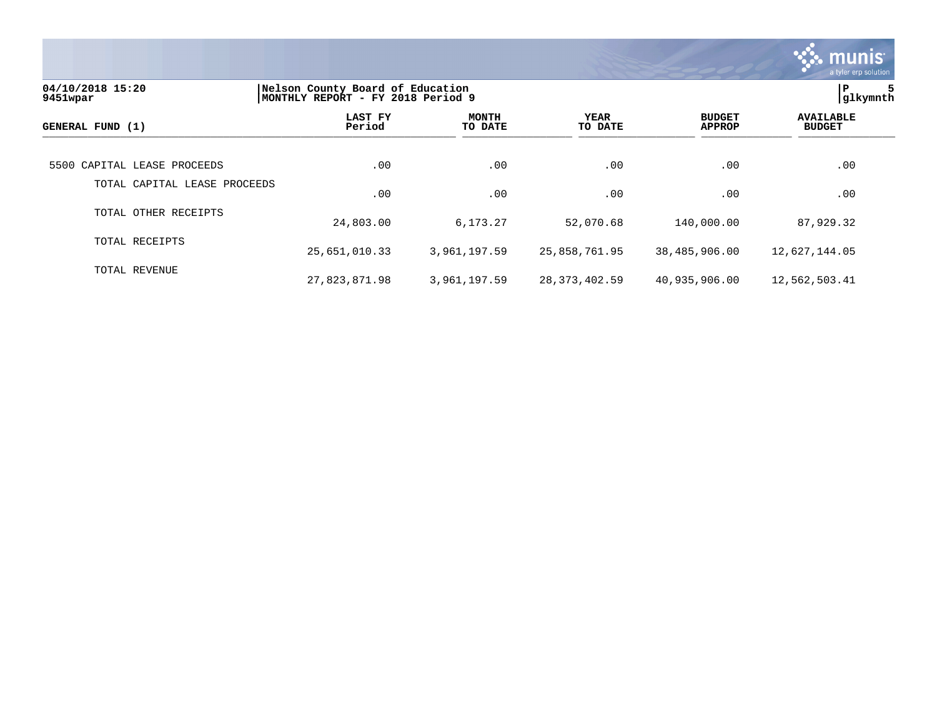

| 04/10/2018 15:20<br>9451wpar | Nelson County Board of Education<br>MONTHLY REPORT - FY 2018 Period 9 | 5<br> qlkymnth          |                 |                                |                                   |
|------------------------------|-----------------------------------------------------------------------|-------------------------|-----------------|--------------------------------|-----------------------------------|
| GENERAL FUND (1)             | LAST FY<br>Period                                                     | <b>MONTH</b><br>TO DATE | YEAR<br>TO DATE | <b>BUDGET</b><br><b>APPROP</b> | <b>AVAILABLE</b><br><b>BUDGET</b> |
| 5500 CAPITAL LEASE PROCEEDS  | .00                                                                   | .00                     | .00             | .00                            | .00                               |
| TOTAL CAPITAL LEASE PROCEEDS | .00                                                                   | .00                     | .00             | .00                            | .00                               |
| TOTAL OTHER RECEIPTS         | 24,803.00                                                             | 6,173.27                | 52,070.68       | 140,000.00                     | 87,929.32                         |
| TOTAL RECEIPTS               | 25,651,010.33                                                         | 3,961,197.59            | 25,858,761.95   | 38,485,906.00                  | 12,627,144.05                     |
| TOTAL REVENUE                | 27,823,871.98                                                         | 3,961,197.59            | 28, 373, 402.59 | 40,935,906.00                  | 12,562,503.41                     |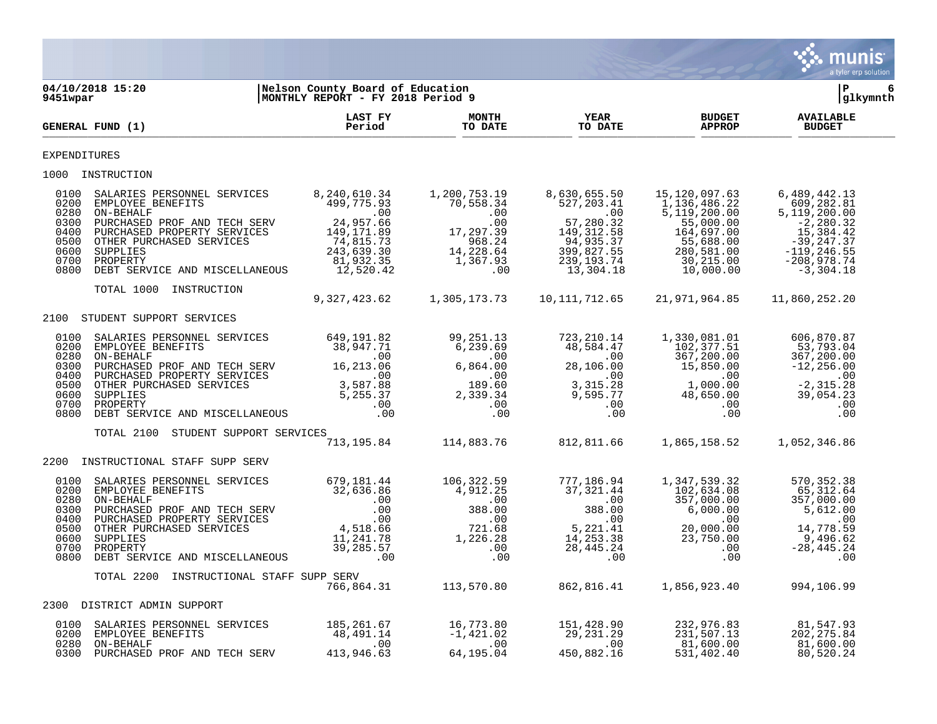

| 9451wpar                                                             | 04/10/2018 15:20                                                                                                                                                                                                                                                                                                                 | Nelson County Board of Education<br>MONTHLY REPORT - FY 2018 Period 9 |                               |                                                                                                                               |                                                     | ΙP<br>6<br> glkymnth                                                                                                                       |
|----------------------------------------------------------------------|----------------------------------------------------------------------------------------------------------------------------------------------------------------------------------------------------------------------------------------------------------------------------------------------------------------------------------|-----------------------------------------------------------------------|-------------------------------|-------------------------------------------------------------------------------------------------------------------------------|-----------------------------------------------------|--------------------------------------------------------------------------------------------------------------------------------------------|
|                                                                      | GENERAL FUND (1)                                                                                                                                                                                                                                                                                                                 | LAST FY<br>Period                                                     | <b>MONTH</b><br>TO DATE       | <b>YEAR</b><br>TO DATE                                                                                                        | <b>BUDGET</b><br><b>APPROP</b>                      | <b>AVAILABLE</b><br><b>BUDGET</b>                                                                                                          |
| <b>EXPENDITURES</b>                                                  |                                                                                                                                                                                                                                                                                                                                  |                                                                       |                               |                                                                                                                               |                                                     |                                                                                                                                            |
|                                                                      | 1000 INSTRUCTION                                                                                                                                                                                                                                                                                                                 |                                                                       |                               |                                                                                                                               |                                                     |                                                                                                                                            |
| 0100                                                                 | SALARIES PERSONNEL SERVICES 8,240,610.34 1,200,753.19 8,630,655.50<br>0200 SALARIES PERSONNEL SERVICES<br>0200 EMPLOYEE BENEFITS<br>0200 ON-BEHALF<br>0200 ON-BENEFITS<br>0300 DURCHASED PROF AND TECH SERV<br>0300 DURCHASED PROF AND TECH SERV<br>0280 ON-BENERTY SERVICES<br>0280 ON-BENERITY SERVICES<br>0280 ON             |                                                                       |                               |                                                                                                                               | 15,120,097.63                                       | 6,489,442.13<br>609,282.81<br>5,119,200.00<br>$-2, 280.32$<br>15,384.42<br>$-39, 247.37$<br>$-119, 246.55$<br>$-208,978.74$<br>$-3,304.18$ |
|                                                                      | TOTAL 1000 INSTRUCTION                                                                                                                                                                                                                                                                                                           |                                                                       | 9, 327, 423.62 1, 305, 173.73 |                                                                                                                               | 10, 111, 712. 65 21, 971, 964. 85                   | 11,860,252.20                                                                                                                              |
|                                                                      | 2100 STUDENT SUPPORT SERVICES                                                                                                                                                                                                                                                                                                    |                                                                       |                               |                                                                                                                               |                                                     |                                                                                                                                            |
| 0100<br>0200<br>0280<br>0300<br>0400<br>0500<br>0600<br>0700<br>0800 | 3ALARTES PERSONNEL SERVICES 649,191.82 99,251.13 723,210.14 1,330,081.01 606,870.87<br>EMPLOYEE BENEFITS 38,947.71 6,239.69 48,584.47 102,377.51 53,793.04<br>DRCHASED PROF AND TECH SERV 16,213.06 6,864.00 367,200.00 15,850.00                                                                                                |                                                                       |                               |                                                                                                                               |                                                     |                                                                                                                                            |
|                                                                      | STUDENT SUPPORT SERVICES<br>TOTAL 2100                                                                                                                                                                                                                                                                                           |                                                                       |                               | ,1052,346.86<br>713,195.84                114,883.76                812,811.66            1,865,158.52           1,052,346.86 |                                                     |                                                                                                                                            |
| 2200                                                                 | INSTRUCTIONAL STAFF SUPP SERV                                                                                                                                                                                                                                                                                                    |                                                                       |                               |                                                                                                                               |                                                     |                                                                                                                                            |
|                                                                      | $\begin{array}{cccccccc} 0100 & \texttt{SALARIES } \texttt{BERSONNEL} & \texttt{SERVICES} & 679, 181, 44 & 106, 322.59 & 777, 186.94 & 1, 347, 539, 32 & 570, 352.38 \\ 0200 & \texttt{empLOYEE } \texttt{EBNEPTTS} & 32, 636.86 & 4, 912.25 & 37, 321.44 & 102, 634.08 & 65, 312.64 \\ 0380 & \texttt{ON-ERASED } \texttt{PROP$ |                                                                       |                               |                                                                                                                               |                                                     |                                                                                                                                            |
|                                                                      | TOTAL 2200 INSTRUCTIONAL STAFF SUPP SERV<br>766,864.31 113,570.80                                                                                                                                                                                                                                                                |                                                                       |                               |                                                                                                                               | 862,816.41 1,856,923.40                             | 994,106.99                                                                                                                                 |
| 2300                                                                 | DISTRICT ADMIN SUPPORT                                                                                                                                                                                                                                                                                                           |                                                                       |                               |                                                                                                                               |                                                     |                                                                                                                                            |
|                                                                      | 0100 SALARIES PERSONNEL SERVICES 185,261.67 16,773.80<br>0200 EMPLOYEE BENEFITS 48,491.14 -1,421.02<br>0280 ON-BEHALF .00<br>0300 PURCHASED PROF AND TECH SERV 413,946.63 64,195.04                                                                                                                                              |                                                                       |                               | 151,428.90<br>29,231.29<br>.00<br>450,882.16                                                                                  | 232,976.83<br>231,507.13<br>81,600.00<br>531,402.40 | 81,547.93<br>202, 275.84<br>81,600.00<br>80,520.24                                                                                         |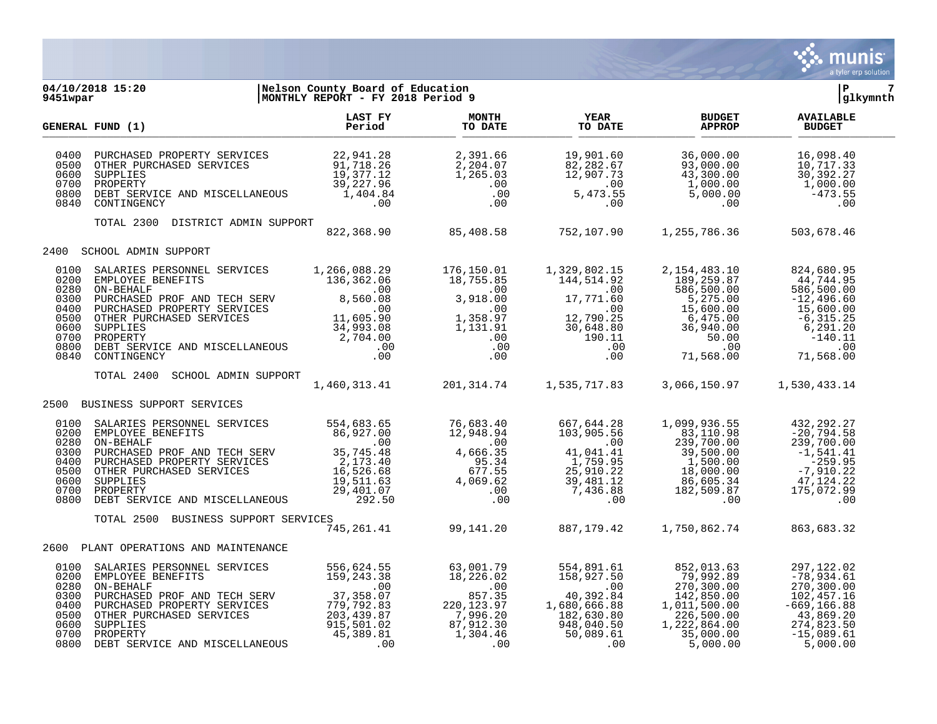

# **04/10/2018 15:20 |Nelson County Board of Education |P 7 9451wpar |MONTHLY REPORT - FY 2018 Period 9 |glkymnth**

|                                                                      | GENERAL FUND (1)                                                                                                                                                                                                                                                            | <b>LAST FY</b><br>Period                                                                                                                                    | <b>MONTH</b><br>TO DATE                                                                                                                                                                                                                                                                       | YEAR<br>TO DATE                                                                                                           | <b>BUDGET</b><br><b>APPROP</b>                                                                                                                                    | <b>AVAILABLE</b><br><b>BUDGET</b>                                                                                               |
|----------------------------------------------------------------------|-----------------------------------------------------------------------------------------------------------------------------------------------------------------------------------------------------------------------------------------------------------------------------|-------------------------------------------------------------------------------------------------------------------------------------------------------------|-----------------------------------------------------------------------------------------------------------------------------------------------------------------------------------------------------------------------------------------------------------------------------------------------|---------------------------------------------------------------------------------------------------------------------------|-------------------------------------------------------------------------------------------------------------------------------------------------------------------|---------------------------------------------------------------------------------------------------------------------------------|
| 0400<br>0500<br>0600<br>0800<br>0840                                 | PURCHASED PROPERTY SERVICES<br>OTHER PURCHASED SERVICES<br>SUPPLIES<br>PROPERTY<br>PROPERTY<br>DEBT SERVICE AND MISCELLANEOUS<br>CONTINGENCY<br>CONTINGENCY<br>CONTINGENCY<br>CONTINGENCY<br>CONTINGENCY<br>CONTINGENCY<br>CONTINGENCY<br>CONTINGENCY<br>C<br>0700 PROPERTY |                                                                                                                                                             | 2,391.66<br>2,204.07<br>1,265.03<br>$\begin{array}{c} 0.03 \\ .00 \\ .00 \\ .00 \end{array}$<br>$00$<br>00.<br>00.                                                                                                                                                                            | 19,901.60<br>82,282.67<br>12,907.73<br>$\sim$ 00<br>5,473.55<br>.00                                                       | 36,000.00<br>93,000.00<br>43,300.00<br>$1,000.00$<br>5,000.00<br>.00                                                                                              | 16,098.40<br>10,717.33<br>30,392.27<br>1,000.00<br>$-473.55$<br>.00                                                             |
|                                                                      | TOTAL 2300 DISTRICT ADMIN SUPPORT                                                                                                                                                                                                                                           |                                                                                                                                                             | 822,368.90 85,408.58                                                                                                                                                                                                                                                                          |                                                                                                                           | 752,107.90 1,255,786.36                                                                                                                                           | 503,678.46                                                                                                                      |
| 2400                                                                 | SCHOOL ADMIN SUPPORT                                                                                                                                                                                                                                                        |                                                                                                                                                             |                                                                                                                                                                                                                                                                                               |                                                                                                                           |                                                                                                                                                                   |                                                                                                                                 |
| 0100<br>0200<br>0280<br>0300<br>0400<br>0500<br>0600                 | SALARIES PERSONNEL SERVICES<br>EMPLOYEE BENEFITS<br>ON-BEHALF<br>PURCHASED PROF AND TECH SERV<br>PURCHASED PROPERTY SERVICES<br>OTHER DURCHASED SERVICES<br>SUPPLIES<br>0800 DEBT SERVICE AND MISCELLANEOUS 2,704.00<br>0840 CONTINGENCY 0840                               | 1,266,088.29<br>$-7\overline{136}$ , $362.06$<br>nn<br>.00<br>8,560.08<br>$\sim 00$<br>11,605.90<br>34,993.08<br>$\begin{array}{c} 0.00 \ 0.00 \end{array}$ | 176,150.01<br>18,755.85<br>.00<br>$\begin{array}{cc} .00 & .00 \ 0.08 & 3\,, 918\, .00 \ .00 & .00 \ 5.90 & 1\,, 358\, .97 \ 3.08 & 1\,, 131\, .91 \ 4.00 & .00 \ .00 & .00 \ .00 \end{array}$<br>$\begin{array}{ccc} & / & & \\ 31 & & & \\ 00 & & & \\ 00 & & & \\ 00 & & & \\ \end{array}$ | 1,329,802.15<br>144,514.92<br>.00<br>17,771.60<br>$12,790.25$<br>30,648.80<br>30,648.80<br>190.11<br>.00<br>.00           | 2,154,483.10<br>189,259.87<br>586,500.00<br>5,275.00<br>15,600.00<br>6,475.00<br>36,940.00<br>$50.00$<br>.00<br>71,568.00                                         | 824,680.95<br>44,744.95<br>586,500.00<br>$-12,496.60$<br>15,600.00<br>$-6, 315.25$<br>6,291.20<br>$-140.11$<br>.00<br>71,568.00 |
|                                                                      | TOTAL 2400<br>SCHOOL ADMIN SUPPORT                                                                                                                                                                                                                                          |                                                                                                                                                             | 1,460,313.41 201,314.74                                                                                                                                                                                                                                                                       | 1,535,717.83                                                                                                              | 3,066,150.97                                                                                                                                                      | 1,530,433.14                                                                                                                    |
| 2500                                                                 | BUSINESS SUPPORT SERVICES                                                                                                                                                                                                                                                   |                                                                                                                                                             |                                                                                                                                                                                                                                                                                               |                                                                                                                           |                                                                                                                                                                   |                                                                                                                                 |
| 0100<br>0200<br>0280<br>0300<br>0400<br>0500<br>0600<br>0700<br>0800 | SALARIES PERSONNEL SERVICES<br>EMPLOYEE BENEFITS<br>ON-BEHALF<br>NT DEHABLED PROF AND TECH SERV<br>PURCHASED PROPERTY SERVICES<br>OTHER PURCHASED SERVICES<br>SUPPLIES<br>PROPERTY<br>DEBT SERVICE AND MISCELLANEOUS                                                        | 554,683.65<br>86,927.00<br>$\overline{00}$<br>35,745.48<br>2,173.40<br>16,526.68<br>19,511.63<br>29,401.07<br>292.50                                        | 76,683.40<br>12,948.94<br>$\sim 00$<br>4,666.35<br>95.34<br>677.55<br>4,069.62<br>$\begin{array}{c} \cdot & 0 \\ \cdot & \end{array}$<br>.00                                                                                                                                                  | 667,644.28<br>103,905.56<br>.00<br>41,041.41<br>1,759.95<br>25,910.22<br>39,481.12<br>7,436.88<br>.00                     | 936.55, 936.55, 936.55<br>83,110.98<br>239,700<br>$\begin{array}{r} 39,500.00 \\ 1,500.00 \\ 18,000.00 \end{array}$<br>18,000.00<br>86,605.34<br>182,509.87<br>00 | 432, 292. 27<br>$-20,794.58$<br>239,700.00<br>$-1, 541.41$<br>$-259.95$<br>$-7,910.22$<br>47,124.22<br>175,072.99<br>.00        |
|                                                                      | TOTAL 2500<br>BUSINESS SUPPORT SERVICES                                                                                                                                                                                                                                     | 745,261.41                                                                                                                                                  | 99,141.20                                                                                                                                                                                                                                                                                     | 887,179.42                                                                                                                | 1,750,862.74                                                                                                                                                      | 863,683.32                                                                                                                      |
| 2600                                                                 | PLANT OPERATIONS AND MAINTENANCE                                                                                                                                                                                                                                            |                                                                                                                                                             |                                                                                                                                                                                                                                                                                               |                                                                                                                           |                                                                                                                                                                   |                                                                                                                                 |
| 0100<br>0200<br>0280<br>0300<br>0400<br>0500<br>0600<br>0800         | SALARIES PERSONNEL SERVICES<br>EMPLOYEE BENEFITS<br>ON-BEHALF<br>PURCHASED PROF AND TECH SERV<br>PURCHASED PROPERTY SERVICES<br>OTHER PURCHASED SERVICES<br>SUPPLIES<br>0700 PROPERTY<br>DEBT SERVICE AND MISCELLANEOUS                                                     | 556,624.55<br>159,243.38<br>.00<br>37, 358.07<br>779, 792.83<br>203, 439.87<br>915,501.02<br>45,389.81<br>.00                                               | 63,001.79<br>18,226.02<br>.00<br>857.35<br>220, 123.97<br>7,996.20<br>87,912.30<br>1,304.46<br>.00                                                                                                                                                                                            | 554,891.61<br>158,927.50<br>.00<br>40,392.84<br>1,680,666.88<br>$182,630.80$<br>940.010<br>948,040.50<br>50,089.61<br>.00 | 852,013.63<br>79,992.89<br>270,300.00<br>142,850.00<br>1,011,500.00<br>226,500.00<br>1,222,864.00<br>35,000.00<br>5,000.00                                        | 297,122.02<br>$-78,934.61$<br>270,300.00<br>102,457.16<br>$-669, 166.88$<br>43,869.20<br>274,823.50<br>$-15,089.61$<br>5,000.00 |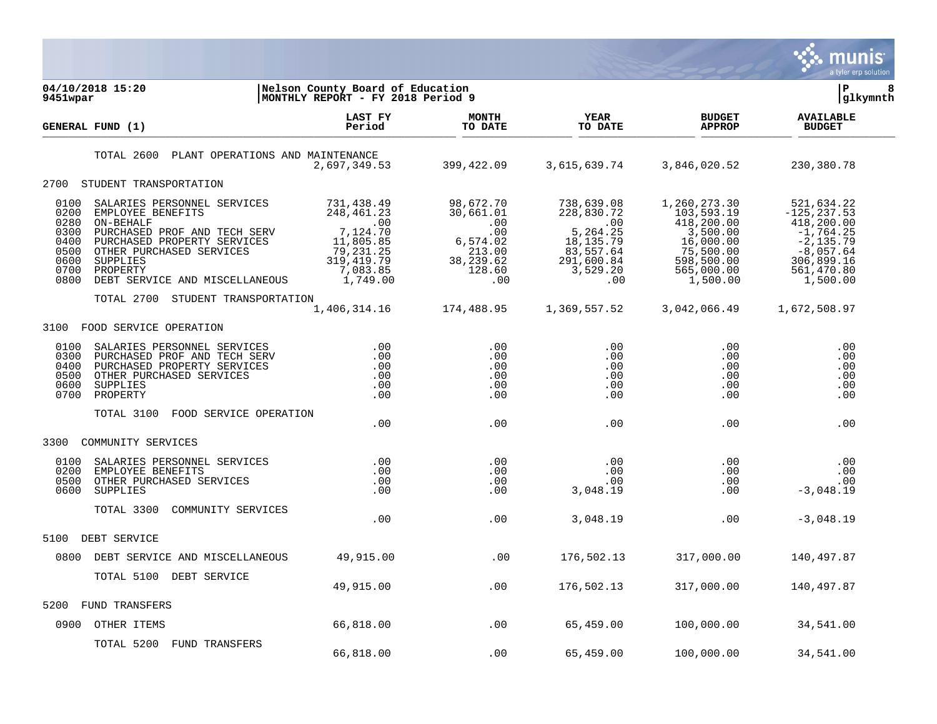

| 9451wpar                                                             | 04/10/2018 15:20                                                                                                                                                                                                   | Nelson County Board of Education<br>MONTHLY REPORT - FY 2018 Period 9                                                      |                                                                                          |                                                                                                        |                                                                                                                        | lР<br> glkymnth                                                                                                                  | 8 |
|----------------------------------------------------------------------|--------------------------------------------------------------------------------------------------------------------------------------------------------------------------------------------------------------------|----------------------------------------------------------------------------------------------------------------------------|------------------------------------------------------------------------------------------|--------------------------------------------------------------------------------------------------------|------------------------------------------------------------------------------------------------------------------------|----------------------------------------------------------------------------------------------------------------------------------|---|
|                                                                      | GENERAL FUND (1)                                                                                                                                                                                                   | LAST FY<br>Period                                                                                                          | <b>MONTH</b><br>TO DATE                                                                  | <b>YEAR</b><br>TO DATE                                                                                 | <b>BUDGET</b><br><b>APPROP</b>                                                                                         | <b>AVAILABLE</b><br><b>BUDGET</b>                                                                                                |   |
|                                                                      | PLANT OPERATIONS AND MAINTENANCE<br>TOTAL 2600                                                                                                                                                                     | 2,697,349.53                                                                                                               | 399,422.09                                                                               | 3,615,639.74                                                                                           | 3,846,020.52                                                                                                           | 230,380.78                                                                                                                       |   |
| 2700                                                                 | STUDENT TRANSPORTATION                                                                                                                                                                                             |                                                                                                                            |                                                                                          |                                                                                                        |                                                                                                                        |                                                                                                                                  |   |
| 0100<br>0200<br>0280<br>0300<br>0400<br>0500<br>0600<br>0700<br>0800 | SALARIES PERSONNEL SERVICES<br>EMPLOYEE BENEFITS<br>ON-BEHALF<br>PURCHASED PROF AND TECH SERV<br>PURCHASED PROPERTY SERVICES<br>OTHER PURCHASED SERVICES<br>SUPPLIES<br>PROPERTY<br>DEBT SERVICE AND MISCELLANEOUS | 731,438.49<br>248,461.23<br>$\overline{00}$<br>7,124.70<br>11,805.85<br>79, 231.25<br>319, 419. 79<br>7,083.85<br>1,749.00 | 98,672.70<br>30,661.01<br>.00<br>.00<br>6,574.02<br>213.00<br>38,239.62<br>128.60<br>.00 | 738,639.08<br>228,830.72<br>.00<br>5,264.25<br>18,135.79<br>83,557.64<br>291,600.84<br>3,529.20<br>.00 | 1,260,273.30<br>103,593.19<br>418,200.00<br>3,500.00<br>16,000.00<br>75,500.00<br>598,500.00<br>565,000.00<br>1,500.00 | 521,634.22<br>$-125, 237.53$<br>418,200.00<br>$-1,764.25$<br>$-2, 135.79$<br>$-8,057.64$<br>306,899.16<br>561,470.80<br>1,500.00 |   |
|                                                                      | TOTAL 2700<br>STUDENT TRANSPORTATION                                                                                                                                                                               | 1,406,314.16                                                                                                               | 174,488.95                                                                               | 1,369,557.52                                                                                           | 3,042,066.49                                                                                                           | 1,672,508.97                                                                                                                     |   |
| 3100                                                                 | FOOD SERVICE OPERATION                                                                                                                                                                                             |                                                                                                                            |                                                                                          |                                                                                                        |                                                                                                                        |                                                                                                                                  |   |
| 0100<br>0300<br>0400<br>0500<br>0600<br>0700                         | SALARIES PERSONNEL SERVICES<br>PURCHASED PROF AND TECH SERV<br>PURCHASED PROPERTY SERVICES<br>OTHER PURCHASED SERVICES<br>SUPPLIES<br>PROPERTY                                                                     | .00<br>.00<br>.00<br>.00<br>.00<br>.00                                                                                     | .00<br>$.00 \,$<br>.00<br>.00<br>.00<br>.00                                              | $.00 \,$<br>$.00 \,$<br>$.00 \,$<br>.00<br>.00<br>.00                                                  | $.00 \ \rm$<br>$.00 \,$<br>.00<br>.00<br>.00<br>.00                                                                    | .00<br>.00<br>.00<br>.00<br>.00<br>.00                                                                                           |   |
|                                                                      | TOTAL 3100<br>FOOD SERVICE OPERATION                                                                                                                                                                               | .00                                                                                                                        | .00                                                                                      | .00                                                                                                    | .00                                                                                                                    | .00                                                                                                                              |   |
| 3300                                                                 | COMMUNITY SERVICES                                                                                                                                                                                                 |                                                                                                                            |                                                                                          |                                                                                                        |                                                                                                                        |                                                                                                                                  |   |
| 0100<br>0200<br>0500<br>0600                                         | SALARIES PERSONNEL SERVICES<br>EMPLOYEE BENEFITS<br>OTHER PURCHASED SERVICES<br>SUPPLIES<br>TOTAL 3300<br>COMMUNITY SERVICES                                                                                       | .00<br>.00<br>.00<br>.00                                                                                                   | .00<br>.00<br>.00<br>.00                                                                 | .00<br>.00<br>$.00 \,$<br>3,048.19                                                                     | $.00 \ \rm$<br>$.00 \,$<br>.00<br>.00                                                                                  | .00<br>.00<br>.00<br>$-3,048.19$                                                                                                 |   |
|                                                                      |                                                                                                                                                                                                                    | .00                                                                                                                        | .00                                                                                      | 3,048.19                                                                                               | .00                                                                                                                    | $-3,048.19$                                                                                                                      |   |
| 5100                                                                 | DEBT SERVICE                                                                                                                                                                                                       |                                                                                                                            |                                                                                          |                                                                                                        |                                                                                                                        |                                                                                                                                  |   |
| 0800                                                                 | DEBT SERVICE AND MISCELLANEOUS                                                                                                                                                                                     | 49,915.00                                                                                                                  | .00                                                                                      | 176,502.13                                                                                             | 317,000.00                                                                                                             | 140,497.87                                                                                                                       |   |
|                                                                      | TOTAL 5100<br>DEBT SERVICE                                                                                                                                                                                         | 49,915.00                                                                                                                  | .00                                                                                      | 176,502.13                                                                                             | 317,000.00                                                                                                             | 140,497.87                                                                                                                       |   |
| 5200                                                                 | FUND TRANSFERS                                                                                                                                                                                                     |                                                                                                                            |                                                                                          |                                                                                                        |                                                                                                                        |                                                                                                                                  |   |
| 0900                                                                 | OTHER ITEMS                                                                                                                                                                                                        | 66,818.00                                                                                                                  | .00                                                                                      | 65,459.00                                                                                              | 100,000.00                                                                                                             | 34,541.00                                                                                                                        |   |
|                                                                      | TOTAL 5200<br><b>FUND TRANSFERS</b>                                                                                                                                                                                | 66,818.00                                                                                                                  | .00                                                                                      | 65,459.00                                                                                              | 100,000.00                                                                                                             | 34,541.00                                                                                                                        |   |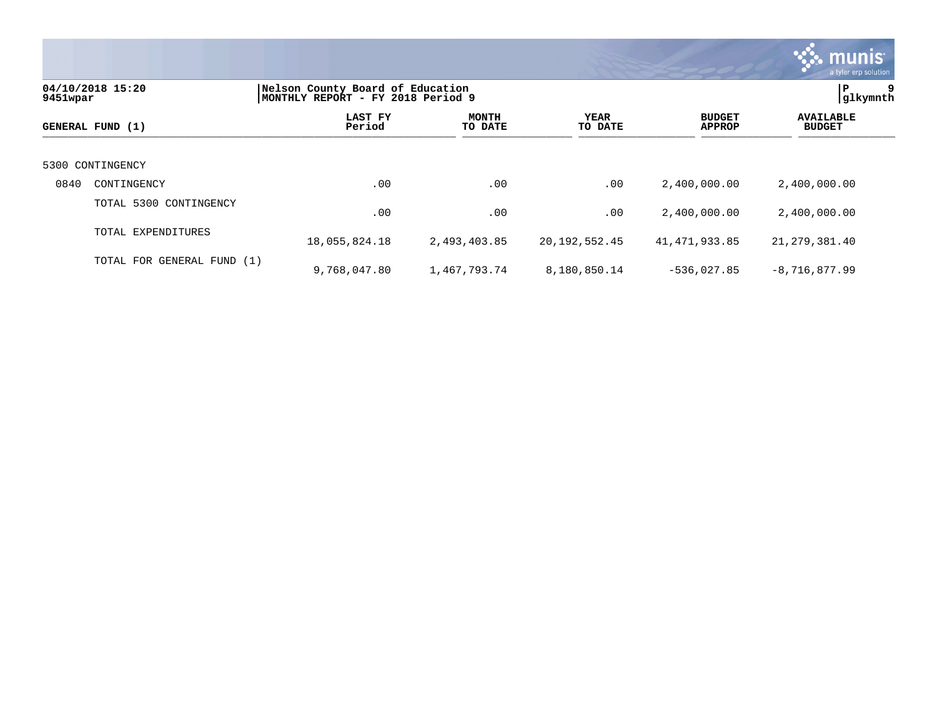|                                                                                                       |                            |                   |                         |                        |                                | <b>C. munis</b><br>a tyler erp solution. |  |
|-------------------------------------------------------------------------------------------------------|----------------------------|-------------------|-------------------------|------------------------|--------------------------------|------------------------------------------|--|
| 04/10/2018 15:20<br>Nelson County Board of Education<br>MONTHLY REPORT - FY 2018 Period 9<br>9451wpar |                            |                   |                         |                        |                                |                                          |  |
|                                                                                                       | GENERAL FUND (1)           | LAST FY<br>Period | <b>MONTH</b><br>TO DATE | <b>YEAR</b><br>TO DATE | <b>BUDGET</b><br><b>APPROP</b> | <b>AVAILABLE</b><br><b>BUDGET</b>        |  |
|                                                                                                       | 5300 CONTINGENCY           |                   |                         |                        |                                |                                          |  |
| 0840                                                                                                  | CONTINGENCY                | .00               | .00                     | .00                    | 2,400,000.00                   | 2,400,000.00                             |  |
|                                                                                                       | TOTAL 5300 CONTINGENCY     | .00               | .00                     | .00                    | 2,400,000.00                   | 2,400,000.00                             |  |
|                                                                                                       | TOTAL EXPENDITURES         | 18,055,824.18     | 2,493,403.85            | 20, 192, 552. 45       | 41,471,933.85                  | 21, 279, 381.40                          |  |
|                                                                                                       | TOTAL FOR GENERAL FUND (1) | 9,768,047.80      | 1,467,793.74            | 8,180,850.14           | $-536,027.85$                  | $-8,716,877.99$                          |  |

 $\mathcal{L}$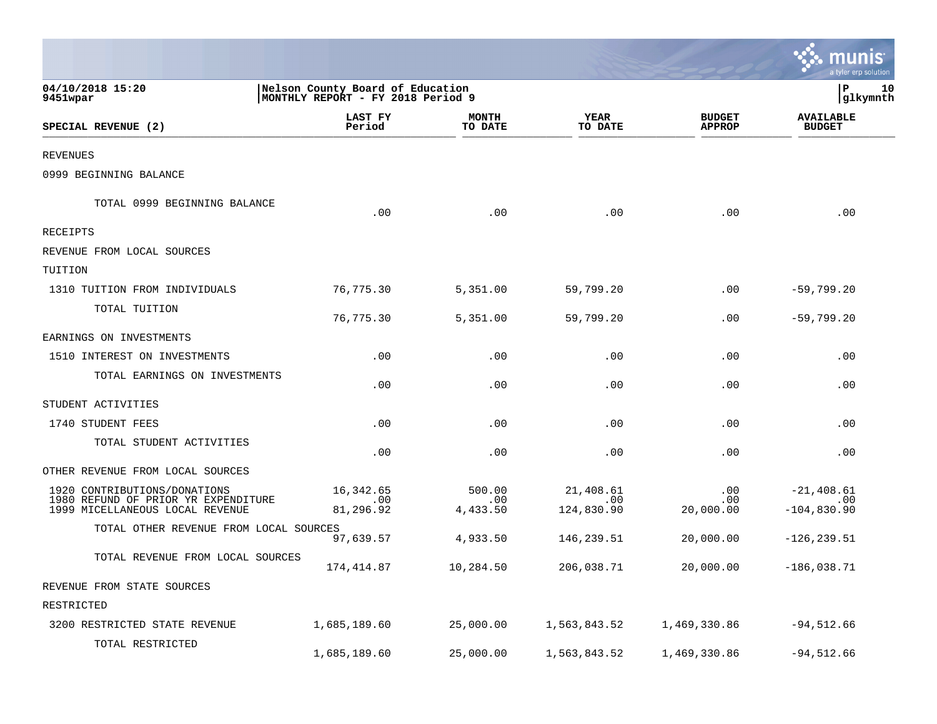|                                                                                                        |                                                                       |                           |                                |                                | munis<br>a tyler erp solution         |
|--------------------------------------------------------------------------------------------------------|-----------------------------------------------------------------------|---------------------------|--------------------------------|--------------------------------|---------------------------------------|
| 04/10/2018 15:20<br>9451wpar                                                                           | Nelson County Board of Education<br>MONTHLY REPORT - FY 2018 Period 9 |                           |                                |                                | P<br>10<br>glkymnth                   |
| SPECIAL REVENUE (2)                                                                                    | LAST FY<br>Period                                                     | <b>MONTH</b><br>TO DATE   | YEAR<br>TO DATE                | <b>BUDGET</b><br><b>APPROP</b> | <b>AVAILABLE</b><br><b>BUDGET</b>     |
| REVENUES                                                                                               |                                                                       |                           |                                |                                |                                       |
| 0999 BEGINNING BALANCE                                                                                 |                                                                       |                           |                                |                                |                                       |
| TOTAL 0999 BEGINNING BALANCE                                                                           | .00                                                                   | .00                       | .00                            | .00                            | .00                                   |
| RECEIPTS                                                                                               |                                                                       |                           |                                |                                |                                       |
| REVENUE FROM LOCAL SOURCES                                                                             |                                                                       |                           |                                |                                |                                       |
| TUITION                                                                                                |                                                                       |                           |                                |                                |                                       |
| 1310 TUITION FROM INDIVIDUALS                                                                          | 76,775.30                                                             | 5,351.00                  | 59,799.20                      | .00                            | $-59,799.20$                          |
| TOTAL TUITION                                                                                          | 76,775.30                                                             | 5,351.00                  | 59,799.20                      | .00                            | $-59,799.20$                          |
| EARNINGS ON INVESTMENTS                                                                                |                                                                       |                           |                                |                                |                                       |
| 1510 INTEREST ON INVESTMENTS                                                                           | .00                                                                   | .00                       | .00                            | .00                            | .00                                   |
| TOTAL EARNINGS ON INVESTMENTS                                                                          | .00                                                                   | .00                       | .00                            | .00                            | .00                                   |
| STUDENT ACTIVITIES                                                                                     |                                                                       |                           |                                |                                |                                       |
| 1740 STUDENT FEES                                                                                      | .00                                                                   | .00                       | .00                            | .00                            | .00                                   |
| TOTAL STUDENT ACTIVITIES                                                                               | .00                                                                   | .00                       | .00                            | .00                            | .00                                   |
| OTHER REVENUE FROM LOCAL SOURCES                                                                       |                                                                       |                           |                                |                                |                                       |
| 1920 CONTRIBUTIONS/DONATIONS<br>1980 REFUND OF PRIOR YR EXPENDITURE<br>1999 MICELLANEOUS LOCAL REVENUE | 16,342.65<br>$.00 \,$<br>81,296.92                                    | 500.00<br>.00<br>4,433.50 | 21,408.61<br>.00<br>124,830.90 | .00<br>.00<br>20,000.00        | $-21, 408.61$<br>.00<br>$-104,830.90$ |
| TOTAL OTHER REVENUE FROM LOCAL SOURCES                                                                 | 97,639.57                                                             | 4,933.50                  | 146,239.51                     | 20,000.00                      | $-126, 239.51$                        |
| TOTAL REVENUE FROM LOCAL SOURCES                                                                       | 174,414.87                                                            | 10,284.50                 | 206,038.71                     | 20,000.00                      | $-186,038.71$                         |
| REVENUE FROM STATE SOURCES                                                                             |                                                                       |                           |                                |                                |                                       |
| RESTRICTED                                                                                             |                                                                       |                           |                                |                                |                                       |
| 3200 RESTRICTED STATE REVENUE<br>TOTAL RESTRICTED                                                      | 1,685,189.60                                                          | 25,000.00                 | 1,563,843.52                   | 1,469,330.86                   | $-94,512.66$                          |
|                                                                                                        | 1,685,189.60                                                          | 25,000.00                 | 1,563,843.52                   | 1,469,330.86                   | $-94,512.66$                          |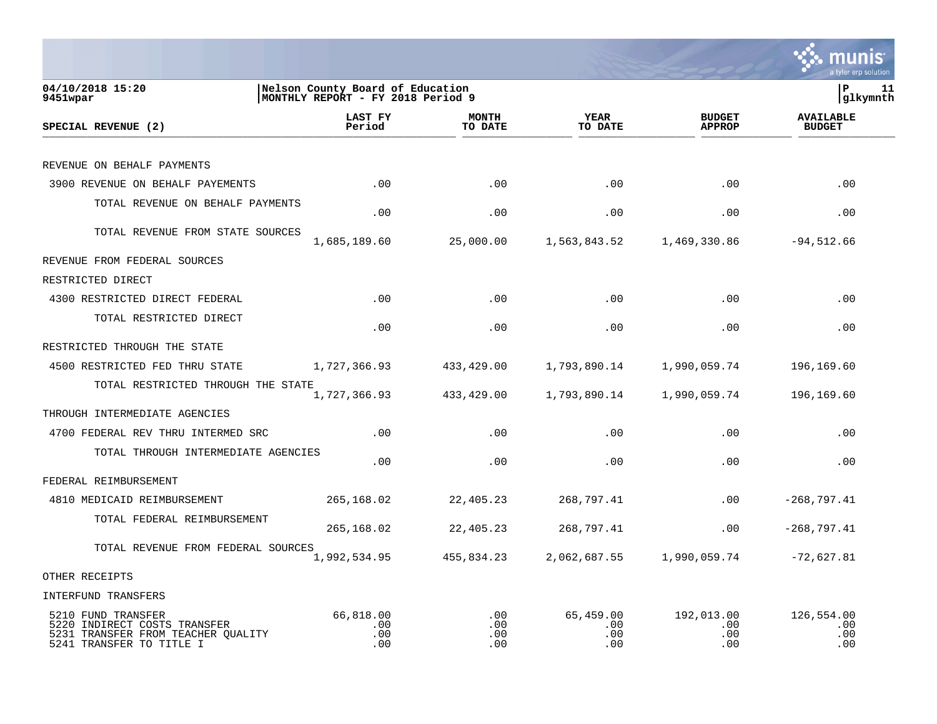

| 04/10/2018 15:20<br>9451wpar                                                                                         | Nelson County Board of Education<br>MONTHLY REPORT - FY 2018 Period 9 | P                        | 11<br>glkymnth                 |                                 |                                   |  |
|----------------------------------------------------------------------------------------------------------------------|-----------------------------------------------------------------------|--------------------------|--------------------------------|---------------------------------|-----------------------------------|--|
| SPECIAL REVENUE (2)                                                                                                  | LAST FY<br>Period                                                     | <b>MONTH</b><br>TO DATE  | <b>YEAR</b><br>TO DATE         | <b>BUDGET</b><br><b>APPROP</b>  | <b>AVAILABLE</b><br><b>BUDGET</b> |  |
|                                                                                                                      |                                                                       |                          |                                |                                 |                                   |  |
| REVENUE ON BEHALF PAYMENTS                                                                                           |                                                                       |                          |                                |                                 |                                   |  |
| 3900 REVENUE ON BEHALF PAYEMENTS                                                                                     | .00                                                                   | .00                      | .00                            | .00                             | .00                               |  |
| TOTAL REVENUE ON BEHALF PAYMENTS                                                                                     | .00                                                                   | .00                      | .00                            | .00                             | .00                               |  |
| TOTAL REVENUE FROM STATE SOURCES                                                                                     | 1,685,189.60                                                          | 25,000.00                | 1,563,843.52                   | 1,469,330.86                    | $-94,512.66$                      |  |
| REVENUE FROM FEDERAL SOURCES                                                                                         |                                                                       |                          |                                |                                 |                                   |  |
| RESTRICTED DIRECT                                                                                                    |                                                                       |                          |                                |                                 |                                   |  |
| 4300 RESTRICTED DIRECT FEDERAL                                                                                       | .00                                                                   | .00                      | .00                            | .00                             | .00                               |  |
| TOTAL RESTRICTED DIRECT                                                                                              | .00                                                                   | .00                      | .00                            | .00                             | .00                               |  |
| RESTRICTED THROUGH THE STATE                                                                                         |                                                                       |                          |                                |                                 |                                   |  |
| 4500 RESTRICTED FED THRU STATE                                                                                       | 1,727,366.93                                                          | 433,429.00               | 1,793,890.14                   | 1,990,059.74                    | 196,169.60                        |  |
| TOTAL RESTRICTED THROUGH THE STATE                                                                                   | 1,727,366.93                                                          | 433,429.00               | 1,793,890.14                   | 1,990,059.74                    | 196,169.60                        |  |
| THROUGH INTERMEDIATE AGENCIES                                                                                        |                                                                       |                          |                                |                                 |                                   |  |
| 4700 FEDERAL REV THRU INTERMED SRC                                                                                   | .00                                                                   | .00                      | .00                            | .00                             | .00                               |  |
| TOTAL THROUGH INTERMEDIATE AGENCIES                                                                                  | .00                                                                   | .00                      | .00                            | .00                             | .00                               |  |
| FEDERAL REIMBURSEMENT                                                                                                |                                                                       |                          |                                |                                 |                                   |  |
| 4810 MEDICAID REIMBURSEMENT                                                                                          | 265,168.02                                                            | 22,405.23                | 268,797.41                     | .00                             | $-268,797.41$                     |  |
| TOTAL FEDERAL REIMBURSEMENT                                                                                          | 265,168.02                                                            | 22,405.23                | 268,797.41                     | .00                             | $-268,797.41$                     |  |
| TOTAL REVENUE FROM FEDERAL SOURCES                                                                                   | 1,992,534.95                                                          | 455,834.23               | 2,062,687.55                   | 1,990,059.74                    | $-72,627.81$                      |  |
| OTHER RECEIPTS                                                                                                       |                                                                       |                          |                                |                                 |                                   |  |
| INTERFUND TRANSFERS                                                                                                  |                                                                       |                          |                                |                                 |                                   |  |
| 5210 FUND TRANSFER<br>5220 INDIRECT COSTS TRANSFER<br>5231 TRANSFER FROM TEACHER QUALITY<br>5241 TRANSFER TO TITLE I | 66,818.00<br>.00<br>.00<br>.00                                        | .00<br>.00<br>.00<br>.00 | 65,459.00<br>.00<br>.00<br>.00 | 192,013.00<br>.00<br>.00<br>.00 | 126,554.00<br>.00<br>.00<br>.00   |  |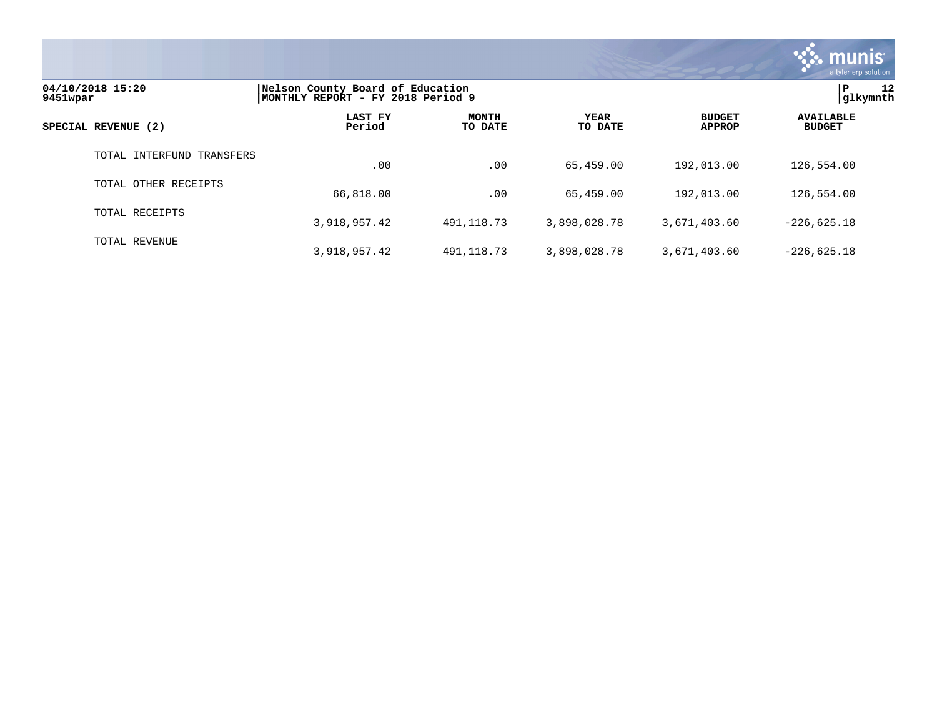

| 04/10/2018 15:20<br>9451wpar | Nelson County Board of Education<br>MONTHLY REPORT - FY 2018 Period 9 |                         |                 | 12<br> glkymnth                |                                   |
|------------------------------|-----------------------------------------------------------------------|-------------------------|-----------------|--------------------------------|-----------------------------------|
| SPECIAL REVENUE (2)          | LAST FY<br>Period                                                     | <b>MONTH</b><br>TO DATE | YEAR<br>TO DATE | <b>BUDGET</b><br><b>APPROP</b> | <b>AVAILABLE</b><br><b>BUDGET</b> |
| TOTAL INTERFUND TRANSFERS    | .00                                                                   | .00                     | 65,459.00       | 192,013.00                     | 126,554.00                        |
| OTHER RECEIPTS<br>TOTAL      | 66,818.00                                                             | .00                     | 65,459.00       | 192,013.00                     | 126,554.00                        |
| TOTAL RECEIPTS               | 3,918,957.42                                                          | 491, 118.73             | 3,898,028.78    | 3,671,403.60                   | $-226, 625.18$                    |
| TOTAL REVENUE                | 3,918,957.42                                                          | 491,118.73              | 3,898,028.78    | 3,671,403.60                   | $-226.625.18$                     |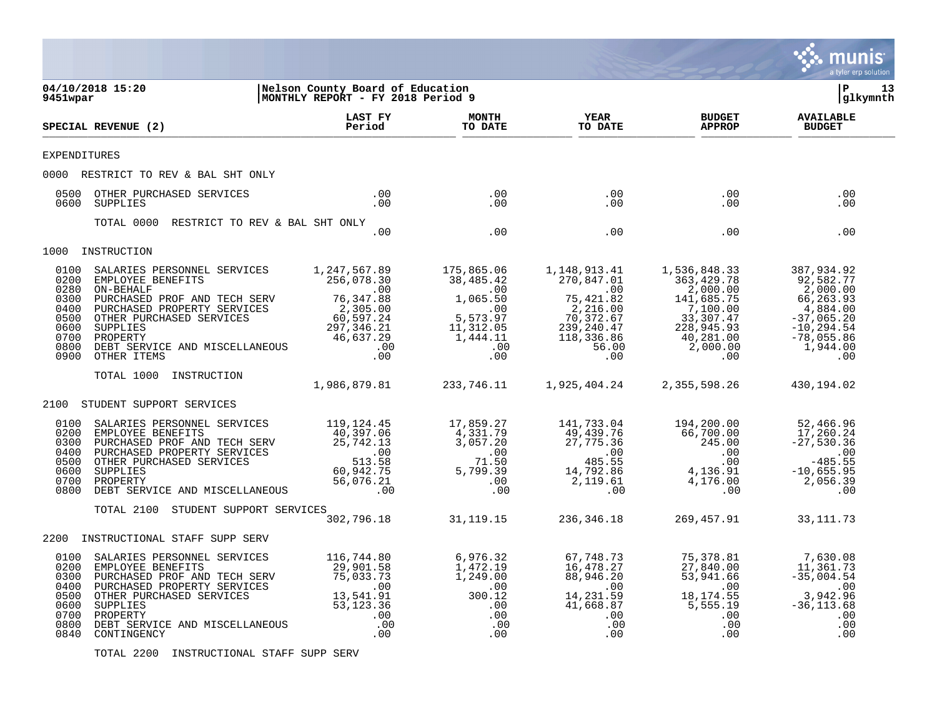

TOTAL 2200 INSTRUCTIONAL STAFF SUPP SERV

munis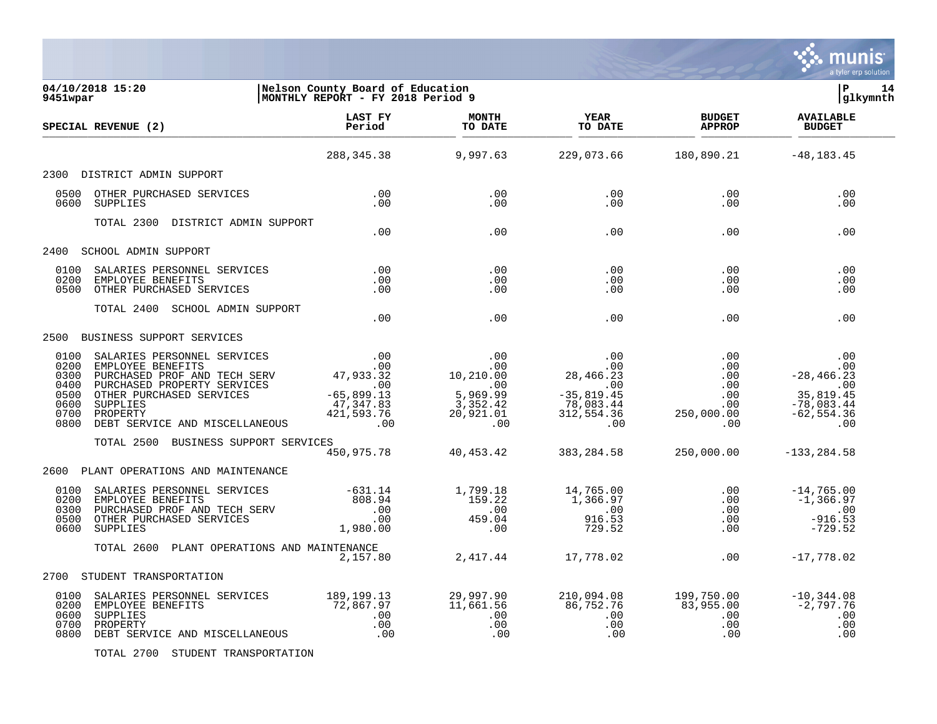

| 04/10/2018 15:20<br>9451wpar                                                                                                                                                                                                                                                                                                            | Nelson County Board of Education<br>MONTHLY REPORT - FY 2018 Period 9                                      |                   |                                                          |                                   | l P<br>14<br>glkymnth             |
|-----------------------------------------------------------------------------------------------------------------------------------------------------------------------------------------------------------------------------------------------------------------------------------------------------------------------------------------|------------------------------------------------------------------------------------------------------------|-------------------|----------------------------------------------------------|-----------------------------------|-----------------------------------|
| SPECIAL REVENUE (2)                                                                                                                                                                                                                                                                                                                     |                                                                                                            | TO DATE           | <b>YEAR</b><br>TO דיימת<br>TO DATE                       | <b>BUDGET</b><br><b>APPROP</b>    | <b>AVAILABLE</b><br><b>BUDGET</b> |
|                                                                                                                                                                                                                                                                                                                                         |                                                                                                            |                   | 288,345.38 9,997.63 229,073.66 180,890.21 -48,183.45     |                                   |                                   |
| 2300 DISTRICT ADMIN SUPPORT                                                                                                                                                                                                                                                                                                             |                                                                                                            |                   |                                                          |                                   |                                   |
| 0500<br>OTHER PURCHASED SERVICES<br>0600 SUPPLIES                                                                                                                                                                                                                                                                                       | $\begin{array}{c} 0.00 \ 0.00 \end{array}$                                                                 | .00<br>.00        | .00<br>.00                                               | .00<br>.00                        | .00<br>.00                        |
| TOTAL 2300 DISTRICT ADMIN SUPPORT                                                                                                                                                                                                                                                                                                       |                                                                                                            | .00               | .00                                                      | $\overline{00}$ . $\overline{00}$ | .00                               |
| 2400 SCHOOL ADMIN SUPPORT                                                                                                                                                                                                                                                                                                               |                                                                                                            |                   |                                                          |                                   |                                   |
| SALARIES PERSONNEL SERVICES<br>0100<br>EMPLOYEE BENEFITS<br>0200<br>0500 OTHER PURCHASED SERVICES                                                                                                                                                                                                                                       | .00<br>.00<br>.00                                                                                          | .00<br>.00<br>.00 | .00<br>.00<br>.00                                        | .00<br>.00<br>.00                 | .00<br>.00<br>.00                 |
| TOTAL 2400 SCHOOL ADMIN SUPPORT                                                                                                                                                                                                                                                                                                         | .00                                                                                                        | .00               | .00                                                      | .00                               | .00                               |
| 2500 BUSINESS SUPPORT SERVICES                                                                                                                                                                                                                                                                                                          |                                                                                                            |                   |                                                          |                                   |                                   |
|                                                                                                                                                                                                                                                                                                                                         |                                                                                                            |                   |                                                          |                                   |                                   |
| TOTAL 2500 BUSINESS SUPPORT SERVICES                                                                                                                                                                                                                                                                                                    |                                                                                                            |                   | $\frac{25}{450}$ , 975.78 			 40, 453.42 			 383, 284.58 | 250,000.00                        | $-133, 284.58$                    |
| 2600 PLANT OPERATIONS AND MAINTENANCE                                                                                                                                                                                                                                                                                                   |                                                                                                            |                   |                                                          |                                   |                                   |
| 914,765.00 14,765.00 -14,765.00 -14,765.00 -14,765.00 -14,765.00 -14,765.00 -14,765.00 -14,765.00 -14,765.00<br>1,366.97 - 1,366.97 - 1,366.97 - 1,366.97 - 1,366.97 - 1,366.97 - 1,366.97 - 1,366.97 - 1,366.97 - 1,366.97 - 1,<br>0100<br>0200<br>0300 PURCHASED PROF AND TECH SERV<br>0500 OTHER PURCHASED SERVICES<br>0600 SUPPLIES |                                                                                                            |                   |                                                          |                                   |                                   |
| TOTAL 2600 PLANT OPERATIONS AND MAINTENANCE                                                                                                                                                                                                                                                                                             |                                                                                                            |                   | $2,157.80$ $2,417.44$ $17,778.02$                        | .00                               | $-17,778.02$                      |
| 2700 STUDENT TRANSPORTATION                                                                                                                                                                                                                                                                                                             |                                                                                                            |                   |                                                          |                                   |                                   |
| 0100<br>SALARIES PERSONNEL SERVICES<br>0200 EMPLOYEE BENEFITS 72,867.97<br>0600 SUPPLIES 72,867.97<br>0700 PROPERTY .00<br>0800 DEBT SERVICE AND MISCELLANEOUS .00                                                                                                                                                                      | 189,199.13 29,997.90 210,094.08 199,750.00 -10,344.08<br>72,867.97 11,661.56 86,752.76 83,955.00 -2,797.76 |                   | $\begin{array}{r} .00 \\ .00 \\ .00 \\ .00 \end{array}$  | .00                               | .00<br>.00<br>.00                 |

TOTAL 2700 STUDENT TRANSPORTATION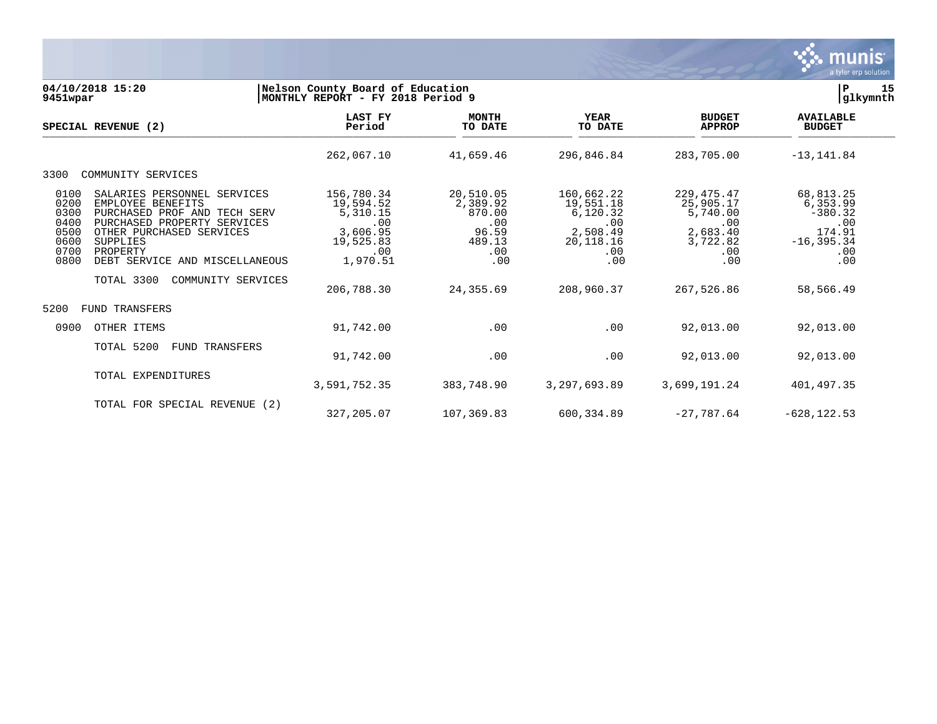

**04/10/2018 15:20 |Nelson County Board of Education |P 15 MONTHLY REPORT - FY 2018 Period 9 LAST FY MONTH YEAR BUDGET AVAILABLE SPECIAL REVENUE (2) Period TO DATE TO DATE APPROP BUDGET**   $\frac{10 \text{ Bheil}}{10 \text{ Bheil}}$  262,067.10 41,659.46 296,846.84 283,705.00 -13,141.84 3300 COMMUNITY SERVICES 0100 SALARIES PERSONNEL SERVICES 156,780.34 20,510.05 160,662.22 229,475.47 68,813.25<br>0200 EMPLOYEE BENEFITS 19,594.52 2,389.92 19,551.18 25,905.17 6,353.99 0200 EMPLOYEE BENEFITS 19,594.52 2,389.92 19,551.18 25,905.17 6,353.99 0300 PURCHASED PROF AND TECH SERV 5,310.15 870.00 6,120.32 5,740.00 -380.32 0400 PURCHASED PROPERTY SERVICES .00 .00 .00 .00 .00 0500 OTHER PURCHASED SERVICES 3,606.95 96.59 2,508.49 2,683.40 174.91<br>19.525.83 9600 3UPPLIES - 16.395.34 0600 SUPPLIES 19,525.83 489.13 20,118.16 3,722.82 -16,395.34 0700 PROPERTY .00 .00 .00 .00 .00 0800 DEBT SERVICE AND MISCELLANEOUS 1,970.51 .00 .00 .00 .00 .00 .00 .00 .00 TOTAL 3300 COMMUNITY SERVICES 206,788.30 24,355.69 208,960.37 267,526.86 58,566.49 5200 FUND TRANSFERS 0900 OTHER ITEMS 690 CONTROLLER SUBSERVIATE SUBSERVIATE SUBSERVIATE SUBSERVIATE SUBSERVIATE SUBSERVIATE SUBSERVIA TOTAL 5200 FUND TRANSFERS 91,742.00 .00 .00 92,013.00 92,013.00 TOTAL EXPENDITURES 3,591,752.35 383,748.90 3,297,693.89 3,699,191.24 401,497.35 TOTAL FOR SPECIAL REVENUE (2)

327,205.07 107,369.83 600,334.89 -27,787.64 -628,122.53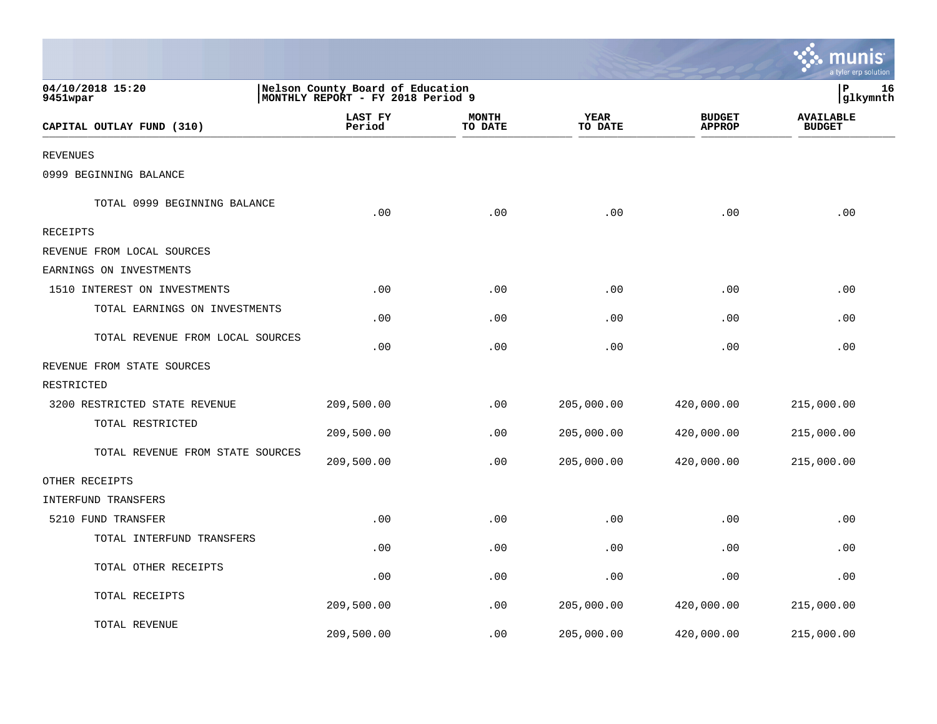|                                  |                                                                       |                         |                 |                                | a tyler erp solutior              |
|----------------------------------|-----------------------------------------------------------------------|-------------------------|-----------------|--------------------------------|-----------------------------------|
| 04/10/2018 15:20<br>9451wpar     | Nelson County Board of Education<br>MONTHLY REPORT - FY 2018 Period 9 |                         |                 |                                | P<br>16<br> glkymnth              |
| CAPITAL OUTLAY FUND (310)        | <b>LAST FY</b><br>Period                                              | <b>MONTH</b><br>TO DATE | YEAR<br>TO DATE | <b>BUDGET</b><br><b>APPROP</b> | <b>AVAILABLE</b><br><b>BUDGET</b> |
| <b>REVENUES</b>                  |                                                                       |                         |                 |                                |                                   |
| 0999 BEGINNING BALANCE           |                                                                       |                         |                 |                                |                                   |
| TOTAL 0999 BEGINNING BALANCE     | .00                                                                   | .00                     | .00             | .00                            | .00                               |
| RECEIPTS                         |                                                                       |                         |                 |                                |                                   |
| REVENUE FROM LOCAL SOURCES       |                                                                       |                         |                 |                                |                                   |
| EARNINGS ON INVESTMENTS          |                                                                       |                         |                 |                                |                                   |
| 1510 INTEREST ON INVESTMENTS     | .00                                                                   | .00                     | .00             | .00                            | .00                               |
| TOTAL EARNINGS ON INVESTMENTS    | .00                                                                   | .00                     | .00             | .00                            | .00                               |
| TOTAL REVENUE FROM LOCAL SOURCES | .00                                                                   | .00                     | .00             | .00                            | .00                               |
| REVENUE FROM STATE SOURCES       |                                                                       |                         |                 |                                |                                   |
| RESTRICTED                       |                                                                       |                         |                 |                                |                                   |
| 3200 RESTRICTED STATE REVENUE    | 209,500.00                                                            | .00                     | 205,000.00      | 420,000.00                     | 215,000.00                        |
| TOTAL RESTRICTED                 | 209,500.00                                                            | .00                     | 205,000.00      | 420,000.00                     | 215,000.00                        |
| TOTAL REVENUE FROM STATE SOURCES | 209,500.00                                                            | .00                     | 205,000.00      | 420,000.00                     | 215,000.00                        |
| OTHER RECEIPTS                   |                                                                       |                         |                 |                                |                                   |
| INTERFUND TRANSFERS              |                                                                       |                         |                 |                                |                                   |
| 5210 FUND TRANSFER               | .00                                                                   | .00                     | .00             | .00                            | .00                               |
| TOTAL INTERFUND TRANSFERS        | .00                                                                   | .00                     | .00             | .00                            | .00                               |
| TOTAL OTHER RECEIPTS             | .00                                                                   | .00                     | .00             | .00                            | .00                               |
| TOTAL RECEIPTS                   | 209,500.00                                                            | .00                     | 205,000.00      | 420,000.00                     | 215,000.00                        |
| TOTAL REVENUE                    | 209,500.00                                                            | .00                     | 205,000.00      | 420,000.00                     | 215,000.00                        |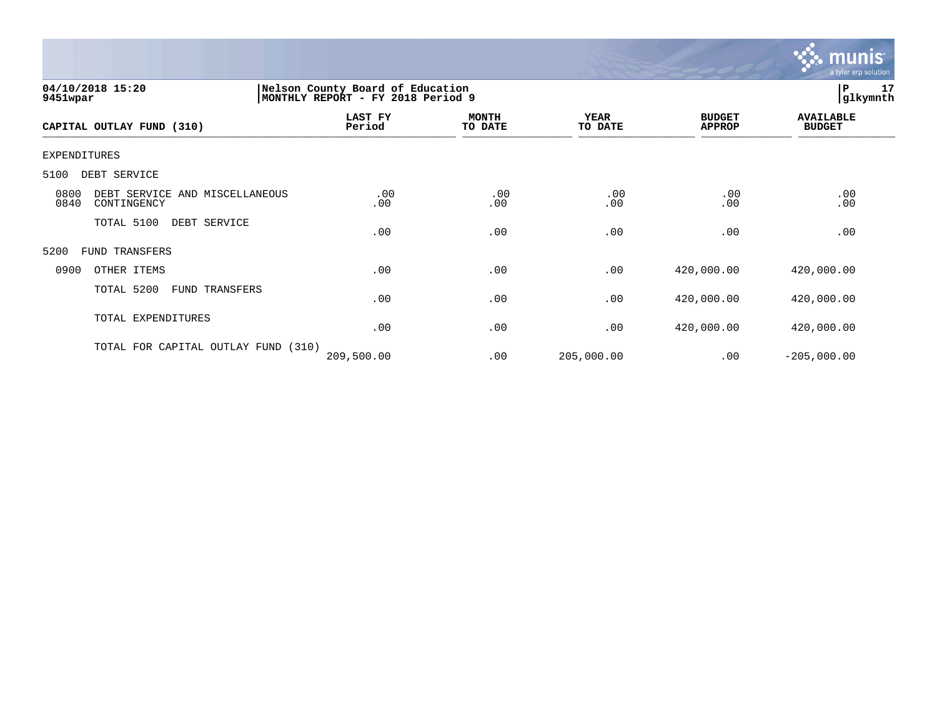

| 04/10/2018 15:20<br>9451wpar                                  | Nelson County Board of Education<br>MONTHLY REPORT - FY 2018 Period 9 |                         |                        |                                |                                   | 17<br>P<br> glkymnth |  |
|---------------------------------------------------------------|-----------------------------------------------------------------------|-------------------------|------------------------|--------------------------------|-----------------------------------|----------------------|--|
| CAPITAL OUTLAY FUND (310)                                     | LAST FY<br>Period                                                     | <b>MONTH</b><br>TO DATE | <b>YEAR</b><br>TO DATE | <b>BUDGET</b><br><b>APPROP</b> | <b>AVAILABLE</b><br><b>BUDGET</b> |                      |  |
| EXPENDITURES                                                  |                                                                       |                         |                        |                                |                                   |                      |  |
| 5100<br>DEBT SERVICE                                          |                                                                       |                         |                        |                                |                                   |                      |  |
| 0800<br>DEBT SERVICE AND MISCELLANEOUS<br>0840<br>CONTINGENCY | .00<br>.00                                                            | .00<br>.00              | .00<br>.00             | .00<br>.00                     | .00<br>.00                        |                      |  |
| TOTAL 5100<br>DEBT SERVICE                                    | .00                                                                   | .00                     | .00                    | .00                            | .00                               |                      |  |
| FUND TRANSFERS<br>5200                                        |                                                                       |                         |                        |                                |                                   |                      |  |
| 0900<br>OTHER ITEMS                                           | .00                                                                   | .00                     | .00                    | 420,000.00                     | 420,000.00                        |                      |  |
| TOTAL 5200<br>FUND TRANSFERS                                  | .00                                                                   | .00                     | .00                    | 420,000.00                     | 420,000.00                        |                      |  |
| TOTAL EXPENDITURES                                            | .00                                                                   | .00                     | .00                    | 420,000.00                     | 420,000.00                        |                      |  |
| TOTAL FOR CAPITAL OUTLAY FUND (310)                           | 209,500.00                                                            | .00                     | 205,000.00             | .00                            | $-205,000.00$                     |                      |  |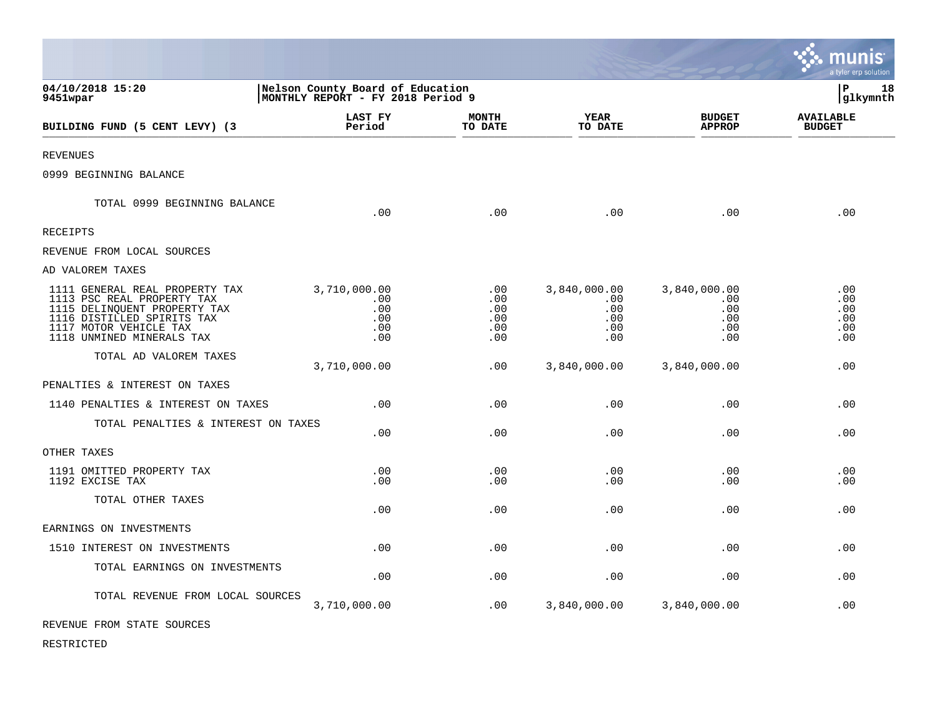|                                                                                                                                                                                   |                                                                       |                                        |                                                 |                                                 | <b>A.</b> munis<br>a tyler erp solution |
|-----------------------------------------------------------------------------------------------------------------------------------------------------------------------------------|-----------------------------------------------------------------------|----------------------------------------|-------------------------------------------------|-------------------------------------------------|-----------------------------------------|
| 04/10/2018 15:20<br>9451wpar                                                                                                                                                      | Nelson County Board of Education<br>MONTHLY REPORT - FY 2018 Period 9 |                                        |                                                 |                                                 | lР<br>18<br>glkymnth                    |
| BUILDING FUND (5 CENT LEVY) (3                                                                                                                                                    | LAST FY<br>Period                                                     | <b>MONTH</b><br>TO DATE                | <b>YEAR</b><br>TO DATE                          | <b>BUDGET</b><br><b>APPROP</b>                  | <b>AVAILABLE</b><br><b>BUDGET</b>       |
| <b>REVENUES</b>                                                                                                                                                                   |                                                                       |                                        |                                                 |                                                 |                                         |
| 0999 BEGINNING BALANCE                                                                                                                                                            |                                                                       |                                        |                                                 |                                                 |                                         |
| TOTAL 0999 BEGINNING BALANCE                                                                                                                                                      | .00                                                                   | .00                                    | .00                                             | .00                                             | .00                                     |
| <b>RECEIPTS</b>                                                                                                                                                                   |                                                                       |                                        |                                                 |                                                 |                                         |
| REVENUE FROM LOCAL SOURCES                                                                                                                                                        |                                                                       |                                        |                                                 |                                                 |                                         |
| AD VALOREM TAXES                                                                                                                                                                  |                                                                       |                                        |                                                 |                                                 |                                         |
| 1111 GENERAL REAL PROPERTY TAX<br>1113 PSC REAL PROPERTY TAX<br>1115 DELINQUENT PROPERTY TAX<br>1116 DISTILLED SPIRITS TAX<br>1117 MOTOR VEHICLE TAX<br>1118 UNMINED MINERALS TAX | 3,710,000.00<br>.00<br>.00<br>.00<br>.00<br>.00                       | .00<br>.00<br>.00<br>.00<br>.00<br>.00 | 3,840,000.00<br>.00<br>.00<br>.00<br>.00<br>.00 | 3,840,000.00<br>.00<br>.00<br>.00<br>.00<br>.00 | .00<br>.00<br>.00<br>.00<br>.00<br>.00  |
| TOTAL AD VALOREM TAXES                                                                                                                                                            | 3,710,000.00                                                          | .00                                    | 3,840,000.00                                    | 3,840,000.00                                    | .00                                     |
| PENALTIES & INTEREST ON TAXES                                                                                                                                                     |                                                                       |                                        |                                                 |                                                 |                                         |
| 1140 PENALTIES & INTEREST ON TAXES                                                                                                                                                | .00                                                                   | .00                                    | .00                                             | .00                                             | .00                                     |
| TOTAL PENALTIES & INTEREST ON TAXES                                                                                                                                               | .00                                                                   | .00                                    | .00                                             | .00                                             | .00                                     |
| OTHER TAXES                                                                                                                                                                       |                                                                       |                                        |                                                 |                                                 |                                         |
| 1191 OMITTED PROPERTY TAX<br>1192 EXCISE TAX                                                                                                                                      | .00<br>.00                                                            | .00<br>.00                             | .00<br>.00                                      | .00<br>.00                                      | .00<br>.00                              |
| TOTAL OTHER TAXES                                                                                                                                                                 | .00                                                                   | .00                                    | .00                                             | .00                                             | .00                                     |
| EARNINGS ON INVESTMENTS                                                                                                                                                           |                                                                       |                                        |                                                 |                                                 |                                         |
| 1510 INTEREST ON INVESTMENTS                                                                                                                                                      | .00                                                                   | .00                                    | .00                                             | .00                                             | .00                                     |
| TOTAL EARNINGS ON INVESTMENTS                                                                                                                                                     | .00                                                                   | .00                                    | .00                                             | .00                                             | .00                                     |
| TOTAL REVENUE FROM LOCAL SOURCES                                                                                                                                                  | 3,710,000.00                                                          | .00                                    | 3,840,000.00                                    | 3,840,000.00                                    | .00                                     |
| --------- ---- ----- --- ----                                                                                                                                                     |                                                                       |                                        |                                                 |                                                 |                                         |

 $\mathcal{L}$ 

REVENUE FROM STATE SOURCES

RESTRICTED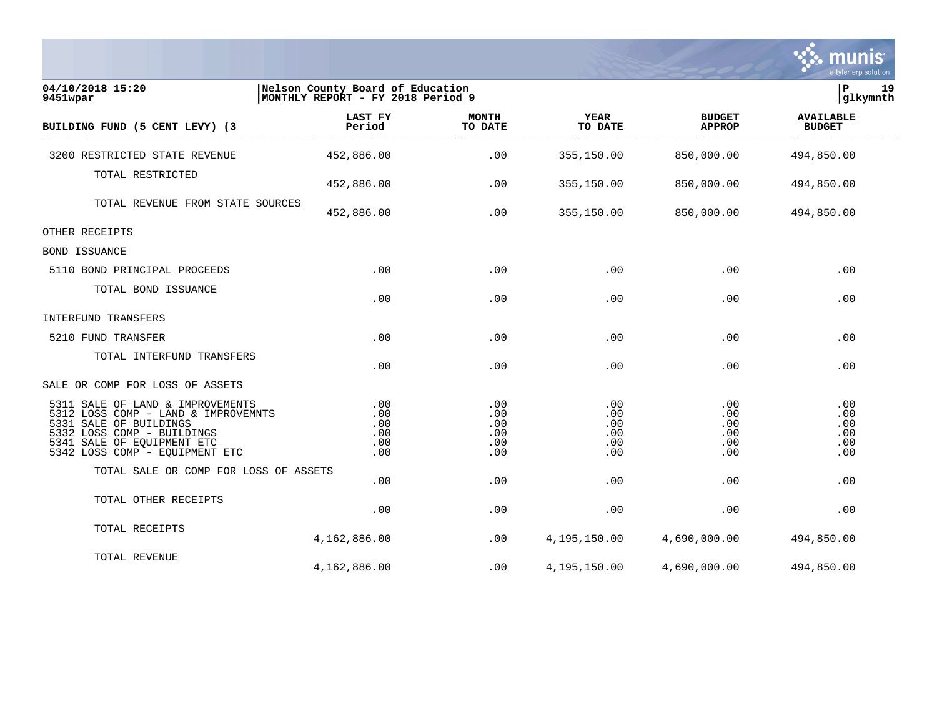|                                                                                                                                                                                                 |                                                                       |                                        |                                        |                                        | munis<br>a tyler erp solution          |
|-------------------------------------------------------------------------------------------------------------------------------------------------------------------------------------------------|-----------------------------------------------------------------------|----------------------------------------|----------------------------------------|----------------------------------------|----------------------------------------|
| 04/10/2018 15:20<br>9451wpar                                                                                                                                                                    | Nelson County Board of Education<br>MONTHLY REPORT - FY 2018 Period 9 |                                        |                                        |                                        | lР<br>19<br>glkymnth                   |
| BUILDING FUND (5 CENT LEVY) (3                                                                                                                                                                  | LAST FY<br>Period                                                     | <b>MONTH</b><br>TO DATE                | <b>YEAR</b><br>TO DATE                 | <b>BUDGET</b><br><b>APPROP</b>         | <b>AVAILABLE</b><br><b>BUDGET</b>      |
| 3200 RESTRICTED STATE REVENUE                                                                                                                                                                   | 452,886.00                                                            | .00                                    | 355,150.00                             | 850,000.00                             | 494,850.00                             |
| TOTAL RESTRICTED                                                                                                                                                                                | 452,886.00                                                            | .00                                    | 355,150.00                             | 850,000.00                             | 494,850.00                             |
| TOTAL REVENUE FROM STATE SOURCES                                                                                                                                                                | 452,886.00                                                            | .00                                    | 355,150.00                             | 850,000.00                             | 494,850.00                             |
| OTHER RECEIPTS                                                                                                                                                                                  |                                                                       |                                        |                                        |                                        |                                        |
| BOND ISSUANCE                                                                                                                                                                                   |                                                                       |                                        |                                        |                                        |                                        |
| 5110 BOND PRINCIPAL PROCEEDS                                                                                                                                                                    | .00                                                                   | .00                                    | .00                                    | .00                                    | .00                                    |
| TOTAL BOND ISSUANCE                                                                                                                                                                             | .00                                                                   | .00                                    | .00                                    | .00                                    | .00                                    |
| INTERFUND TRANSFERS                                                                                                                                                                             |                                                                       |                                        |                                        |                                        |                                        |
| 5210 FUND TRANSFER                                                                                                                                                                              | .00                                                                   | .00                                    | .00                                    | .00                                    | .00                                    |
| TOTAL INTERFUND TRANSFERS                                                                                                                                                                       | .00                                                                   | .00                                    | .00                                    | .00                                    | .00                                    |
| SALE OR COMP FOR LOSS OF ASSETS                                                                                                                                                                 |                                                                       |                                        |                                        |                                        |                                        |
| 5311 SALE OF LAND & IMPROVEMENTS<br>5312 LOSS COMP - LAND & IMPROVEMNTS<br>5331 SALE OF BUILDINGS<br>5332 LOSS COMP - BUILDINGS<br>5341 SALE OF EQUIPMENT ETC<br>5342 LOSS COMP - EQUIPMENT ETC | .00<br>$.00 \,$<br>.00<br>.00<br>.00<br>.00                           | .00<br>.00<br>.00<br>.00<br>.00<br>.00 | .00<br>.00<br>.00<br>.00<br>.00<br>.00 | .00<br>.00<br>.00<br>.00<br>.00<br>.00 | .00<br>.00<br>.00<br>.00<br>.00<br>.00 |
| TOTAL SALE OR COMP FOR LOSS OF ASSETS                                                                                                                                                           |                                                                       |                                        |                                        |                                        |                                        |
| TOTAL OTHER RECEIPTS                                                                                                                                                                            | .00<br>.00                                                            | .00<br>.00                             | .00<br>.00                             | .00<br>.00                             | .00<br>.00                             |
| TOTAL RECEIPTS                                                                                                                                                                                  | 4,162,886.00                                                          | .00                                    | 4,195,150.00                           | 4,690,000.00                           | 494,850.00                             |
| TOTAL REVENUE                                                                                                                                                                                   | 4,162,886.00                                                          | .00                                    | 4,195,150.00                           | 4,690,000.00                           | 494,850.00                             |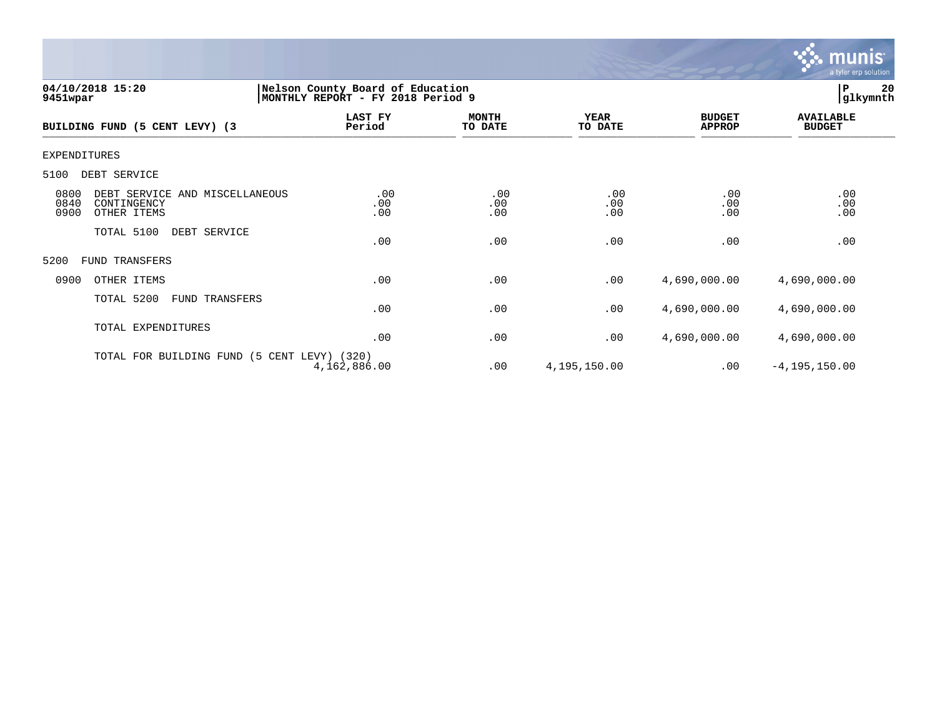

| 04/10/2018 15:20<br>9451wpar                                                         | Nelson County Board of Education<br>MONTHLY REPORT - FY 2018 Period 9 | P                       | 20<br> glkymnth        |                                |                                   |  |
|--------------------------------------------------------------------------------------|-----------------------------------------------------------------------|-------------------------|------------------------|--------------------------------|-----------------------------------|--|
| BUILDING FUND (5 CENT LEVY) (3                                                       | LAST FY<br>Period                                                     | <b>MONTH</b><br>TO DATE | <b>YEAR</b><br>TO DATE | <b>BUDGET</b><br><b>APPROP</b> | <b>AVAILABLE</b><br><b>BUDGET</b> |  |
| EXPENDITURES                                                                         |                                                                       |                         |                        |                                |                                   |  |
| DEBT SERVICE<br>5100                                                                 |                                                                       |                         |                        |                                |                                   |  |
| 0800<br>DEBT SERVICE AND MISCELLANEOUS<br>0840<br>CONTINGENCY<br>0900<br>OTHER ITEMS | .00<br>.00<br>.00                                                     | .00<br>.00<br>.00       | .00<br>.00<br>.00      | .00<br>.00<br>.00              | .00<br>.00<br>.00                 |  |
| TOTAL 5100<br>DEBT SERVICE                                                           | .00                                                                   | .00                     | .00                    | .00                            | .00                               |  |
| 5200<br>FUND TRANSFERS                                                               |                                                                       |                         |                        |                                |                                   |  |
| 0900<br>OTHER ITEMS                                                                  | .00                                                                   | .00                     | .00                    | 4,690,000.00                   | 4,690,000.00                      |  |
| TOTAL 5200<br>FUND TRANSFERS                                                         | .00                                                                   | .00                     | .00                    | 4,690,000.00                   | 4,690,000.00                      |  |
| TOTAL EXPENDITURES                                                                   | .00                                                                   | .00                     | .00                    | 4,690,000.00                   | 4,690,000.00                      |  |
| TOTAL FOR BUILDING FUND                                                              | (5 CENT LEVY) (320)<br>4,162,886.00                                   | .00                     | 4,195,150.00           | .00                            | $-4, 195, 150.00$                 |  |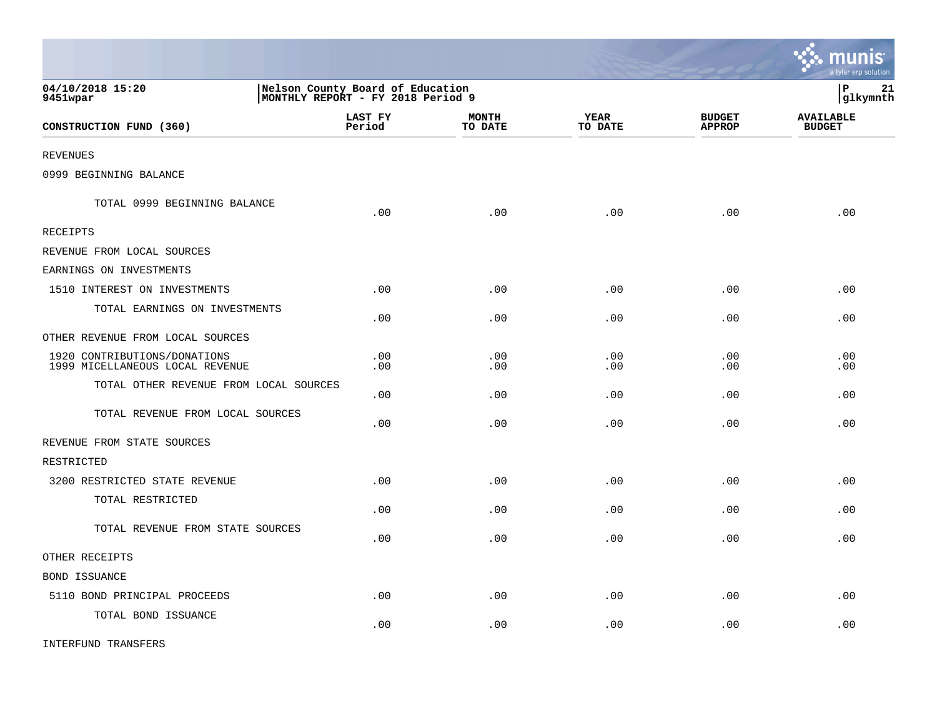|                                                                 |                                                                       |                         |                 |                                | a tyler erp solution              |
|-----------------------------------------------------------------|-----------------------------------------------------------------------|-------------------------|-----------------|--------------------------------|-----------------------------------|
| 04/10/2018 15:20<br>9451wpar                                    | Nelson County Board of Education<br>MONTHLY REPORT - FY 2018 Period 9 |                         |                 |                                | lР<br>21<br> glkymnth             |
| CONSTRUCTION FUND (360)                                         | LAST FY<br>Period                                                     | <b>MONTH</b><br>TO DATE | YEAR<br>TO DATE | <b>BUDGET</b><br><b>APPROP</b> | <b>AVAILABLE</b><br><b>BUDGET</b> |
| <b>REVENUES</b>                                                 |                                                                       |                         |                 |                                |                                   |
| 0999 BEGINNING BALANCE                                          |                                                                       |                         |                 |                                |                                   |
| TOTAL 0999 BEGINNING BALANCE                                    | .00                                                                   | .00                     | .00             | .00                            | .00                               |
| RECEIPTS                                                        |                                                                       |                         |                 |                                |                                   |
| REVENUE FROM LOCAL SOURCES                                      |                                                                       |                         |                 |                                |                                   |
| EARNINGS ON INVESTMENTS                                         |                                                                       |                         |                 |                                |                                   |
| 1510 INTEREST ON INVESTMENTS                                    | .00                                                                   | .00                     | .00             | .00                            | .00                               |
| TOTAL EARNINGS ON INVESTMENTS                                   | .00                                                                   | .00                     | .00             | .00                            | .00                               |
| OTHER REVENUE FROM LOCAL SOURCES                                |                                                                       |                         |                 |                                |                                   |
| 1920 CONTRIBUTIONS/DONATIONS<br>1999 MICELLANEOUS LOCAL REVENUE | .00<br>.00                                                            | .00<br>.00              | .00<br>.00      | .00<br>.00                     | .00<br>.00                        |
| TOTAL OTHER REVENUE FROM LOCAL SOURCES                          | .00                                                                   | .00                     | .00             | .00                            | .00                               |
| TOTAL REVENUE FROM LOCAL SOURCES                                | .00                                                                   | .00                     | .00             | .00                            | .00                               |
| REVENUE FROM STATE SOURCES                                      |                                                                       |                         |                 |                                |                                   |
| RESTRICTED                                                      |                                                                       |                         |                 |                                |                                   |
| 3200 RESTRICTED STATE REVENUE                                   | .00                                                                   | .00                     | .00             | .00                            | .00                               |
| TOTAL RESTRICTED                                                | .00                                                                   | .00                     | .00             | .00                            | .00                               |
| TOTAL REVENUE FROM STATE SOURCES                                | .00                                                                   | .00                     | .00             | .00                            | .00                               |
| OTHER RECEIPTS                                                  |                                                                       |                         |                 |                                |                                   |
| BOND ISSUANCE                                                   |                                                                       |                         |                 |                                |                                   |
| 5110 BOND PRINCIPAL PROCEEDS                                    | .00                                                                   | .00                     | .00             | .00                            | .00                               |
| TOTAL BOND ISSUANCE                                             | .00                                                                   | .00                     | .00             | .00                            | .00                               |

INTERFUND TRANSFERS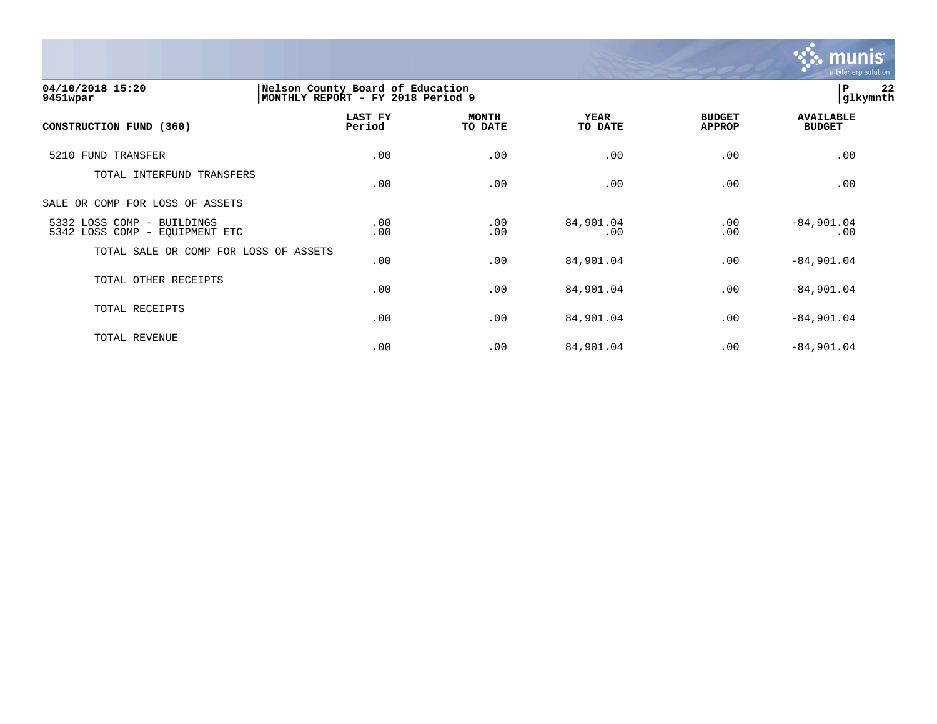

**04/10/2018 15:20 |Nelson County Board of Education |P 22 9451wpar |MONTHLY REPORT - FY 2018 Period 9 |glkymnth LAST FY MONTH YEAR BUDGET AVAILABLE CONSTRUCTION FUND (360) Period TO DATE TO DATE APPROP BUDGET**   $\frac{10 \text{ Bhe}}{10 \text{ Bhe}}$   $\frac{10 \text{ Bhe}}{10 \text{ Bhe}}$   $\frac{10 \text{ Bhe}}{10 \text{ Bhe}}$   $\frac{10 \text{ Bhe}}{10 \text{ Bhe}}$   $\frac{10 \text{ Bhe}}{10 \text{ Bhe}}$   $\frac{10 \text{ Bhe}}{10 \text{ Bhe}}$   $\frac{10 \text{ Bhe}}{10 \text{ Bhe}}$ 5210 FUND TRANSFER .00 .00 .00 .00 .00 TOTAL INTERFUND TRANSFERS .00 .00 .00 .00 .00 SALE OR COMP FOR LOSS OF ASSETS 5332 LOSS COMP - BUILDINGS .00 .00 84,901.04 .00 -84,901.04 5342 LOSS COMP - EQUIPMENT ETC TOTAL SALE OR COMP FOR LOSS OF ASSETS  $.00$   $.00$   $.00$   $.04$   $.00$   $.04$   $.00$   $.04$ TOTAL OTHER RECEIPTS  $.00$   $.00$   $.00$   $.04$   $.00$   $.04$   $.00$   $.04$ TOTAL RECEIPTS

 $.00$   $.00$   $.00$   $.04$   $.00$   $.04$   $.00$   $.04$ 

 $.00$   $.00$   $.00$   $.04$   $.00$   $.04$   $.00$   $.04$ 

TOTAL REVENUE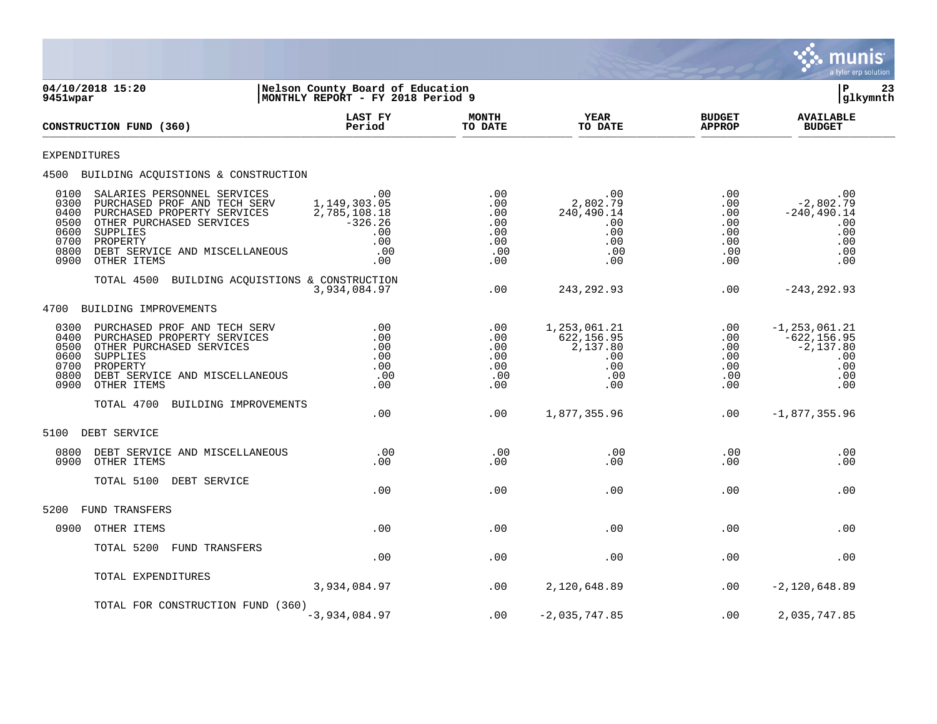

| 9451wpar                                                     | 04/10/2018 15:20                                                                                                                                                                                | Nelson County Board of Education<br> MONTHLY REPORT - FY 2018 Period 9            |                                                      |                                                                            |                                                           | lР<br>23<br>glkymnth                                                           |  |  |
|--------------------------------------------------------------|-------------------------------------------------------------------------------------------------------------------------------------------------------------------------------------------------|-----------------------------------------------------------------------------------|------------------------------------------------------|----------------------------------------------------------------------------|-----------------------------------------------------------|--------------------------------------------------------------------------------|--|--|
|                                                              | CONSTRUCTION FUND (360)                                                                                                                                                                         | LAST FY<br>Period                                                                 | <b>MONTH</b><br>TO DATE                              | <b>YEAR</b><br>TO DATE                                                     | <b>BUDGET</b><br><b>APPROP</b>                            | <b>AVAILABLE</b><br><b>BUDGET</b>                                              |  |  |
| EXPENDITURES                                                 |                                                                                                                                                                                                 |                                                                                   |                                                      |                                                                            |                                                           |                                                                                |  |  |
|                                                              | 4500 BUILDING ACQUISTIONS & CONSTRUCTION                                                                                                                                                        |                                                                                   |                                                      |                                                                            |                                                           |                                                                                |  |  |
| 0100<br>0300<br>0400<br>0500<br>0600<br>0700<br>0800<br>0900 | SALARIES PERSONNEL SERVICES<br>PURCHASED PROF AND TECH SERV<br>PURCHASED PROPERTY SERVICES<br>OTHER PURCHASED SERVICES<br>SUPPLIES<br>PROPERTY<br>DEBT SERVICE AND MISCELLANEOUS<br>OTHER ITEMS | $.00 \,$<br>1,149,303.05<br>2,785,108.18<br>$-326.26$<br>.00<br>.00<br>.00<br>.00 | .00<br>.00<br>.00<br>.00<br>.00<br>.00<br>.00<br>.00 | $.00 \,$<br>2,802.79<br>240,490.14<br>$.00 \,$<br>.00<br>.00<br>.00<br>.00 | $.00 \,$<br>.00<br>.00<br>.00<br>.00<br>.00<br>.00<br>.00 | .00<br>$-2,802.79$<br>$-240, 490.14$<br>.00<br>.00<br>.00<br>.00<br>.00        |  |  |
|                                                              | TOTAL 4500 BUILDING ACQUISTIONS & CONSTRUCTION                                                                                                                                                  | 3,934,084.97                                                                      | .00                                                  | 243, 292.93                                                                | .00                                                       | $-243, 292.93$                                                                 |  |  |
| 4700                                                         | BUILDING IMPROVEMENTS                                                                                                                                                                           |                                                                                   |                                                      |                                                                            |                                                           |                                                                                |  |  |
| 0300<br>0400<br>0500<br>0600<br>0700<br>0800<br>0900         | PURCHASED PROF AND TECH SERV<br>PURCHASED PROPERTY SERVICES<br>OTHER PURCHASED SERVICES<br>SUPPLIES<br>PROPERTY<br>DEBT SERVICE AND MISCELLANEOUS<br>OTHER ITEMS                                | .00<br>.00<br>.00<br>.00<br>.00<br>.00<br>.00                                     | .00<br>.00<br>.00<br>.00<br>.00<br>.00<br>.00        | 1, 253, 061.21<br>622,156.95<br>2,137.80<br>$.00 \,$<br>.00<br>.00<br>.00  | .00<br>.00<br>.00<br>.00<br>.00<br>.00<br>.00             | $-1, 253, 061.21$<br>$-622, 156.95$<br>$-2,137.80$<br>.00<br>.00<br>.00<br>.00 |  |  |
|                                                              | TOTAL 4700<br>BUILDING IMPROVEMENTS                                                                                                                                                             | .00                                                                               | .00                                                  | 1,877,355.96                                                               | .00                                                       | $-1,877,355.96$                                                                |  |  |
| 5100                                                         | DEBT SERVICE                                                                                                                                                                                    |                                                                                   |                                                      |                                                                            |                                                           |                                                                                |  |  |
| 0800<br>0900                                                 | DEBT SERVICE AND MISCELLANEOUS<br>OTHER ITEMS                                                                                                                                                   | .00<br>.00                                                                        | .00<br>.00                                           | .00<br>.00                                                                 | .00<br>.00                                                | .00<br>.00                                                                     |  |  |
|                                                              | TOTAL 5100<br>DEBT SERVICE                                                                                                                                                                      | .00                                                                               | .00                                                  | .00                                                                        | $.00 \,$                                                  | .00                                                                            |  |  |
| 5200                                                         | <b>FUND TRANSFERS</b>                                                                                                                                                                           |                                                                                   |                                                      |                                                                            |                                                           |                                                                                |  |  |
| 0900                                                         | OTHER ITEMS                                                                                                                                                                                     | .00                                                                               | .00                                                  | .00                                                                        | .00                                                       | .00                                                                            |  |  |
|                                                              | TOTAL 5200<br>FUND TRANSFERS                                                                                                                                                                    | .00                                                                               | .00                                                  | .00                                                                        | .00                                                       | .00                                                                            |  |  |
|                                                              | TOTAL EXPENDITURES                                                                                                                                                                              | 3,934,084.97                                                                      | .00                                                  | 2,120,648.89                                                               | .00                                                       | $-2,120,648.89$                                                                |  |  |
|                                                              | TOTAL FOR CONSTRUCTION FUND (360)                                                                                                                                                               | $-3,934,084.97$                                                                   | .00                                                  | $-2,035,747.85$                                                            | .00                                                       | 2,035,747.85                                                                   |  |  |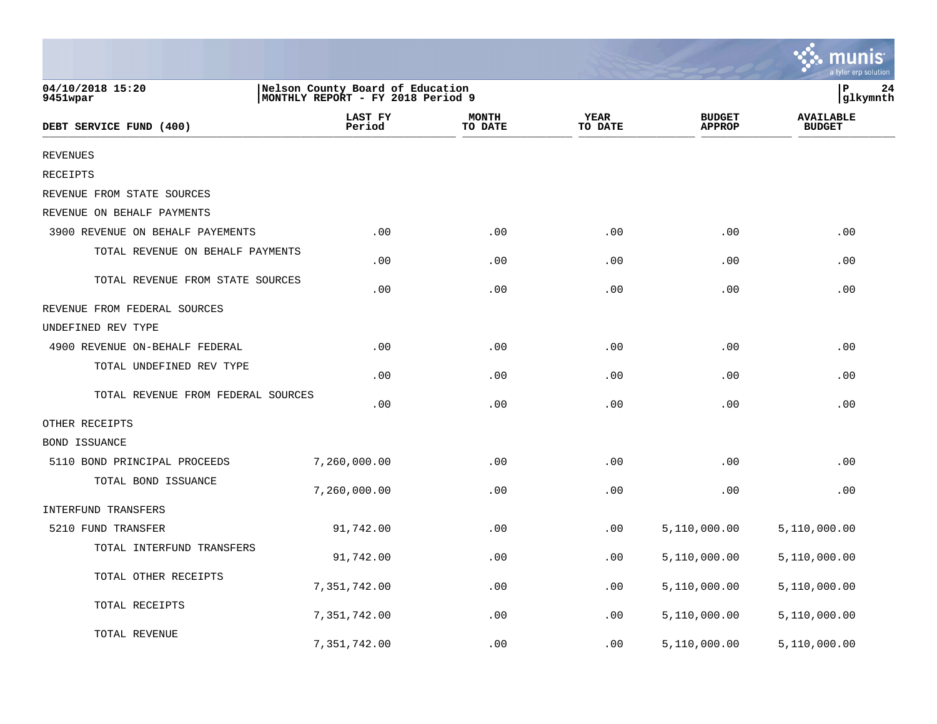|                                    |                                                                       |                         |                        |                                | a tyler erp solution              |
|------------------------------------|-----------------------------------------------------------------------|-------------------------|------------------------|--------------------------------|-----------------------------------|
| 04/10/2018 15:20<br>9451wpar       | Nelson County Board of Education<br>MONTHLY REPORT - FY 2018 Period 9 |                         |                        |                                | P<br>24<br>glkymnth               |
| DEBT SERVICE FUND (400)            | <b>LAST FY</b><br>Period                                              | <b>MONTH</b><br>TO DATE | <b>YEAR</b><br>TO DATE | <b>BUDGET</b><br><b>APPROP</b> | <b>AVAILABLE</b><br><b>BUDGET</b> |
| <b>REVENUES</b>                    |                                                                       |                         |                        |                                |                                   |
| RECEIPTS                           |                                                                       |                         |                        |                                |                                   |
| REVENUE FROM STATE SOURCES         |                                                                       |                         |                        |                                |                                   |
| REVENUE ON BEHALF PAYMENTS         |                                                                       |                         |                        |                                |                                   |
| 3900 REVENUE ON BEHALF PAYEMENTS   | .00                                                                   | .00                     | .00                    | .00                            | .00                               |
| TOTAL REVENUE ON BEHALF PAYMENTS   | .00                                                                   | .00                     | .00                    | .00                            | .00                               |
| TOTAL REVENUE FROM STATE SOURCES   | .00                                                                   | .00                     | .00                    | .00                            | .00                               |
| REVENUE FROM FEDERAL SOURCES       |                                                                       |                         |                        |                                |                                   |
| UNDEFINED REV TYPE                 |                                                                       |                         |                        |                                |                                   |
| 4900 REVENUE ON-BEHALF FEDERAL     | .00                                                                   | .00                     | .00                    | .00                            | .00                               |
| TOTAL UNDEFINED REV TYPE           | .00                                                                   | .00                     | .00                    | .00                            | .00                               |
| TOTAL REVENUE FROM FEDERAL SOURCES | .00                                                                   | .00                     | .00                    | .00                            | .00                               |
| OTHER RECEIPTS                     |                                                                       |                         |                        |                                |                                   |
| <b>BOND ISSUANCE</b>               |                                                                       |                         |                        |                                |                                   |
| 5110 BOND PRINCIPAL PROCEEDS       | 7,260,000.00                                                          | .00                     | .00                    | .00                            | .00                               |
| TOTAL BOND ISSUANCE                | 7,260,000.00                                                          | .00                     | .00                    | .00                            | .00                               |
| <b>INTERFUND TRANSFERS</b>         |                                                                       |                         |                        |                                |                                   |
| 5210 FUND TRANSFER                 | 91,742.00                                                             | .00                     | .00                    | 5,110,000.00                   | 5,110,000.00                      |
| TOTAL INTERFUND TRANSFERS          | 91,742.00                                                             | .00                     | .00                    | 5,110,000.00                   | 5,110,000.00                      |
| TOTAL OTHER RECEIPTS               | 7,351,742.00                                                          | .00                     | .00                    | 5,110,000.00                   | 5,110,000.00                      |
| TOTAL RECEIPTS                     | 7,351,742.00                                                          | .00                     | .00                    | 5,110,000.00                   | 5,110,000.00                      |
| TOTAL REVENUE                      | 7,351,742.00                                                          | .00                     | .00                    | 5,110,000.00                   | 5,110,000.00                      |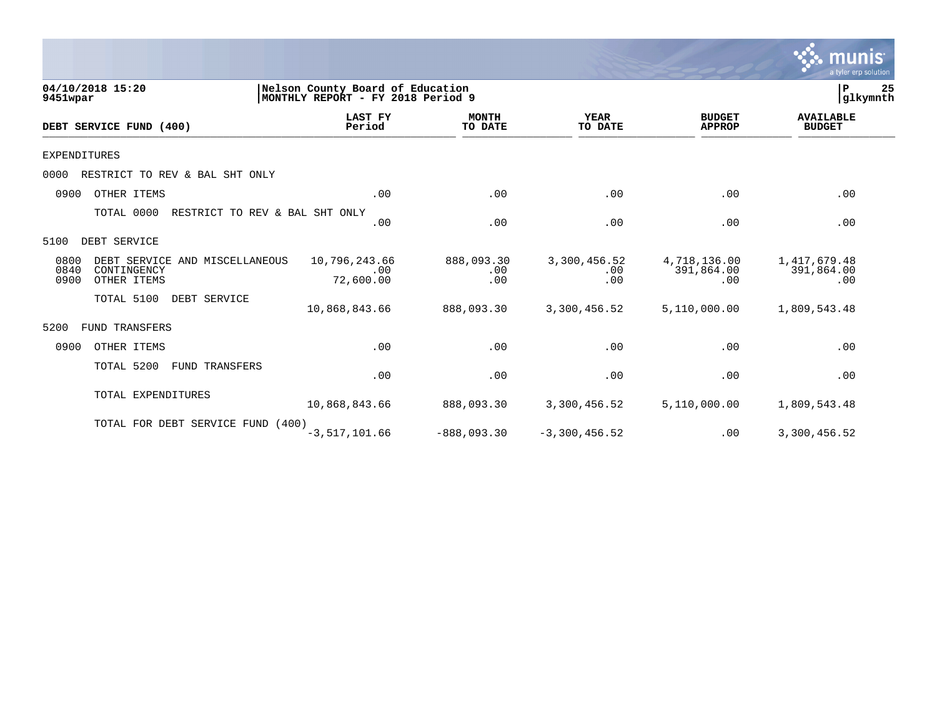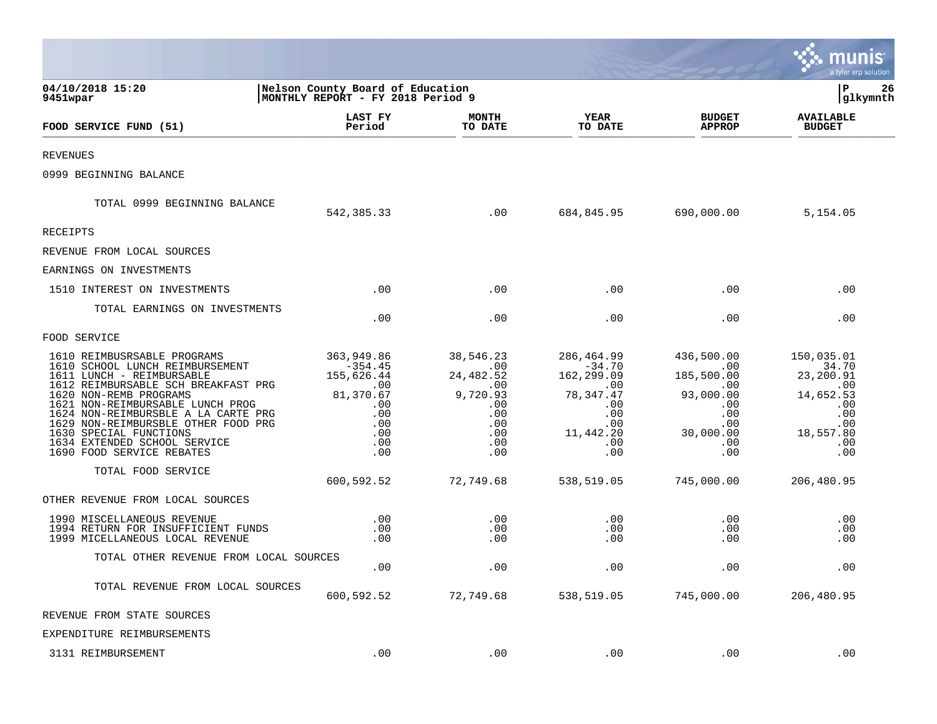|                                                                                                                                                                                                                                                                                                                                                                          |                                                                                                                |                                                                                             |                                                                                                                |                                                                                                          | munis<br>a tyler erp solution                                                                        |
|--------------------------------------------------------------------------------------------------------------------------------------------------------------------------------------------------------------------------------------------------------------------------------------------------------------------------------------------------------------------------|----------------------------------------------------------------------------------------------------------------|---------------------------------------------------------------------------------------------|----------------------------------------------------------------------------------------------------------------|----------------------------------------------------------------------------------------------------------|------------------------------------------------------------------------------------------------------|
| 04/10/2018 15:20<br>9451wpar                                                                                                                                                                                                                                                                                                                                             | Nelson County Board of Education<br>MONTHLY REPORT - FY 2018 Period 9                                          |                                                                                             |                                                                                                                |                                                                                                          | ΙP<br>26<br>glkymnth                                                                                 |
| FOOD SERVICE FUND (51)                                                                                                                                                                                                                                                                                                                                                   | LAST FY<br>Period                                                                                              | <b>MONTH</b><br>TO DATE                                                                     | <b>YEAR</b><br>TO DATE                                                                                         | <b>BUDGET</b><br><b>APPROP</b>                                                                           | <b>AVAILABLE</b><br><b>BUDGET</b>                                                                    |
| REVENUES                                                                                                                                                                                                                                                                                                                                                                 |                                                                                                                |                                                                                             |                                                                                                                |                                                                                                          |                                                                                                      |
| 0999 BEGINNING BALANCE                                                                                                                                                                                                                                                                                                                                                   |                                                                                                                |                                                                                             |                                                                                                                |                                                                                                          |                                                                                                      |
| TOTAL 0999 BEGINNING BALANCE                                                                                                                                                                                                                                                                                                                                             | 542,385.33                                                                                                     | .00                                                                                         | 684,845.95                                                                                                     | 690,000.00                                                                                               | 5,154.05                                                                                             |
| RECEIPTS                                                                                                                                                                                                                                                                                                                                                                 |                                                                                                                |                                                                                             |                                                                                                                |                                                                                                          |                                                                                                      |
| REVENUE FROM LOCAL SOURCES                                                                                                                                                                                                                                                                                                                                               |                                                                                                                |                                                                                             |                                                                                                                |                                                                                                          |                                                                                                      |
| EARNINGS ON INVESTMENTS                                                                                                                                                                                                                                                                                                                                                  |                                                                                                                |                                                                                             |                                                                                                                |                                                                                                          |                                                                                                      |
| 1510 INTEREST ON INVESTMENTS                                                                                                                                                                                                                                                                                                                                             | .00                                                                                                            | .00                                                                                         | .00                                                                                                            | .00                                                                                                      | .00                                                                                                  |
| TOTAL EARNINGS ON INVESTMENTS                                                                                                                                                                                                                                                                                                                                            | .00                                                                                                            | .00                                                                                         | .00                                                                                                            | .00                                                                                                      | .00                                                                                                  |
| FOOD SERVICE                                                                                                                                                                                                                                                                                                                                                             |                                                                                                                |                                                                                             |                                                                                                                |                                                                                                          |                                                                                                      |
| 1610 REIMBUSRSABLE PROGRAMS<br>1610 SCHOOL LUNCH REIMBURSEMENT<br>1611 LUNCH - REIMBURSABLE<br>1612 REIMBURSABLE SCH BREAKFAST PRG<br>1620 NON-REMB PROGRAMS<br>NON-REIMBURSABLE LUNCH PROG<br>1621<br>1624 NON-REIMBURSBLE A LA CARTE PRG<br>1629 NON-REIMBURSBLE OTHER FOOD PRG<br>1630 SPECIAL FUNCTIONS<br>1634 EXTENDED SCHOOL SERVICE<br>1690 FOOD SERVICE REBATES | 363,949.86<br>$-354.45$<br>155,626.44<br>$.00 \,$<br>81,370.67<br>$\sim$ 00<br>.00<br>.00<br>.00<br>.00<br>.00 | 38,546.23<br>.00<br>24, 482.52<br>.00<br>9,720.93<br>.00<br>.00<br>.00<br>.00<br>.00<br>.00 | 286,464.99<br>$-34.70$<br>162,299.09<br>.00<br>78, 347.47<br>.00<br>.00<br>$.00 \,$<br>11,442.20<br>.00<br>.00 | 436,500.00<br>.00<br>185,500.00<br>.00<br>93,000.00<br>.00<br>.00<br>$.00 \,$<br>30,000.00<br>.00<br>.00 | 150,035.01<br>34.70<br>23,200.91<br>.00<br>14,652.53<br>.00<br>.00<br>.00<br>18,557.80<br>.00<br>.00 |
| TOTAL FOOD SERVICE                                                                                                                                                                                                                                                                                                                                                       | 600,592.52                                                                                                     | 72,749.68                                                                                   | 538,519.05                                                                                                     | 745,000.00                                                                                               | 206,480.95                                                                                           |
| OTHER REVENUE FROM LOCAL SOURCES                                                                                                                                                                                                                                                                                                                                         |                                                                                                                |                                                                                             |                                                                                                                |                                                                                                          |                                                                                                      |
| 1990 MISCELLANEOUS REVENUE<br>1994 RETURN FOR INSUFFICIENT FUNDS<br>1999 MICELLANEOUS LOCAL REVENUE                                                                                                                                                                                                                                                                      | $.00 \,$<br>$.00 \ \,$<br>.00                                                                                  | .00<br>.00<br>.00                                                                           | $.00 \,$<br>.00<br>.00                                                                                         | $.00 \,$<br>$.00 \,$<br>.00                                                                              | .00<br>.00<br>.00                                                                                    |
| TOTAL OTHER REVENUE FROM LOCAL SOURCES                                                                                                                                                                                                                                                                                                                                   | $.00 \,$                                                                                                       | .00                                                                                         | .00                                                                                                            | .00                                                                                                      | .00                                                                                                  |
| TOTAL REVENUE FROM LOCAL SOURCES                                                                                                                                                                                                                                                                                                                                         | 600,592.52                                                                                                     | 72,749.68                                                                                   | 538,519.05                                                                                                     | 745,000.00                                                                                               | 206,480.95                                                                                           |
| REVENUE FROM STATE SOURCES                                                                                                                                                                                                                                                                                                                                               |                                                                                                                |                                                                                             |                                                                                                                |                                                                                                          |                                                                                                      |
| EXPENDITURE REIMBURSEMENTS                                                                                                                                                                                                                                                                                                                                               |                                                                                                                |                                                                                             |                                                                                                                |                                                                                                          |                                                                                                      |
| 3131 REIMBURSEMENT                                                                                                                                                                                                                                                                                                                                                       | .00                                                                                                            | .00                                                                                         | .00                                                                                                            | .00                                                                                                      | .00                                                                                                  |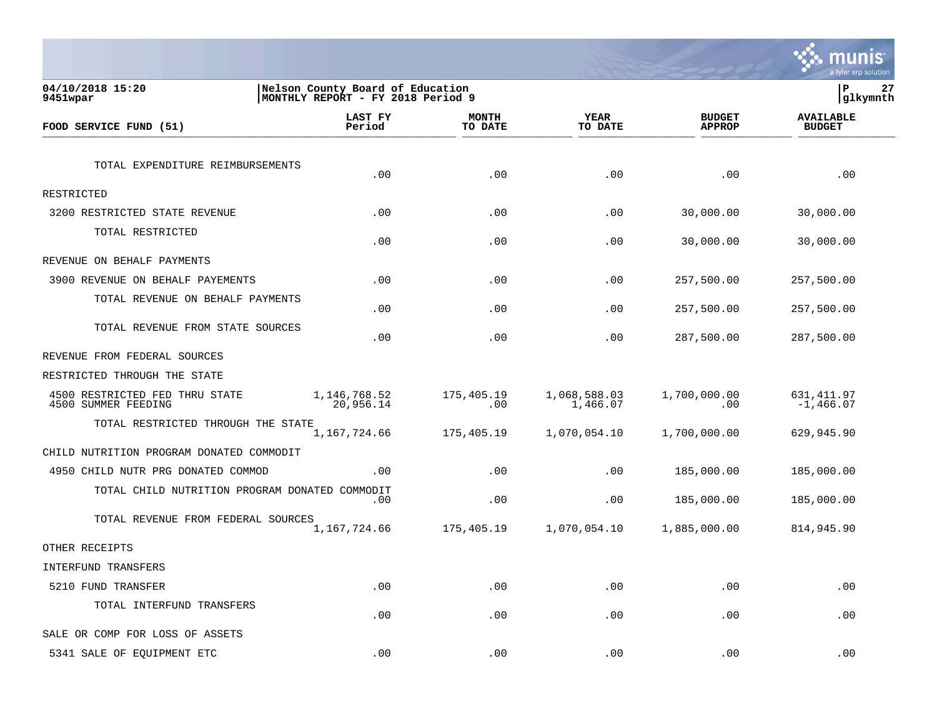

| FOOD SERVICE FUND (51)                                | LAST FY<br>Period         | <b>MONTH</b><br>TO DATE | <b>YEAR</b><br>TO DATE   | <b>BUDGET</b><br><b>APPROP</b> | <b>AVAILABLE</b><br><b>BUDGET</b> |
|-------------------------------------------------------|---------------------------|-------------------------|--------------------------|--------------------------------|-----------------------------------|
|                                                       |                           |                         |                          |                                |                                   |
| TOTAL EXPENDITURE REIMBURSEMENTS                      | .00                       | .00                     | .00                      | .00                            | .00                               |
| RESTRICTED                                            |                           |                         |                          |                                |                                   |
| 3200 RESTRICTED STATE REVENUE                         | .00                       | .00                     | .00                      | 30,000.00                      | 30,000.00                         |
| TOTAL RESTRICTED                                      | .00                       | .00                     | .00                      | 30,000.00                      | 30,000.00                         |
| REVENUE ON BEHALF PAYMENTS                            |                           |                         |                          |                                |                                   |
| 3900 REVENUE ON BEHALF PAYEMENTS                      | .00                       | .00                     | .00                      | 257,500.00                     | 257,500.00                        |
| TOTAL REVENUE ON BEHALF PAYMENTS                      | .00                       | .00                     | .00                      | 257,500.00                     | 257,500.00                        |
| TOTAL REVENUE FROM STATE SOURCES                      | .00                       | .00                     | .00                      | 287,500.00                     | 287,500.00                        |
| REVENUE FROM FEDERAL SOURCES                          |                           |                         |                          |                                |                                   |
| RESTRICTED THROUGH THE STATE                          |                           |                         |                          |                                |                                   |
| 4500 RESTRICTED FED THRU STATE<br>4500 SUMMER FEEDING | 1,146,768.52<br>20,956.14 | 175,405.19<br>.00       | 1,068,588.03<br>1,466.07 | 1,700,000.00<br>.00            | 631,411.97<br>$-1,466.07$         |
| TOTAL RESTRICTED THROUGH THE STATE                    | 1,167,724.66              | 175,405.19              | 1,070,054.10             | 1,700,000.00                   | 629,945.90                        |
| CHILD NUTRITION PROGRAM DONATED COMMODIT              |                           |                         |                          |                                |                                   |
| 4950 CHILD NUTR PRG DONATED COMMOD                    | .00                       | .00                     | .00                      | 185,000.00                     | 185,000.00                        |
| TOTAL CHILD NUTRITION PROGRAM DONATED COMMODIT        | .00                       | .00                     | .00                      | 185,000.00                     | 185,000.00                        |
| TOTAL REVENUE FROM FEDERAL SOURCES                    | 1,167,724.66              | 175,405.19              | 1,070,054.10             | 1,885,000.00                   | 814,945.90                        |
| OTHER RECEIPTS                                        |                           |                         |                          |                                |                                   |
| INTERFUND TRANSFERS                                   |                           |                         |                          |                                |                                   |
| 5210 FUND TRANSFER                                    | .00                       | .00                     | .00                      | .00                            | .00                               |
| TOTAL INTERFUND TRANSFERS                             | .00                       | .00                     | .00                      | .00                            | .00                               |
| SALE OR COMP FOR LOSS OF ASSETS                       |                           |                         |                          |                                |                                   |
| 5341 SALE OF EQUIPMENT ETC                            | .00                       | .00                     | .00                      | .00                            | .00                               |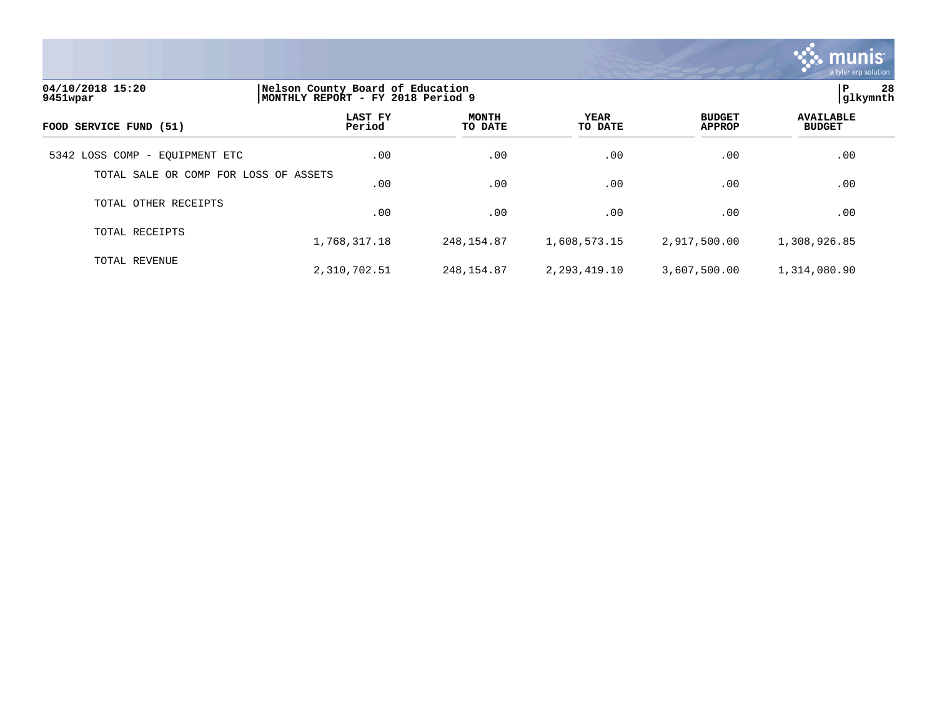

| 04/10/2018 15:20<br>9451wpar          |                   | Nelson County Board of Education<br>MONTHLY REPORT - FY 2018 Period 9 |                 |                                |                                   |  |  |
|---------------------------------------|-------------------|-----------------------------------------------------------------------|-----------------|--------------------------------|-----------------------------------|--|--|
| FOOD SERVICE FUND (51)                | LAST FY<br>Period | <b>MONTH</b><br>TO DATE                                               | YEAR<br>TO DATE | <b>BUDGET</b><br><b>APPROP</b> | <b>AVAILABLE</b><br><b>BUDGET</b> |  |  |
| 5342 LOSS COMP - EOUIPMENT ETC        | .00               | .00                                                                   | .00             | .00                            | .00                               |  |  |
| TOTAL SALE OR COMP FOR LOSS OF ASSETS | .00               | .00                                                                   | $.00 \,$        | .00                            | .00                               |  |  |
| TOTAL OTHER RECEIPTS                  | .00               | .00                                                                   | .00             | .00                            | .00                               |  |  |
| TOTAL RECEIPTS                        | 1,768,317.18      | 248,154.87                                                            | 1,608,573.15    | 2,917,500.00                   | 1,308,926.85                      |  |  |
| TOTAL REVENUE                         | 2,310,702.51      | 248, 154.87                                                           | 2,293,419.10    | 3,607,500.00                   | 1,314,080.90                      |  |  |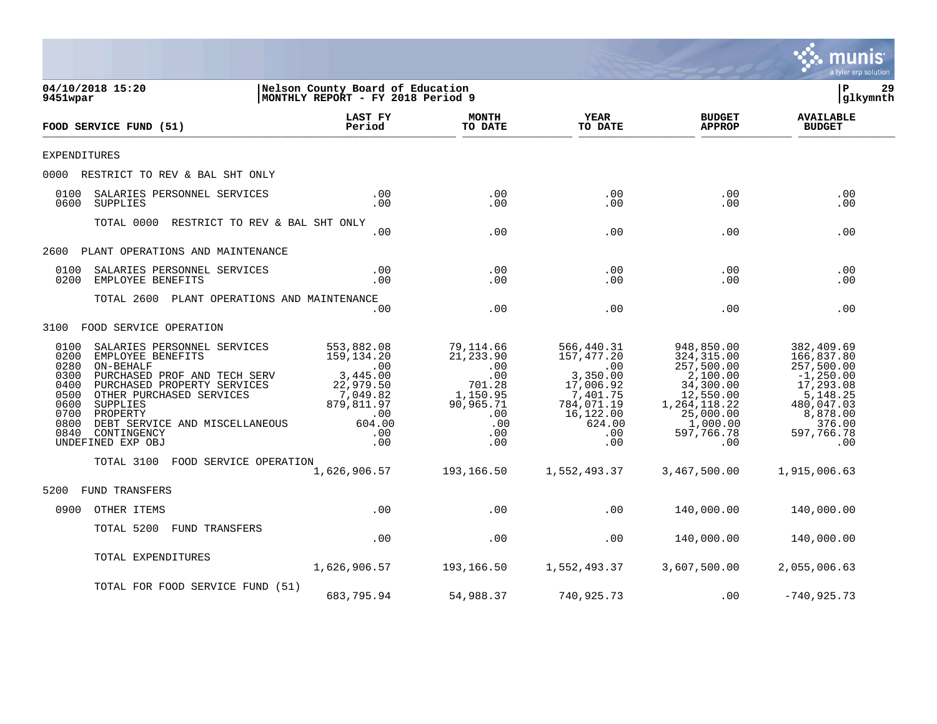

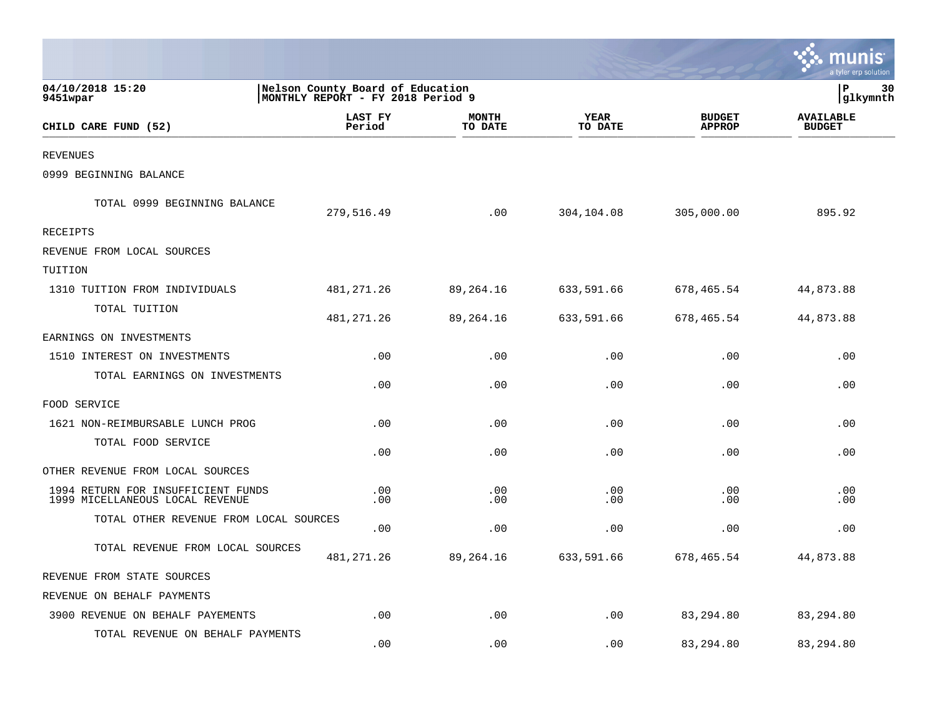|                                                                       |                                                                       |                         |                 |                                | munis<br>a tyler erp solution     |
|-----------------------------------------------------------------------|-----------------------------------------------------------------------|-------------------------|-----------------|--------------------------------|-----------------------------------|
| 04/10/2018 15:20<br>9451wpar                                          | Nelson County Board of Education<br>MONTHLY REPORT - FY 2018 Period 9 |                         |                 |                                | l P<br>30<br>glkymnth             |
| CHILD CARE FUND (52)                                                  | LAST FY<br>Period                                                     | <b>MONTH</b><br>TO DATE | YEAR<br>TO DATE | <b>BUDGET</b><br><b>APPROP</b> | <b>AVAILABLE</b><br><b>BUDGET</b> |
| <b>REVENUES</b>                                                       |                                                                       |                         |                 |                                |                                   |
| 0999 BEGINNING BALANCE                                                |                                                                       |                         |                 |                                |                                   |
| TOTAL 0999 BEGINNING BALANCE                                          | 279,516.49                                                            | .00                     | 304,104.08      | 305,000.00                     | 895.92                            |
| RECEIPTS                                                              |                                                                       |                         |                 |                                |                                   |
| REVENUE FROM LOCAL SOURCES                                            |                                                                       |                         |                 |                                |                                   |
| TUITION                                                               |                                                                       |                         |                 |                                |                                   |
| 1310 TUITION FROM INDIVIDUALS                                         | 481, 271. 26                                                          | 89,264.16               | 633,591.66      | 678,465.54                     | 44,873.88                         |
| TOTAL TUITION                                                         | 481,271.26                                                            | 89,264.16               | 633,591.66      | 678,465.54                     | 44,873.88                         |
| EARNINGS ON INVESTMENTS                                               |                                                                       |                         |                 |                                |                                   |
| 1510 INTEREST ON INVESTMENTS                                          | .00                                                                   | .00                     | .00             | .00                            | .00                               |
| TOTAL EARNINGS ON INVESTMENTS                                         | .00                                                                   | .00                     | .00             | .00                            | .00                               |
| FOOD SERVICE                                                          |                                                                       |                         |                 |                                |                                   |
| 1621 NON-REIMBURSABLE LUNCH PROG                                      | .00                                                                   | .00                     | .00             | .00                            | .00                               |
| TOTAL FOOD SERVICE                                                    | .00                                                                   | .00                     | .00             | .00                            | .00                               |
| OTHER REVENUE FROM LOCAL SOURCES                                      |                                                                       |                         |                 |                                |                                   |
| 1994 RETURN FOR INSUFFICIENT FUNDS<br>1999 MICELLANEOUS LOCAL REVENUE | .00<br>.00                                                            | .00<br>.00              | .00<br>.00      | .00<br>.00                     | .00<br>.00                        |
| TOTAL OTHER REVENUE FROM LOCAL SOURCES                                | .00                                                                   | .00                     | .00             | .00                            | .00                               |
| TOTAL REVENUE FROM LOCAL SOURCES                                      | 481, 271. 26                                                          | 89,264.16               | 633,591.66      | 678,465.54                     | 44,873.88                         |
| REVENUE FROM STATE SOURCES                                            |                                                                       |                         |                 |                                |                                   |
| REVENUE ON BEHALF PAYMENTS                                            |                                                                       |                         |                 |                                |                                   |
| 3900 REVENUE ON BEHALF PAYEMENTS                                      | .00                                                                   | .00                     | .00             | 83,294.80                      | 83,294.80                         |
| TOTAL REVENUE ON BEHALF PAYMENTS                                      | .00                                                                   | .00                     | .00             | 83,294.80                      | 83,294.80                         |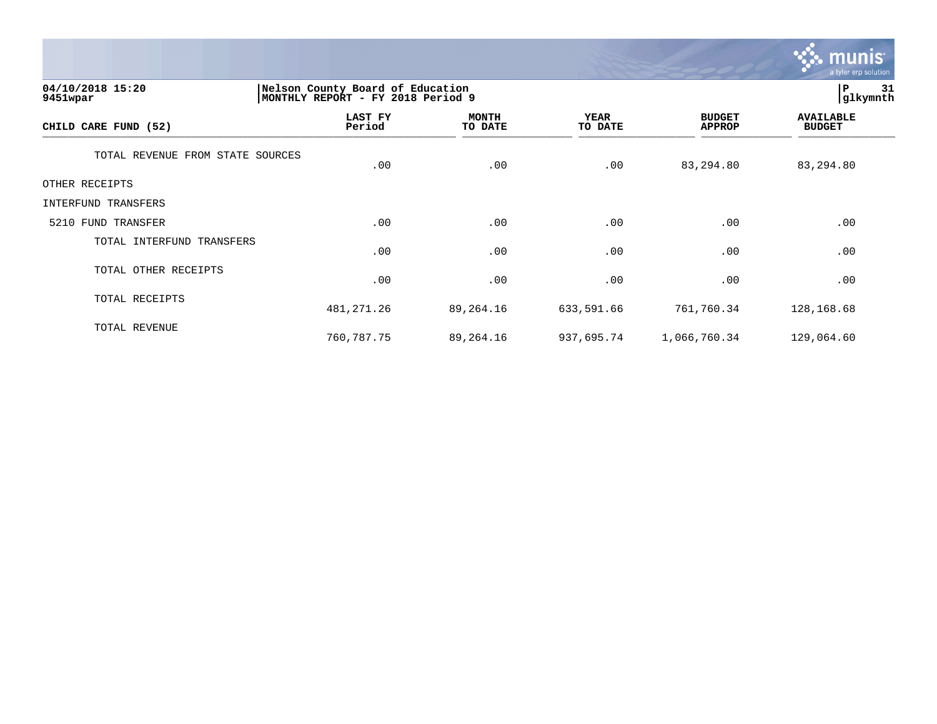

**04/10/2018 15:20 |Nelson County Board of Education |P 31 9451wpar |MONTHLY REPORT - FY 2018 Period 9 |glkymnth LAST FY MONTH YEAR BUDGET AVAILABLE CHILD CARE FUND (52) Period TO DATE TO DATE APPROP BUDGET**  TO DATE THE TOTAL THE REPORT OF THE REPORT OF THE REPORT OF THE REPORT OF THE REPORT OF THE REPORT OF THE REPORT OF THE REPORT OF THE REPORT OF THE REPORT OF THE REPORT OF THE REPORT OF THE REPORT OF THE REPORT OF THE REPO TOTAL REVENUE FROM STATE SOURCES  $.00$   $.00$   $.00$   $.03$   $.294.80$   $.83,294.80$ OTHER RECEIPTS INTERFUND TRANSFERS 5210 FUND TRANSFER .00 .00 .00 .00 .00 TOTAL INTERFUND TRANSFERS  $.00$  .  $.00$  .  $.00$  .  $.00$  .  $.00$  .  $.00$  .  $.00$  .  $.00$  .  $.00$  .  $.00$  .  $.00$  .  $.00$  .  $.00$  .  $.00$  .  $.00$  .  $.00$  .  $.00$  .  $.00$  .  $.00$  .  $.00$  .  $.00$  .  $.00$  .  $.00$  .  $.00$  .  $.00$  .  $.00$  .  $.00$  .  $.00$ TOTAL OTHER RECEIPTS .00 .00 .00 .00 .00 TOTAL RECEIPTS 481,271.26 89,264.16 633,591.66 761,760.34 128,168.68 TOTAL REVENUE 760,787.75 89,264.16 937,695.74 1,066,760.34 129,064.60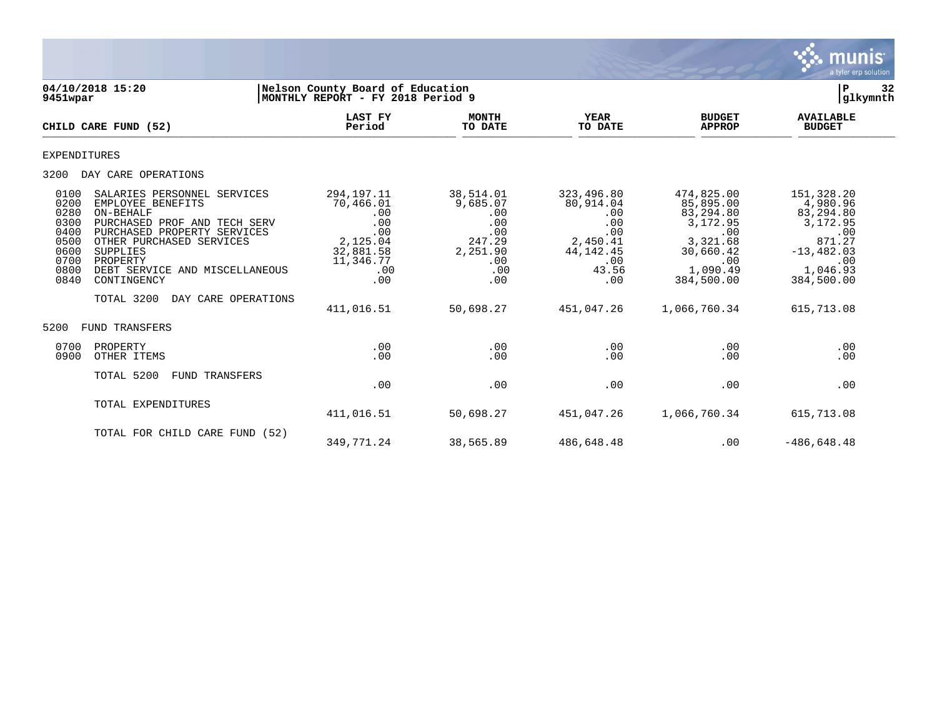

| 9451wpar                                                                     | 04/10/2018 15:20                                                                                                                                                                                                                                                       | Nelson County Board of Education<br>MONTHLY REPORT - FY 2018 Period 9                                            |                                                                                                    |                                                                                                              |                                                                                                                                   | 32<br>$\mathbf P$<br> glkymnth                                                                                                   |  |
|------------------------------------------------------------------------------|------------------------------------------------------------------------------------------------------------------------------------------------------------------------------------------------------------------------------------------------------------------------|------------------------------------------------------------------------------------------------------------------|----------------------------------------------------------------------------------------------------|--------------------------------------------------------------------------------------------------------------|-----------------------------------------------------------------------------------------------------------------------------------|----------------------------------------------------------------------------------------------------------------------------------|--|
|                                                                              | CHILD CARE FUND (52)                                                                                                                                                                                                                                                   | LAST FY<br>Period                                                                                                | <b>MONTH</b><br>TO DATE                                                                            | <b>YEAR</b><br>TO DATE                                                                                       | <b>BUDGET</b><br><b>APPROP</b>                                                                                                    | <b>AVAILABLE</b><br><b>BUDGET</b>                                                                                                |  |
| <b>EXPENDITURES</b>                                                          |                                                                                                                                                                                                                                                                        |                                                                                                                  |                                                                                                    |                                                                                                              |                                                                                                                                   |                                                                                                                                  |  |
| 3200                                                                         | DAY CARE OPERATIONS                                                                                                                                                                                                                                                    |                                                                                                                  |                                                                                                    |                                                                                                              |                                                                                                                                   |                                                                                                                                  |  |
| 0100<br>0200<br>0280<br>0300<br>0400<br>0500<br>0600<br>0700<br>0800<br>0840 | SALARIES PERSONNEL SERVICES<br>EMPLOYEE BENEFITS<br>ON-BEHALF<br>PURCHASED PROF AND TECH SERV<br>PURCHASED PROPERTY SERVICES<br>OTHER PURCHASED SERVICES<br>SUPPLIES<br>PROPERTY<br>DEBT SERVICE AND MISCELLANEOUS<br>CONTINGENCY<br>TOTAL 3200<br>DAY CARE OPERATIONS | 294, 197. 11<br>70,466.01<br>.00<br>.00<br>.00<br>2,125.04<br>32,881.58<br>11,346.77<br>.00<br>.00<br>411,016.51 | 38,514.01<br>9,685.07<br>.00<br>.00<br>.00<br>247.29<br>2,251.90<br>.00<br>.00<br>.00<br>50,698.27 | 323,496.80<br>80,914.04<br>.00<br>.00<br>.00<br>2,450.41<br>44, 142. 45<br>.00<br>43.56<br>.00<br>451,047.26 | 474,825.00<br>85,895.00<br>83,294.80<br>3,172.95<br>.00<br>3,321.68<br>30,660.42<br>.00<br>1,090.49<br>384,500.00<br>1,066,760.34 | 151,328.20<br>4,980.96<br>83,294.80<br>3,172.95<br>.00<br>871.27<br>$-13, 482.03$<br>.00<br>1,046.93<br>384,500.00<br>615,713.08 |  |
| 5200                                                                         | <b>FUND TRANSFERS</b>                                                                                                                                                                                                                                                  |                                                                                                                  |                                                                                                    |                                                                                                              |                                                                                                                                   |                                                                                                                                  |  |
| 0700<br>0900                                                                 | PROPERTY<br>OTHER ITEMS                                                                                                                                                                                                                                                | .00<br>.00                                                                                                       | .00<br>.00                                                                                         | .00<br>.00                                                                                                   | .00<br>.00                                                                                                                        | .00<br>.00                                                                                                                       |  |
|                                                                              | TOTAL 5200<br><b>FUND TRANSFERS</b>                                                                                                                                                                                                                                    | .00                                                                                                              | .00                                                                                                | .00                                                                                                          | .00                                                                                                                               | .00                                                                                                                              |  |
|                                                                              | TOTAL EXPENDITURES                                                                                                                                                                                                                                                     | 411,016.51                                                                                                       | 50,698.27                                                                                          | 451,047.26                                                                                                   | 1,066,760.34                                                                                                                      | 615,713.08                                                                                                                       |  |
|                                                                              | TOTAL FOR CHILD CARE FUND (52)                                                                                                                                                                                                                                         | 349, 771.24                                                                                                      | 38,565.89                                                                                          | 486,648.48                                                                                                   | .00                                                                                                                               | $-486,648.48$                                                                                                                    |  |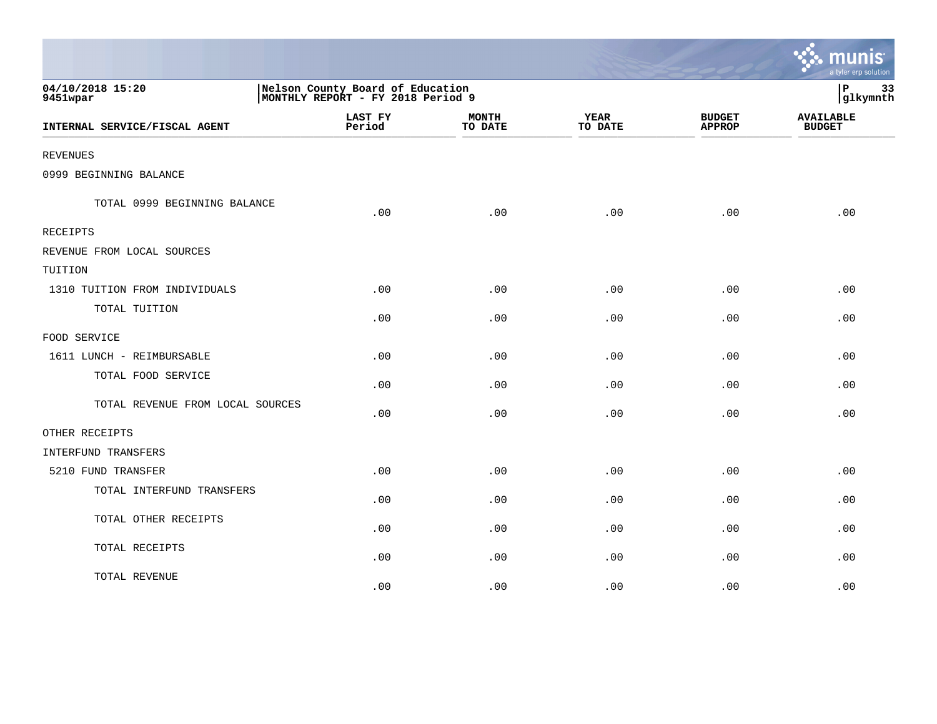|                                  |                                                                        |                         |                        |                                | a tyler erp solution              |
|----------------------------------|------------------------------------------------------------------------|-------------------------|------------------------|--------------------------------|-----------------------------------|
| 04/10/2018 15:20<br>9451wpar     | Nelson County Board of Education<br> MONTHLY REPORT - FY 2018 Period 9 |                         |                        |                                | $\mathbf{P}$<br>33<br>glkymnth    |
| INTERNAL SERVICE/FISCAL AGENT    | LAST FY<br>Period                                                      | <b>MONTH</b><br>TO DATE | <b>YEAR</b><br>TO DATE | <b>BUDGET</b><br><b>APPROP</b> | <b>AVAILABLE</b><br><b>BUDGET</b> |
| <b>REVENUES</b>                  |                                                                        |                         |                        |                                |                                   |
| 0999 BEGINNING BALANCE           |                                                                        |                         |                        |                                |                                   |
| TOTAL 0999 BEGINNING BALANCE     | .00                                                                    | .00                     | .00                    | .00                            | .00                               |
| RECEIPTS                         |                                                                        |                         |                        |                                |                                   |
| REVENUE FROM LOCAL SOURCES       |                                                                        |                         |                        |                                |                                   |
| TUITION                          |                                                                        |                         |                        |                                |                                   |
| 1310 TUITION FROM INDIVIDUALS    | .00                                                                    | .00                     | .00                    | .00                            | .00                               |
| TOTAL TUITION                    | .00                                                                    | .00                     | .00                    | .00                            | .00                               |
| FOOD SERVICE                     |                                                                        |                         |                        |                                |                                   |
| 1611 LUNCH - REIMBURSABLE        | .00                                                                    | .00                     | .00                    | .00                            | .00                               |
| TOTAL FOOD SERVICE               | .00                                                                    | .00                     | .00                    | .00                            | .00                               |
| TOTAL REVENUE FROM LOCAL SOURCES | .00                                                                    | .00                     | .00                    | .00                            | .00                               |
| OTHER RECEIPTS                   |                                                                        |                         |                        |                                |                                   |
| INTERFUND TRANSFERS              |                                                                        |                         |                        |                                |                                   |
| 5210 FUND TRANSFER               | .00                                                                    | .00                     | .00                    | .00                            | .00                               |
| TOTAL INTERFUND TRANSFERS        | .00                                                                    | .00                     | .00                    | .00                            | .00                               |
| TOTAL OTHER RECEIPTS             | .00                                                                    | .00                     | .00                    | .00                            | .00                               |
| TOTAL RECEIPTS                   | .00                                                                    | .00                     | .00                    | .00                            | .00                               |
| TOTAL REVENUE                    | .00                                                                    | .00                     | .00                    | .00                            | .00                               |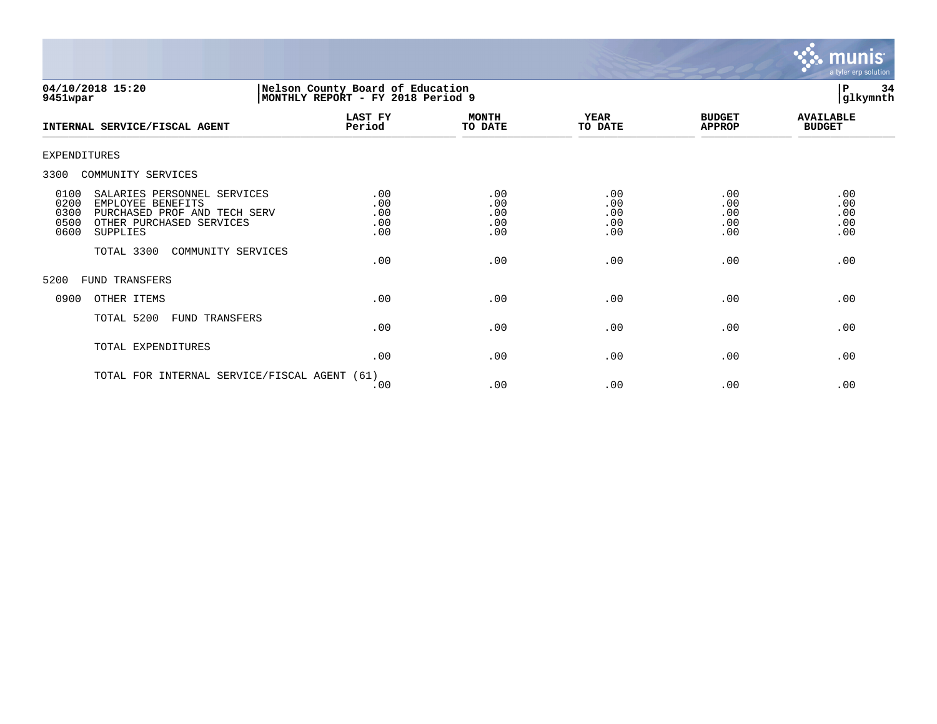

**04/10/2018 15:20 |Nelson County Board of Education |P 34 9451wpar |MONTHLY REPORT - FY 2018 Period 9 |glkymnth LAST FY MONTH YEAR BUDGET AVAILABLE INTERNAL SERVICE/FISCAL AGENT Period TO DATE TO DATE APPROP BUDGET**  \_\_\_\_\_\_\_\_\_\_\_\_\_\_\_\_\_\_\_\_\_\_\_\_\_\_\_\_\_\_\_\_\_\_\_\_\_\_\_\_\_\_\_\_\_\_\_\_\_\_\_\_\_\_\_\_\_\_\_\_\_\_\_\_ \_\_\_\_\_\_\_\_\_\_\_\_\_\_\_\_\_ \_\_\_\_\_\_\_\_\_\_\_\_\_\_\_\_\_\_ \_\_\_\_\_\_\_\_\_\_\_\_\_\_ \_\_\_\_\_\_\_\_\_\_\_\_\_\_\_ EXPENDITURES 3300 COMMUNITY SERVICES 0100 SALARIES PERSONNEL SERVICES .00 .00 .00 .00 .00 0200 EMPLOYEE BENEFITS .00 .00 .00 .00 .00 0300 PURCHASED PROF AND TECH SERV .00 .00 .00 .00 .00 0500 OTHER PURCHASED SERVICES .00 .00 .00 .00 .00 0600 SUPPLIES TOTAL 3300 COMMUNITY SERVICES  $.00$  .  $.00$  .  $.00$  .  $.00$  .  $.00$  .  $.00$  .  $.00$  .  $.00$  .  $.00$  .  $.00$  .  $.00$  .  $.00$  .  $.00$  .  $.00$  .  $.00$  .  $.00$  .  $.00$  .  $.00$  .  $.00$  .  $.00$  .  $.00$  .  $.00$  .  $.00$  .  $.00$  .  $.00$  .  $.00$  .  $.00$  .  $.00$ 5200 FUND TRANSFERS 0900 OTHER ITEMS .00 .00 .00 .00 .00 TOTAL 5200 FUND TRANSFERS .00 .00 .00 .00 .00 TOTAL EXPENDITURES  $.00$  .  $.00$  .  $.00$  .  $.00$  .  $.00$  .  $.00$  .  $.00$  .  $.00$  .  $.00$  .  $.00$  .  $.00$  .  $.00$  .  $.00$  .  $.00$  .  $.00$  .  $.00$  .  $.00$  .  $.00$  .  $.00$  .  $.00$  .  $.00$  .  $.00$  .  $.00$  .  $.00$  .  $.00$  .  $.00$  .  $.00$  .  $.00$ 

TOTAL FOR INTERNAL SERVICE/FISCAL AGENT (61)

 $.00$  .  $.00$  .  $.00$  .  $.00$  .  $.00$  .  $.00$  .  $.00$  .  $.00$  .  $.00$  .  $.00$  .  $.00$  .  $.00$  .  $.00$  .  $.00$  .  $.00$  .  $.00$  .  $.00$  .  $.00$  .  $.00$  .  $.00$  .  $.00$  .  $.00$  .  $.00$  .  $.00$  .  $.00$  .  $.00$  .  $.00$  .  $.00$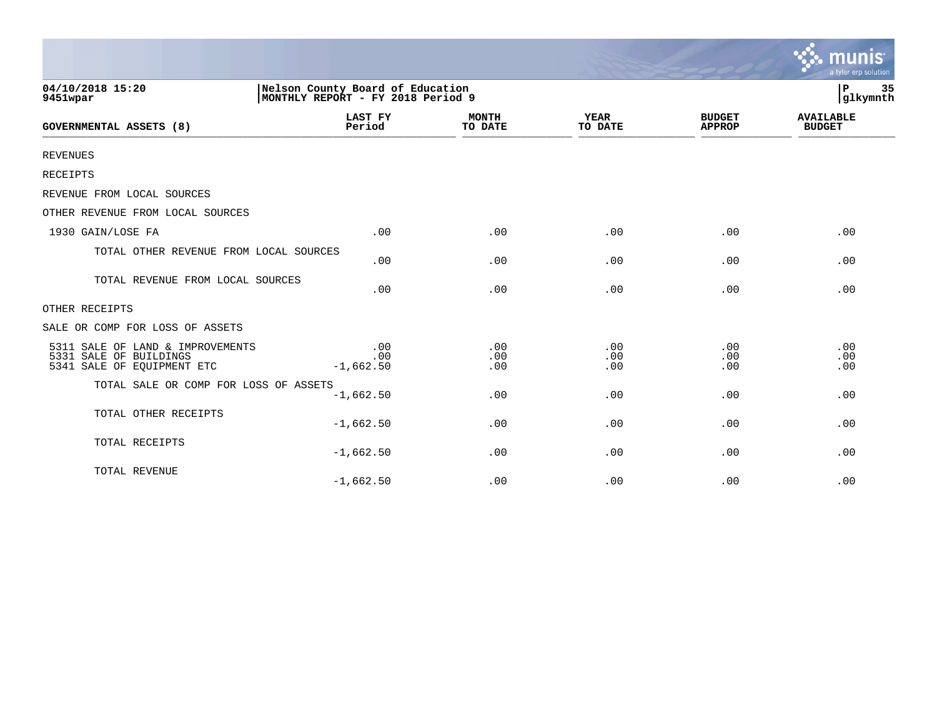|                                                                                          |                                                                       |                         |                        |                                | munis<br>a tyler erp solution     |
|------------------------------------------------------------------------------------------|-----------------------------------------------------------------------|-------------------------|------------------------|--------------------------------|-----------------------------------|
| 04/10/2018 15:20<br>9451wpar                                                             | Nelson County Board of Education<br>MONTHLY REPORT - FY 2018 Period 9 |                         |                        |                                | 35<br>ΙP<br>glkymnth              |
| GOVERNMENTAL ASSETS (8)                                                                  | LAST FY<br>Period                                                     | <b>MONTH</b><br>TO DATE | <b>YEAR</b><br>TO DATE | <b>BUDGET</b><br><b>APPROP</b> | <b>AVAILABLE</b><br><b>BUDGET</b> |
| <b>REVENUES</b>                                                                          |                                                                       |                         |                        |                                |                                   |
| RECEIPTS                                                                                 |                                                                       |                         |                        |                                |                                   |
| REVENUE FROM LOCAL SOURCES                                                               |                                                                       |                         |                        |                                |                                   |
| OTHER REVENUE FROM LOCAL SOURCES                                                         |                                                                       |                         |                        |                                |                                   |
| 1930 GAIN/LOSE FA                                                                        | .00                                                                   | .00                     | .00                    | .00                            | .00                               |
| TOTAL OTHER REVENUE FROM LOCAL SOURCES                                                   | .00                                                                   | .00                     | .00                    | .00                            | .00                               |
| TOTAL REVENUE FROM LOCAL SOURCES                                                         | .00                                                                   | .00                     | .00                    | .00                            | .00                               |
| OTHER RECEIPTS                                                                           |                                                                       |                         |                        |                                |                                   |
| SALE OR COMP FOR LOSS OF ASSETS                                                          |                                                                       |                         |                        |                                |                                   |
| 5311 SALE OF LAND & IMPROVEMENTS<br>5331 SALE OF BUILDINGS<br>5341 SALE OF EQUIPMENT ETC | .00<br>.00<br>$-1,662.50$                                             | .00<br>.00<br>.00       | .00<br>.00<br>.00      | .00<br>.00<br>.00              | .00<br>.00<br>.00                 |
| TOTAL SALE OR COMP FOR LOSS OF ASSETS                                                    | $-1,662.50$                                                           | .00                     | .00                    | .00                            | .00                               |
| TOTAL OTHER RECEIPTS                                                                     | $-1,662.50$                                                           | .00                     | .00                    | .00                            | .00                               |
| TOTAL RECEIPTS                                                                           | $-1,662.50$                                                           | .00                     | .00                    | .00                            | .00                               |
| TOTAL REVENUE                                                                            | $-1,662.50$                                                           | .00                     | .00                    | .00                            | .00                               |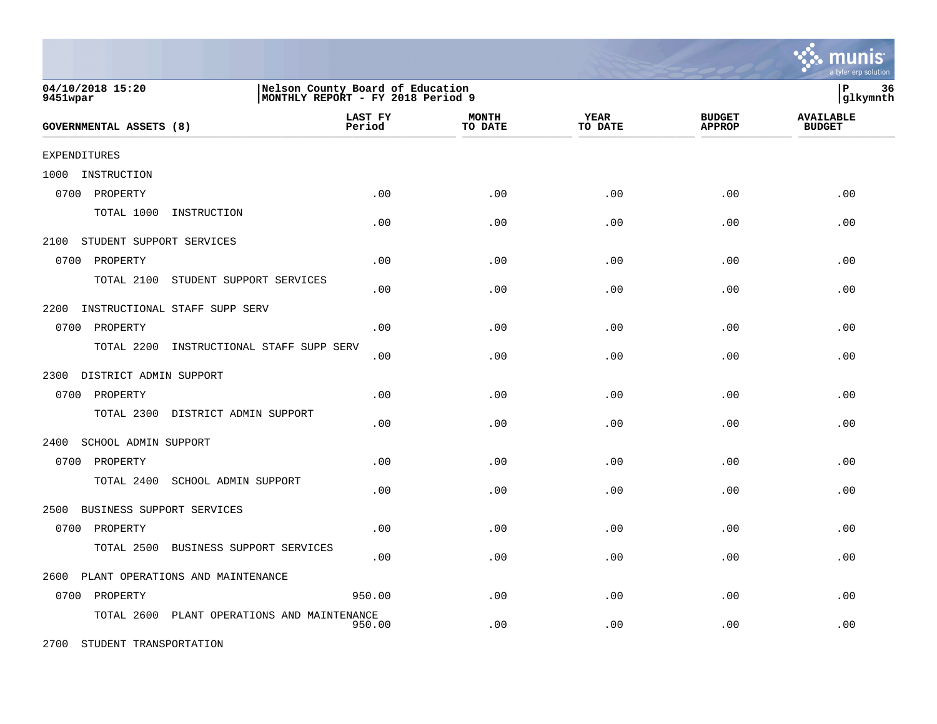

munis

2700 STUDENT TRANSPORTATION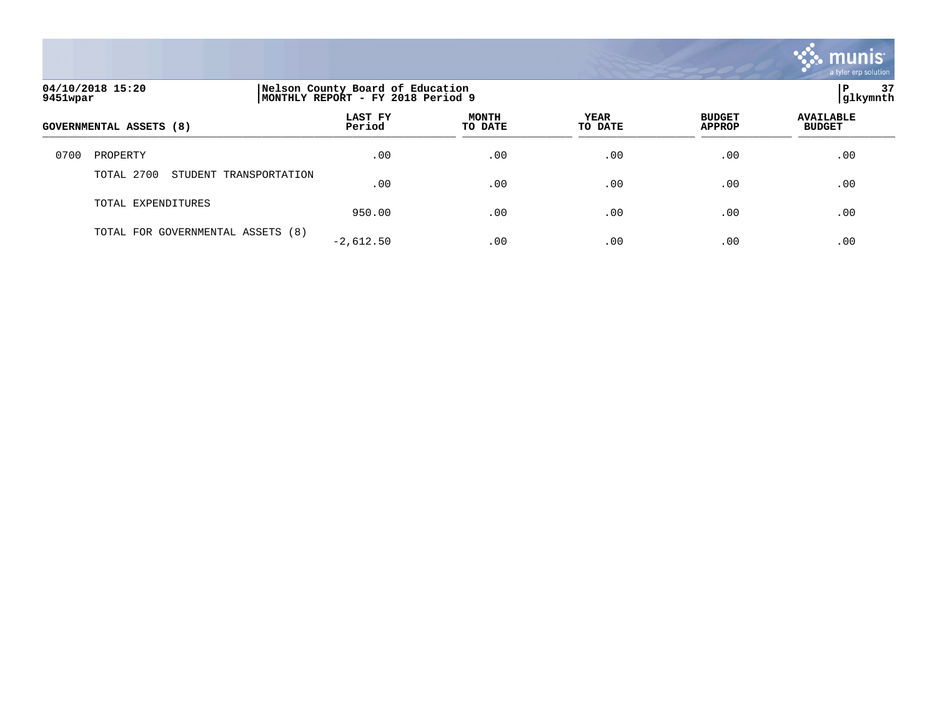

| 9451wpar | 04/10/2018 15:20                     | Nelson County Board of Education<br>MONTHLY REPORT - FY 2018 Period 9 |                         |                        |                                | 37<br>l P<br> glkymnth            |
|----------|--------------------------------------|-----------------------------------------------------------------------|-------------------------|------------------------|--------------------------------|-----------------------------------|
|          | <b>GOVERNMENTAL ASSETS (8)</b>       | LAST FY<br>Period                                                     | <b>MONTH</b><br>TO DATE | <b>YEAR</b><br>TO DATE | <b>BUDGET</b><br><b>APPROP</b> | <b>AVAILABLE</b><br><b>BUDGET</b> |
| 0700     | PROPERTY                             | .00                                                                   | .00                     | .00                    | .00                            | .00                               |
|          | TOTAL 2700<br>STUDENT TRANSPORTATION | .00                                                                   | .00                     | .00                    | .00                            | .00                               |
|          | TOTAL EXPENDITURES                   | 950.00                                                                | .00                     | .00                    | .00                            | .00                               |
|          | TOTAL FOR GOVERNMENTAL ASSETS (8)    | $-2.612.50$                                                           | .00                     | .00                    | .00                            | .00                               |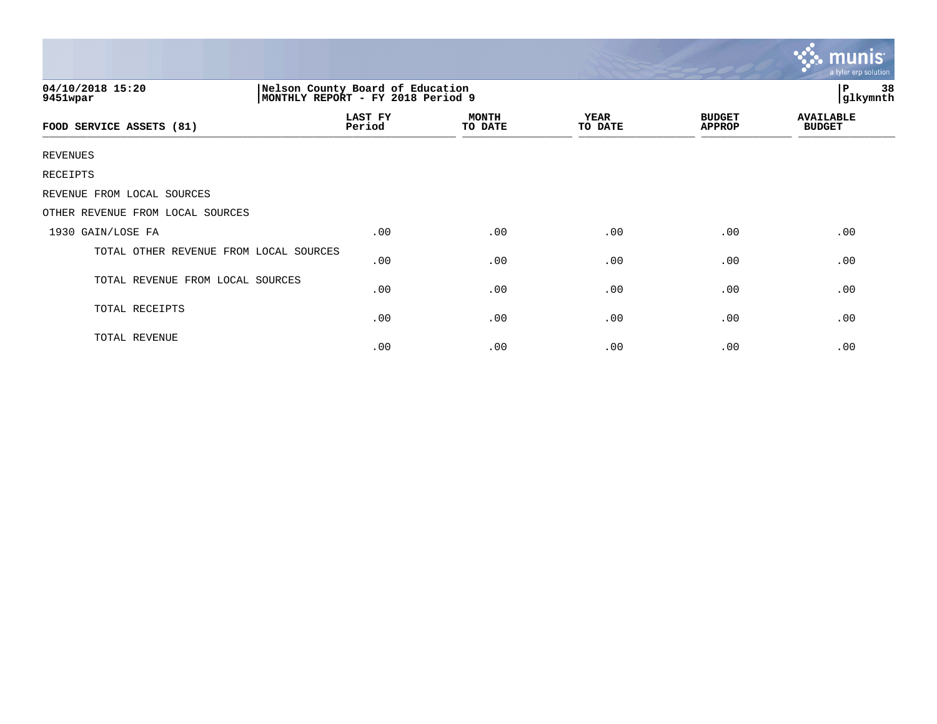|                                        |                                                                       |                         |                        |                                | <u>munis</u><br>a tyler erp solution |
|----------------------------------------|-----------------------------------------------------------------------|-------------------------|------------------------|--------------------------------|--------------------------------------|
| 04/10/2018 15:20<br>9451wpar           | Nelson County Board of Education<br>MONTHLY REPORT - FY 2018 Period 9 |                         |                        |                                | 38<br>$\, {\bf P}$<br>glkymnth       |
| FOOD SERVICE ASSETS (81)               | LAST FY<br>Period                                                     | <b>MONTH</b><br>TO DATE | <b>YEAR</b><br>TO DATE | <b>BUDGET</b><br><b>APPROP</b> | <b>AVAILABLE</b><br><b>BUDGET</b>    |
| <b>REVENUES</b>                        |                                                                       |                         |                        |                                |                                      |
| RECEIPTS                               |                                                                       |                         |                        |                                |                                      |
| REVENUE FROM LOCAL SOURCES             |                                                                       |                         |                        |                                |                                      |
| OTHER REVENUE FROM LOCAL SOURCES       |                                                                       |                         |                        |                                |                                      |
| 1930 GAIN/LOSE FA                      | .00                                                                   | .00                     | .00                    | .00                            | .00                                  |
| TOTAL OTHER REVENUE FROM LOCAL SOURCES | .00                                                                   | .00                     | .00                    | .00                            | .00                                  |
| TOTAL REVENUE FROM LOCAL SOURCES       | .00                                                                   | .00                     | .00                    | .00                            | .00                                  |
| TOTAL RECEIPTS                         | .00                                                                   | .00                     | .00                    | .00                            | .00                                  |
| TOTAL REVENUE                          | .00                                                                   | .00                     | .00                    | .00                            | .00                                  |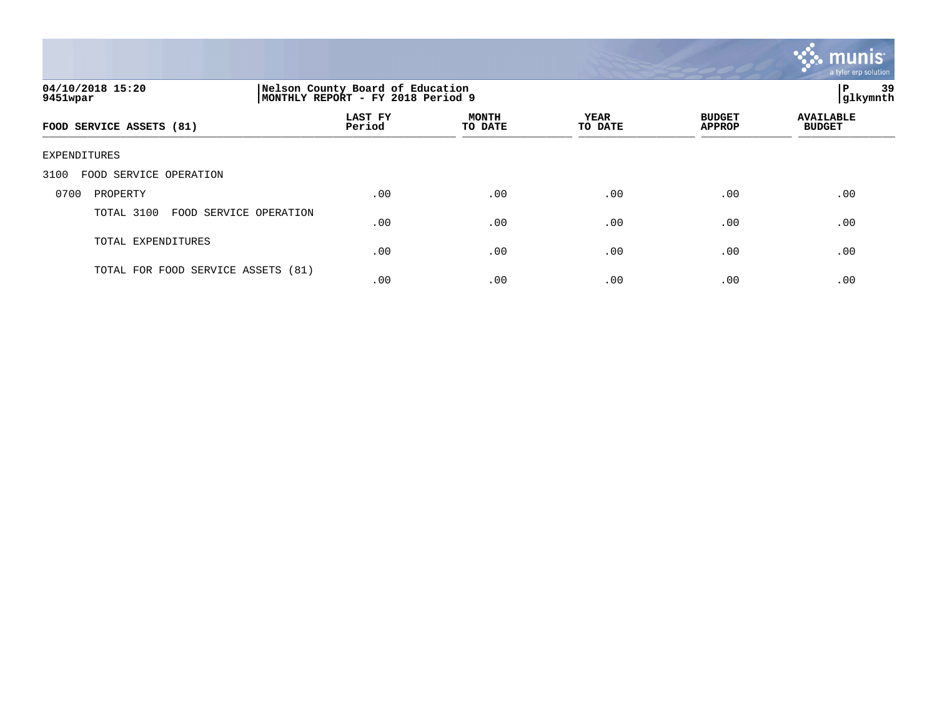

| 04/10/2018 15:20<br>9451wpar       |                   | Nelson County Board of Education<br>MONTHLY REPORT - FY 2018 Period 9 |                        |                                |                                   |  |
|------------------------------------|-------------------|-----------------------------------------------------------------------|------------------------|--------------------------------|-----------------------------------|--|
| FOOD SERVICE ASSETS (81)           | LAST FY<br>Period | <b>MONTH</b><br>TO DATE                                               | <b>YEAR</b><br>TO DATE | <b>BUDGET</b><br><b>APPROP</b> | <b>AVAILABLE</b><br><b>BUDGET</b> |  |
| EXPENDITURES                       |                   |                                                                       |                        |                                |                                   |  |
| FOOD SERVICE OPERATION<br>3100     |                   |                                                                       |                        |                                |                                   |  |
| 0700<br>PROPERTY                   | .00               | .00                                                                   | .00                    | .00                            | .00                               |  |
| TOTAL 3100<br>FOOD SERVICE         | OPERATION<br>.00  | .00                                                                   | .00                    | .00                            | .00                               |  |
| TOTAL EXPENDITURES                 | .00               | .00                                                                   | .00                    | .00                            | .00                               |  |
| TOTAL FOR FOOD SERVICE ASSETS (81) | .00               | .00                                                                   | .00                    | .00                            | .00                               |  |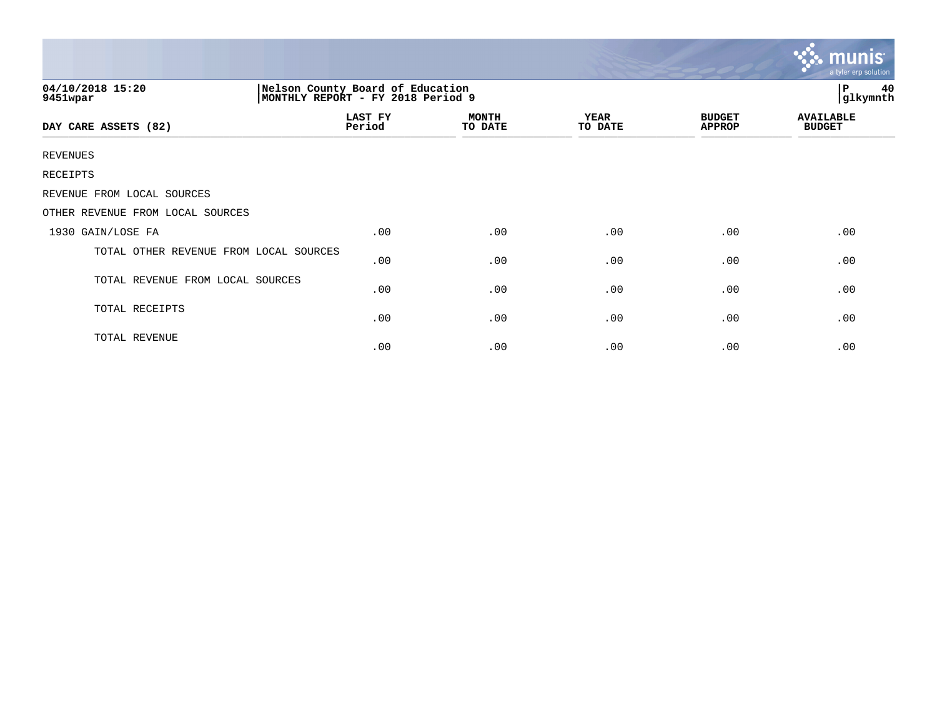|                                        |                                                                       |                         |                        |                                | $\overline{\mathsf{m} \mathsf{u}}$ nıs'<br>a tyler erp solution |
|----------------------------------------|-----------------------------------------------------------------------|-------------------------|------------------------|--------------------------------|-----------------------------------------------------------------|
| 04/10/2018 15:20<br>9451wpar           | Nelson County Board of Education<br>MONTHLY REPORT - FY 2018 Period 9 |                         |                        |                                | $\, {\bf P}$<br>40<br>glkymnth                                  |
| DAY CARE ASSETS (82)                   | LAST FY<br>Period                                                     | <b>MONTH</b><br>TO DATE | <b>YEAR</b><br>TO DATE | <b>BUDGET</b><br><b>APPROP</b> | <b>AVAILABLE</b><br><b>BUDGET</b>                               |
| <b>REVENUES</b>                        |                                                                       |                         |                        |                                |                                                                 |
| RECEIPTS                               |                                                                       |                         |                        |                                |                                                                 |
| REVENUE FROM LOCAL SOURCES             |                                                                       |                         |                        |                                |                                                                 |
| OTHER REVENUE FROM LOCAL SOURCES       |                                                                       |                         |                        |                                |                                                                 |
| 1930 GAIN/LOSE FA                      | .00                                                                   | .00                     | .00                    | .00                            | .00                                                             |
| TOTAL OTHER REVENUE FROM LOCAL SOURCES | .00                                                                   | .00                     | .00                    | .00                            | .00                                                             |
| TOTAL REVENUE FROM LOCAL SOURCES       | .00                                                                   | .00                     | .00                    | .00                            | .00                                                             |
| TOTAL RECEIPTS                         | .00                                                                   | .00                     | .00                    | .00                            | .00                                                             |
| TOTAL REVENUE                          | .00                                                                   | .00                     | .00                    | .00                            | .00                                                             |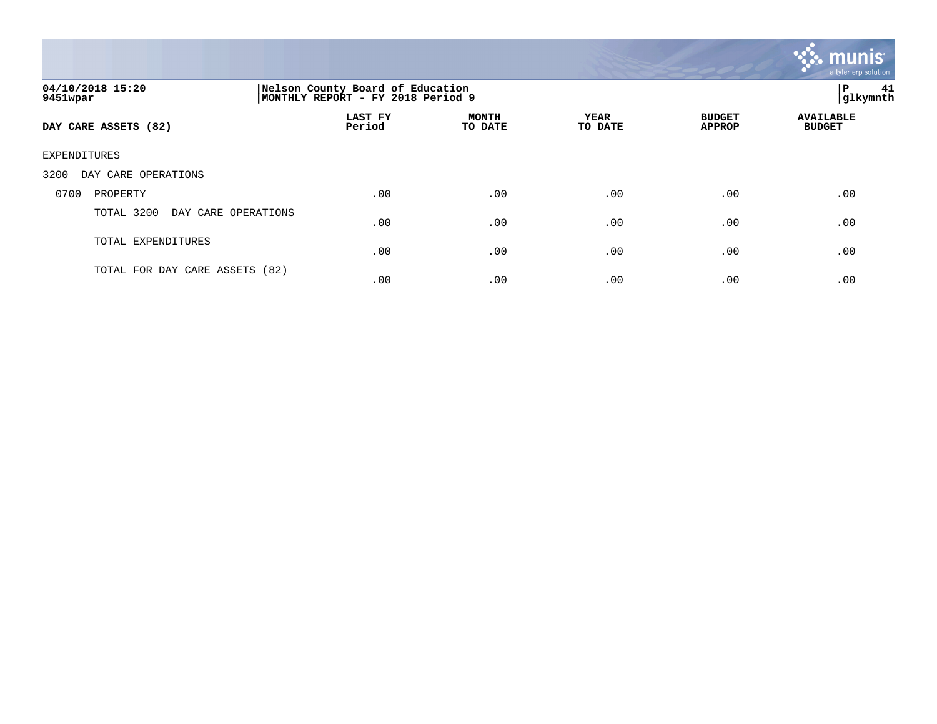

| 04/10/2018 15:20<br>9451wpar      |                   | Nelson County Board of Education<br>MONTHLY REPORT - FY 2018 Period 9 |                        |                                |                                   |  |
|-----------------------------------|-------------------|-----------------------------------------------------------------------|------------------------|--------------------------------|-----------------------------------|--|
| DAY CARE ASSETS (82)              | LAST FY<br>Period | <b>MONTH</b><br>TO DATE                                               | <b>YEAR</b><br>TO DATE | <b>BUDGET</b><br><b>APPROP</b> | <b>AVAILABLE</b><br><b>BUDGET</b> |  |
| EXPENDITURES                      |                   |                                                                       |                        |                                |                                   |  |
| DAY CARE OPERATIONS<br>3200       |                   |                                                                       |                        |                                |                                   |  |
| 0700<br>PROPERTY                  | .00               | .00                                                                   | .00                    | .00                            | .00                               |  |
| TOTAL 3200<br>DAY CARE OPERATIONS | .00               | .00                                                                   | .00                    | .00                            | .00                               |  |
| TOTAL EXPENDITURES                | .00               | .00                                                                   | .00                    | .00                            | .00                               |  |
| TOTAL FOR DAY CARE ASSETS (82)    | .00               | .00                                                                   | .00                    | .00                            | .00                               |  |